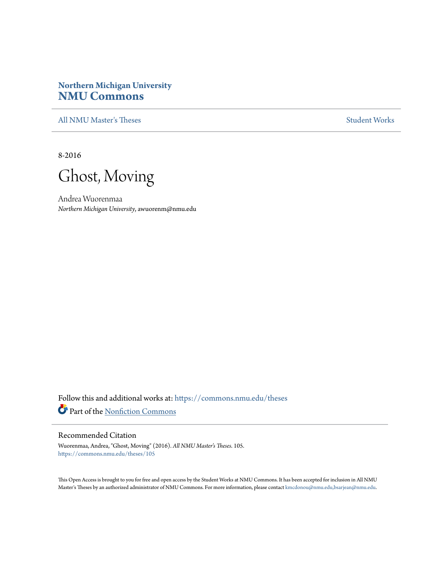# **Northern Michigan University [NMU Commons](https://commons.nmu.edu?utm_source=commons.nmu.edu%2Ftheses%2F105&utm_medium=PDF&utm_campaign=PDFCoverPages)**

[All NMU Master's Theses](https://commons.nmu.edu/theses?utm_source=commons.nmu.edu%2Ftheses%2F105&utm_medium=PDF&utm_campaign=PDFCoverPages) [Student Works](https://commons.nmu.edu/student_works?utm_source=commons.nmu.edu%2Ftheses%2F105&utm_medium=PDF&utm_campaign=PDFCoverPages)

8-2016



Andrea Wuorenmaa *Northern Michigan University*, awuorenm@nmu.edu

Follow this and additional works at: [https://commons.nmu.edu/theses](https://commons.nmu.edu/theses?utm_source=commons.nmu.edu%2Ftheses%2F105&utm_medium=PDF&utm_campaign=PDFCoverPages) Part of the [Nonfiction Commons](http://network.bepress.com/hgg/discipline/1152?utm_source=commons.nmu.edu%2Ftheses%2F105&utm_medium=PDF&utm_campaign=PDFCoverPages)

#### Recommended Citation

Wuorenmaa, Andrea, "Ghost, Moving" (2016). *All NMU Master's Theses*. 105. [https://commons.nmu.edu/theses/105](https://commons.nmu.edu/theses/105?utm_source=commons.nmu.edu%2Ftheses%2F105&utm_medium=PDF&utm_campaign=PDFCoverPages)

This Open Access is brought to you for free and open access by the Student Works at NMU Commons. It has been accepted for inclusion in All NMU Master's Theses by an authorized administrator of NMU Commons. For more information, please contact [kmcdonou@nmu.edu,bsarjean@nmu.edu.](mailto:kmcdonou@nmu.edu,bsarjean@nmu.edu)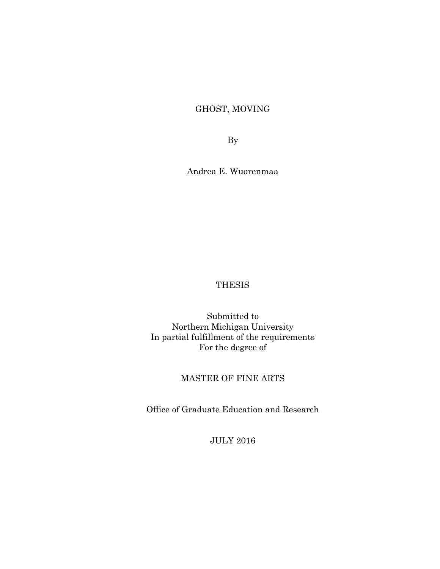# GHOST, MOVING

By

Andrea E. Wuorenmaa

### **THESIS**

Submitted to Northern Michigan University In partial fulfillment of the requirements For the degree of

## MASTER OF FINE ARTS

Office of Graduate Education and Research

JULY 2016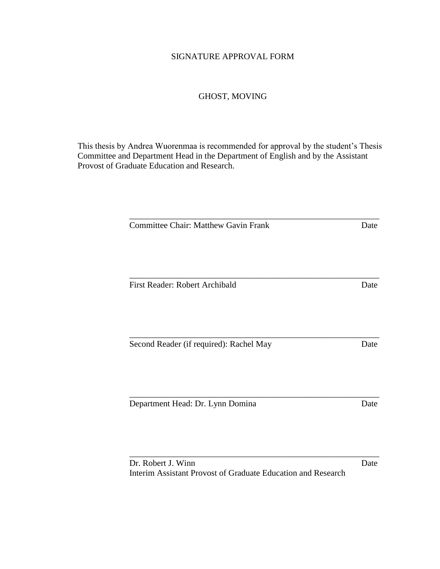### SIGNATURE APPROVAL FORM

## GHOST, MOVING

This thesis by Andrea Wuorenmaa is recommended for approval by the student's Thesis Committee and Department Head in the Department of English and by the Assistant Provost of Graduate Education and Research.

| <b>Committee Chair: Matthew Gavin Frank</b>                  | Date |
|--------------------------------------------------------------|------|
|                                                              |      |
|                                                              |      |
| First Reader: Robert Archibald                               | Date |
|                                                              |      |
|                                                              |      |
| Second Reader (if required): Rachel May                      | Date |
|                                                              |      |
|                                                              |      |
| Department Head: Dr. Lynn Domina                             | Date |
|                                                              |      |
|                                                              |      |
| Dr. Robert J. Winn                                           | Date |
| Interim Assistant Provost of Graduate Education and Research |      |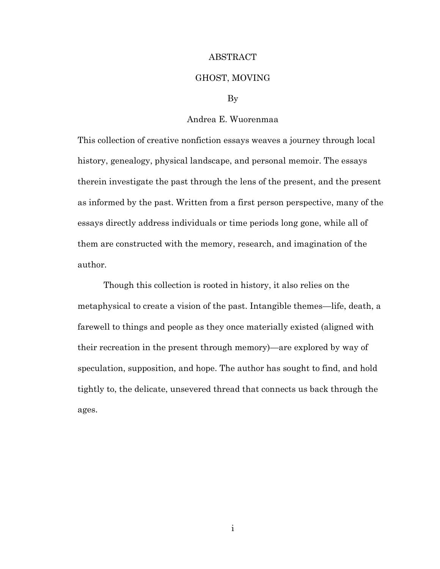#### ABSTRACT

#### GHOST, MOVING

#### By

### Andrea E. Wuorenmaa

This collection of creative nonfiction essays weaves a journey through local history, genealogy, physical landscape, and personal memoir. The essays therein investigate the past through the lens of the present, and the present as informed by the past. Written from a first person perspective, many of the essays directly address individuals or time periods long gone, while all of them are constructed with the memory, research, and imagination of the author.

Though this collection is rooted in history, it also relies on the metaphysical to create a vision of the past. Intangible themes—life, death, a farewell to things and people as they once materially existed (aligned with their recreation in the present through memory)—are explored by way of speculation, supposition, and hope. The author has sought to find, and hold tightly to, the delicate, unsevered thread that connects us back through the ages.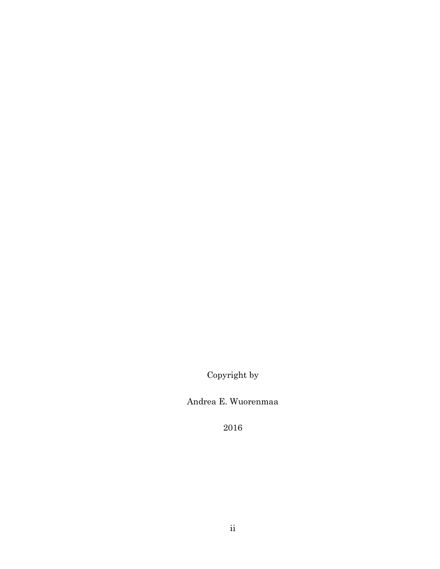Copyright by

Andrea E. Wuorenmaa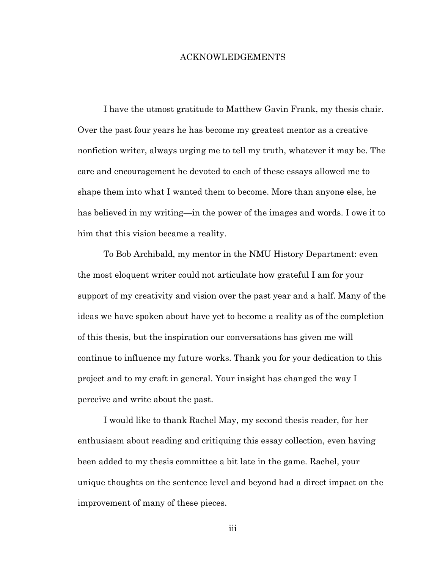#### ACKNOWLEDGEMENTS

I have the utmost gratitude to Matthew Gavin Frank, my thesis chair. Over the past four years he has become my greatest mentor as a creative nonfiction writer, always urging me to tell my truth, whatever it may be. The care and encouragement he devoted to each of these essays allowed me to shape them into what I wanted them to become. More than anyone else, he has believed in my writing—in the power of the images and words. I owe it to him that this vision became a reality.

To Bob Archibald, my mentor in the NMU History Department: even the most eloquent writer could not articulate how grateful I am for your support of my creativity and vision over the past year and a half. Many of the ideas we have spoken about have yet to become a reality as of the completion of this thesis, but the inspiration our conversations has given me will continue to influence my future works. Thank you for your dedication to this project and to my craft in general. Your insight has changed the way I perceive and write about the past.

I would like to thank Rachel May, my second thesis reader, for her enthusiasm about reading and critiquing this essay collection, even having been added to my thesis committee a bit late in the game. Rachel, your unique thoughts on the sentence level and beyond had a direct impact on the improvement of many of these pieces.

iii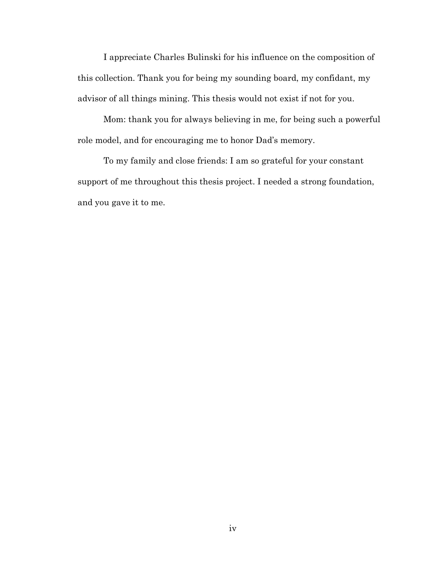I appreciate Charles Bulinski for his influence on the composition of this collection. Thank you for being my sounding board, my confidant, my advisor of all things mining. This thesis would not exist if not for you.

Mom: thank you for always believing in me, for being such a powerful role model, and for encouraging me to honor Dad's memory.

To my family and close friends: I am so grateful for your constant support of me throughout this thesis project. I needed a strong foundation, and you gave it to me.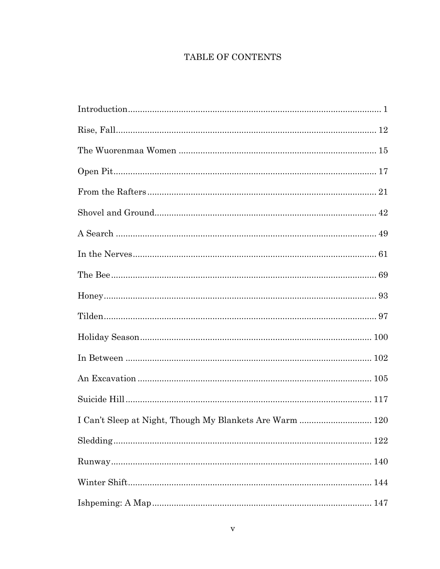# TABLE OF CONTENTS

| I Can't Sleep at Night, Though My Blankets Are Warm  120 |  |
|----------------------------------------------------------|--|
|                                                          |  |
|                                                          |  |
|                                                          |  |
|                                                          |  |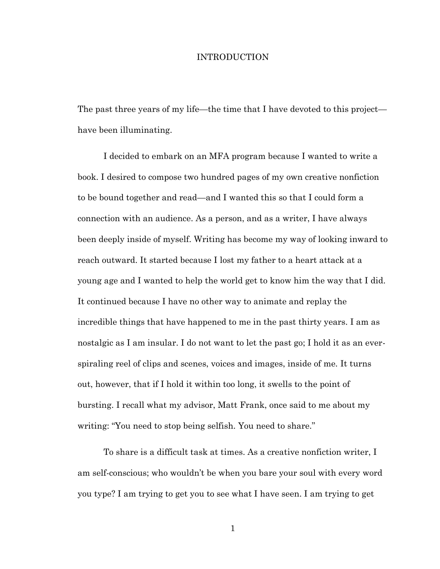#### INTRODUCTION

The past three years of my life—the time that I have devoted to this project have been illuminating.

I decided to embark on an MFA program because I wanted to write a book. I desired to compose two hundred pages of my own creative nonfiction to be bound together and read—and I wanted this so that I could form a connection with an audience. As a person, and as a writer, I have always been deeply inside of myself. Writing has become my way of looking inward to reach outward. It started because I lost my father to a heart attack at a young age and I wanted to help the world get to know him the way that I did. It continued because I have no other way to animate and replay the incredible things that have happened to me in the past thirty years. I am as nostalgic as I am insular. I do not want to let the past go; I hold it as an everspiraling reel of clips and scenes, voices and images, inside of me. It turns out, however, that if I hold it within too long, it swells to the point of bursting. I recall what my advisor, Matt Frank, once said to me about my writing: "You need to stop being selfish. You need to share."

To share is a difficult task at times. As a creative nonfiction writer, I am self-conscious; who wouldn't be when you bare your soul with every word you type? I am trying to get you to see what I have seen. I am trying to get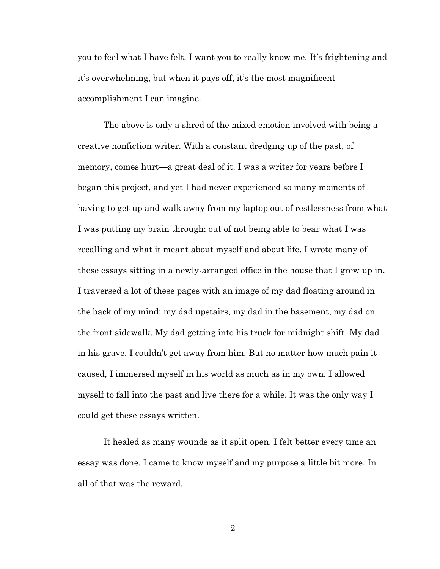you to feel what I have felt. I want you to really know me. It's frightening and it's overwhelming, but when it pays off, it's the most magnificent accomplishment I can imagine.

The above is only a shred of the mixed emotion involved with being a creative nonfiction writer. With a constant dredging up of the past, of memory, comes hurt—a great deal of it. I was a writer for years before I began this project, and yet I had never experienced so many moments of having to get up and walk away from my laptop out of restlessness from what I was putting my brain through; out of not being able to bear what I was recalling and what it meant about myself and about life. I wrote many of these essays sitting in a newly-arranged office in the house that I grew up in. I traversed a lot of these pages with an image of my dad floating around in the back of my mind: my dad upstairs, my dad in the basement, my dad on the front sidewalk. My dad getting into his truck for midnight shift. My dad in his grave. I couldn't get away from him. But no matter how much pain it caused, I immersed myself in his world as much as in my own. I allowed myself to fall into the past and live there for a while. It was the only way I could get these essays written.

It healed as many wounds as it split open. I felt better every time an essay was done. I came to know myself and my purpose a little bit more. In all of that was the reward.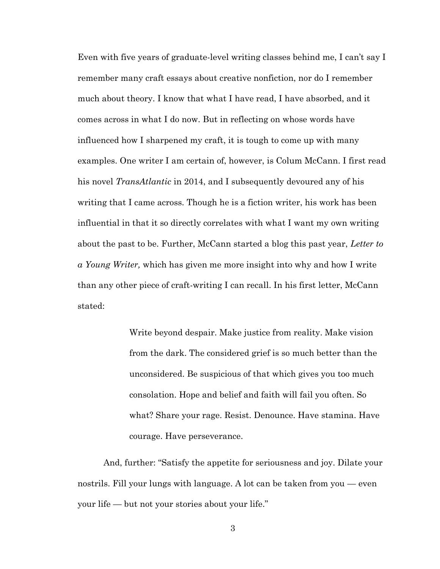Even with five years of graduate-level writing classes behind me, I can't say I remember many craft essays about creative nonfiction, nor do I remember much about theory. I know that what I have read, I have absorbed, and it comes across in what I do now. But in reflecting on whose words have influenced how I sharpened my craft, it is tough to come up with many examples. One writer I am certain of, however, is Colum McCann. I first read his novel *TransAtlantic* in 2014, and I subsequently devoured any of his writing that I came across. Though he is a fiction writer, his work has been influential in that it so directly correlates with what I want my own writing about the past to be. Further, McCann started a blog this past year, *Letter to a Young Writer,* which has given me more insight into why and how I write than any other piece of craft-writing I can recall. In his first letter, McCann stated:

> Write beyond despair. Make justice from reality. Make vision from the dark. The considered grief is so much better than the unconsidered. Be suspicious of that which gives you too much consolation. Hope and belief and faith will fail you often. So what? Share your rage. Resist. Denounce. Have stamina. Have courage. Have perseverance.

And, further: "Satisfy the appetite for seriousness and joy. Dilate your nostrils. Fill your lungs with language. A lot can be taken from you — even your life — but not your stories about your life."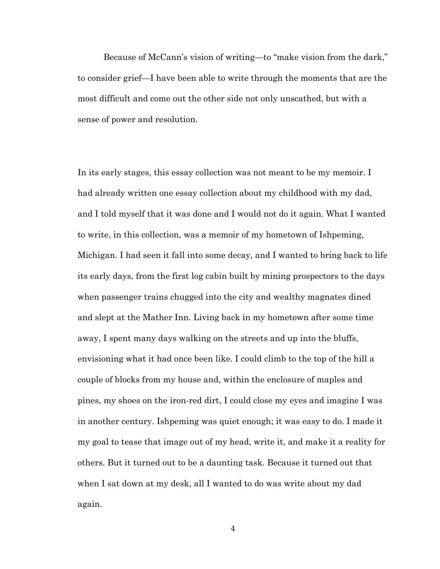Because of McCann's vision of writing—to "make vision from the dark," to consider grief—I have been able to write through the moments that are the most difficult and come out the other side not only unscathed, but with a sense of power and resolution.

In its early stages, this essay collection was not meant to be my memoir. I had already written one essay collection about my childhood with my dad, and I told myself that it was done and I would not do it again. What I wanted to write, in this collection, was a memoir of my hometown of Ishpeming, Michigan. I had seen it fall into some decay, and I wanted to bring back to life its early days, from the first log cabin built by mining prospectors to the days when passenger trains chugged into the city and wealthy magnates dined and slept at the Mather Inn. Living back in my hometown after some time away, I spent many days walking on the streets and up into the bluffs, envisioning what it had once been like. I could climb to the top of the hill a couple of blocks from my house and, within the enclosure of maples and pines, my shoes on the iron-red dirt, I could close my eyes and imagine I was in another century. Ishpeming was quiet enough; it was easy to do. I made it my goal to tease that image out of my head, write it, and make it a reality for others. But it turned out to be a daunting task. Because it turned out that when I sat down at my desk, all I wanted to do was write about my dad again.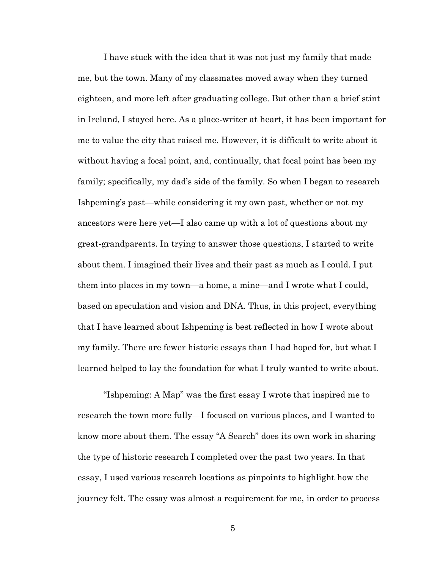I have stuck with the idea that it was not just my family that made me, but the town. Many of my classmates moved away when they turned eighteen, and more left after graduating college. But other than a brief stint in Ireland, I stayed here. As a place-writer at heart, it has been important for me to value the city that raised me. However, it is difficult to write about it without having a focal point, and, continually, that focal point has been my family; specifically, my dad's side of the family. So when I began to research Ishpeming's past—while considering it my own past, whether or not my ancestors were here yet—I also came up with a lot of questions about my great-grandparents. In trying to answer those questions, I started to write about them. I imagined their lives and their past as much as I could. I put them into places in my town—a home, a mine—and I wrote what I could, based on speculation and vision and DNA. Thus, in this project, everything that I have learned about Ishpeming is best reflected in how I wrote about my family. There are fewer historic essays than I had hoped for, but what I learned helped to lay the foundation for what I truly wanted to write about.

"Ishpeming: A Map" was the first essay I wrote that inspired me to research the town more fully—I focused on various places, and I wanted to know more about them. The essay "A Search" does its own work in sharing the type of historic research I completed over the past two years. In that essay, I used various research locations as pinpoints to highlight how the journey felt. The essay was almost a requirement for me, in order to process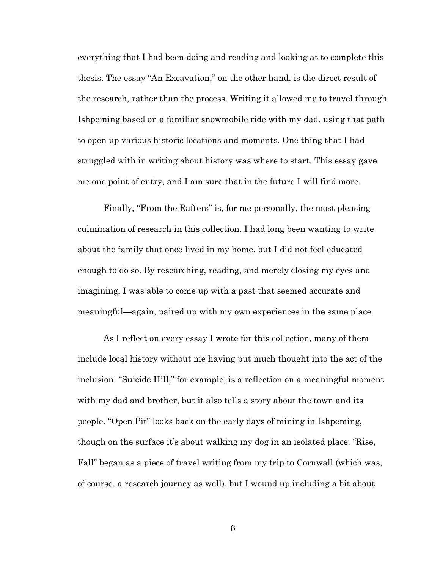everything that I had been doing and reading and looking at to complete this thesis. The essay "An Excavation," on the other hand, is the direct result of the research, rather than the process. Writing it allowed me to travel through Ishpeming based on a familiar snowmobile ride with my dad, using that path to open up various historic locations and moments. One thing that I had struggled with in writing about history was where to start. This essay gave me one point of entry, and I am sure that in the future I will find more.

Finally, "From the Rafters" is, for me personally, the most pleasing culmination of research in this collection. I had long been wanting to write about the family that once lived in my home, but I did not feel educated enough to do so. By researching, reading, and merely closing my eyes and imagining, I was able to come up with a past that seemed accurate and meaningful—again, paired up with my own experiences in the same place.

As I reflect on every essay I wrote for this collection, many of them include local history without me having put much thought into the act of the inclusion. "Suicide Hill," for example, is a reflection on a meaningful moment with my dad and brother, but it also tells a story about the town and its people. "Open Pit" looks back on the early days of mining in Ishpeming, though on the surface it's about walking my dog in an isolated place. "Rise, Fall" began as a piece of travel writing from my trip to Cornwall (which was, of course, a research journey as well), but I wound up including a bit about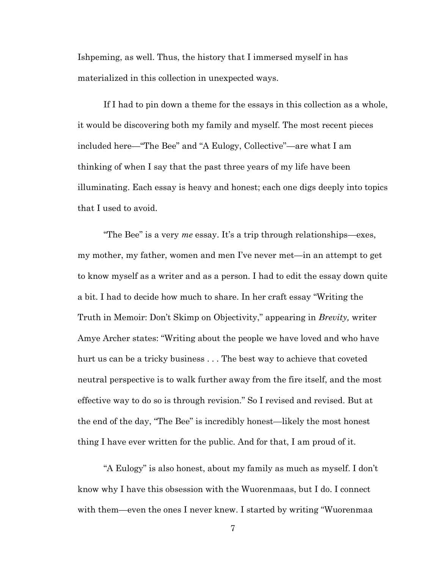Ishpeming, as well. Thus, the history that I immersed myself in has materialized in this collection in unexpected ways.

If I had to pin down a theme for the essays in this collection as a whole, it would be discovering both my family and myself. The most recent pieces included here—"The Bee" and "A Eulogy, Collective"—are what I am thinking of when I say that the past three years of my life have been illuminating. Each essay is heavy and honest; each one digs deeply into topics that I used to avoid.

"The Bee" is a very *me* essay. It's a trip through relationships—exes, my mother, my father, women and men I've never met—in an attempt to get to know myself as a writer and as a person. I had to edit the essay down quite a bit. I had to decide how much to share. In her craft essay "Writing the Truth in Memoir: Don't Skimp on Objectivity," appearing in *Brevity,* writer Amye Archer states: "Writing about the people we have loved and who have hurt us can be a tricky business . . . The best way to achieve that coveted neutral perspective is to walk further away from the fire itself, and the most effective way to do so is through revision." So I revised and revised. But at the end of the day, "The Bee" is incredibly honest—likely the most honest thing I have ever written for the public. And for that, I am proud of it.

"A Eulogy" is also honest, about my family as much as myself. I don't know why I have this obsession with the Wuorenmaas, but I do. I connect with them—even the ones I never knew. I started by writing "Wuorenmaa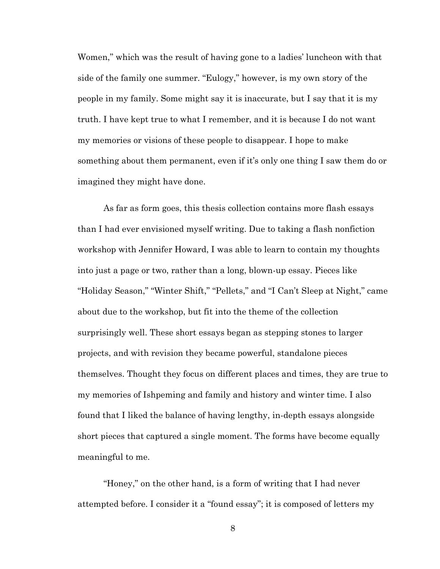Women," which was the result of having gone to a ladies' luncheon with that side of the family one summer. "Eulogy," however, is my own story of the people in my family. Some might say it is inaccurate, but I say that it is my truth. I have kept true to what I remember, and it is because I do not want my memories or visions of these people to disappear. I hope to make something about them permanent, even if it's only one thing I saw them do or imagined they might have done.

As far as form goes, this thesis collection contains more flash essays than I had ever envisioned myself writing. Due to taking a flash nonfiction workshop with Jennifer Howard, I was able to learn to contain my thoughts into just a page or two, rather than a long, blown-up essay. Pieces like "Holiday Season," "Winter Shift," "Pellets," and "I Can't Sleep at Night," came about due to the workshop, but fit into the theme of the collection surprisingly well. These short essays began as stepping stones to larger projects, and with revision they became powerful, standalone pieces themselves. Thought they focus on different places and times, they are true to my memories of Ishpeming and family and history and winter time. I also found that I liked the balance of having lengthy, in-depth essays alongside short pieces that captured a single moment. The forms have become equally meaningful to me.

"Honey," on the other hand, is a form of writing that I had never attempted before. I consider it a "found essay"; it is composed of letters my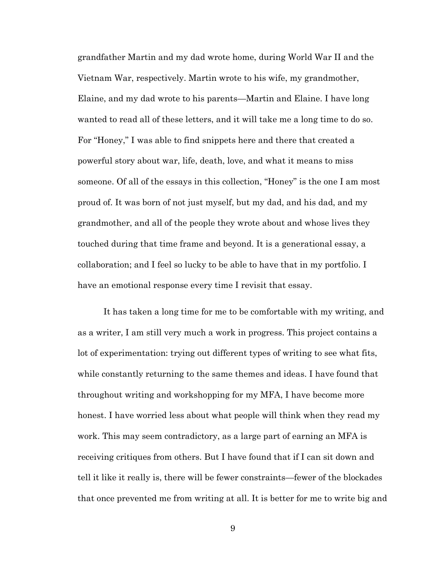grandfather Martin and my dad wrote home, during World War II and the Vietnam War, respectively. Martin wrote to his wife, my grandmother, Elaine, and my dad wrote to his parents—Martin and Elaine. I have long wanted to read all of these letters, and it will take me a long time to do so. For "Honey," I was able to find snippets here and there that created a powerful story about war, life, death, love, and what it means to miss someone. Of all of the essays in this collection, "Honey" is the one I am most proud of. It was born of not just myself, but my dad, and his dad, and my grandmother, and all of the people they wrote about and whose lives they touched during that time frame and beyond. It is a generational essay, a collaboration; and I feel so lucky to be able to have that in my portfolio. I have an emotional response every time I revisit that essay.

It has taken a long time for me to be comfortable with my writing, and as a writer, I am still very much a work in progress. This project contains a lot of experimentation: trying out different types of writing to see what fits, while constantly returning to the same themes and ideas. I have found that throughout writing and workshopping for my MFA, I have become more honest. I have worried less about what people will think when they read my work. This may seem contradictory, as a large part of earning an MFA is receiving critiques from others. But I have found that if I can sit down and tell it like it really is, there will be fewer constraints—fewer of the blockades that once prevented me from writing at all. It is better for me to write big and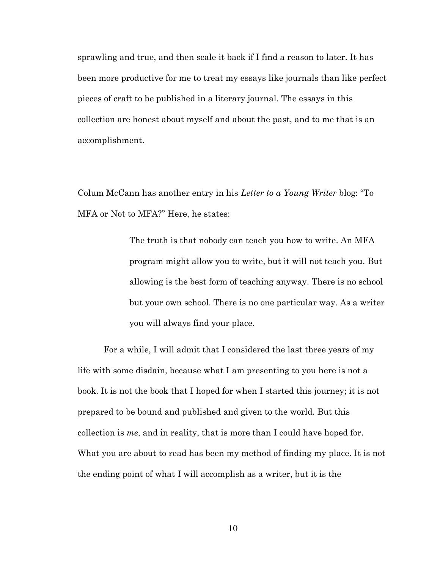sprawling and true, and then scale it back if I find a reason to later. It has been more productive for me to treat my essays like journals than like perfect pieces of craft to be published in a literary journal. The essays in this collection are honest about myself and about the past, and to me that is an accomplishment.

Colum McCann has another entry in his *Letter to a Young Writer* blog: "To MFA or Not to MFA?" Here, he states:

> The truth is that nobody can teach you how to write. An MFA program might allow you to write, but it will not teach you. But allowing is the best form of teaching anyway. There is no school but your own school. There is no one particular way. As a writer you will always find your place.

For a while, I will admit that I considered the last three years of my life with some disdain, because what I am presenting to you here is not a book. It is not the book that I hoped for when I started this journey; it is not prepared to be bound and published and given to the world. But this collection is *me*, and in reality, that is more than I could have hoped for. What you are about to read has been my method of finding my place. It is not the ending point of what I will accomplish as a writer, but it is the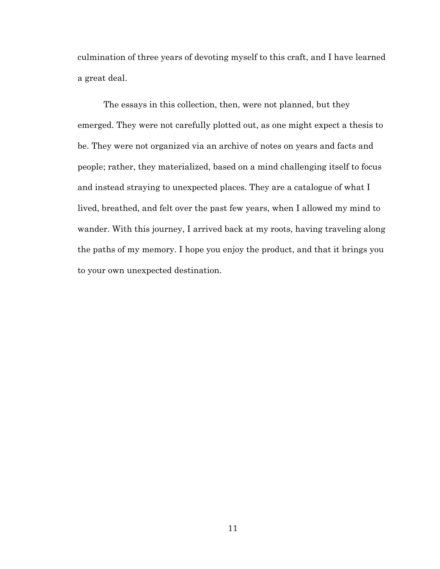culmination of three years of devoting myself to this craft, and I have learned a great deal.

The essays in this collection, then, were not planned, but they emerged. They were not carefully plotted out, as one might expect a thesis to be. They were not organized via an archive of notes on years and facts and people; rather, they materialized, based on a mind challenging itself to focus and instead straying to unexpected places. They are a catalogue of what I lived, breathed, and felt over the past few years, when I allowed my mind to wander. With this journey, I arrived back at my roots, having traveling along the paths of my memory. I hope you enjoy the product, and that it brings you to your own unexpected destination.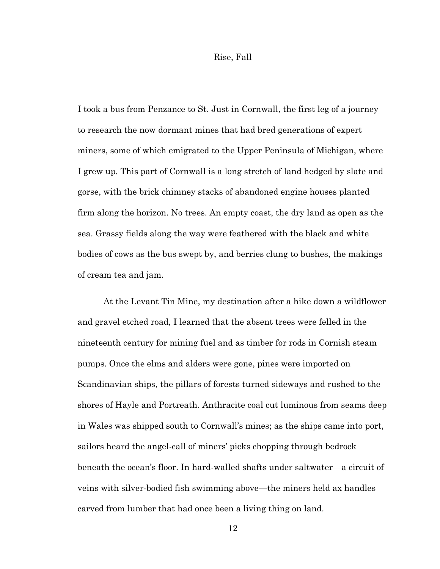#### Rise, Fall

I took a bus from Penzance to St. Just in Cornwall, the first leg of a journey to research the now dormant mines that had bred generations of expert miners, some of which emigrated to the Upper Peninsula of Michigan, where I grew up. This part of Cornwall is a long stretch of land hedged by slate and gorse, with the brick chimney stacks of abandoned engine houses planted firm along the horizon. No trees. An empty coast, the dry land as open as the sea. Grassy fields along the way were feathered with the black and white bodies of cows as the bus swept by, and berries clung to bushes, the makings of cream tea and jam.

At the Levant Tin Mine, my destination after a hike down a wildflower and gravel etched road, I learned that the absent trees were felled in the nineteenth century for mining fuel and as timber for rods in Cornish steam pumps. Once the elms and alders were gone, pines were imported on Scandinavian ships, the pillars of forests turned sideways and rushed to the shores of Hayle and Portreath. Anthracite coal cut luminous from seams deep in Wales was shipped south to Cornwall's mines; as the ships came into port, sailors heard the angel-call of miners' picks chopping through bedrock beneath the ocean's floor. In hard-walled shafts under saltwater—a circuit of veins with silver-bodied fish swimming above—the miners held ax handles carved from lumber that had once been a living thing on land.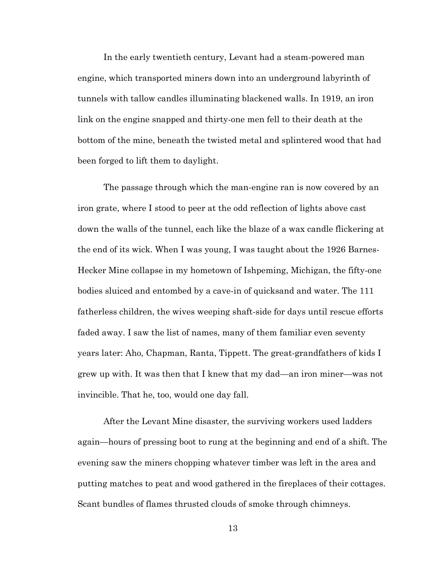In the early twentieth century, Levant had a steam-powered man engine, which transported miners down into an underground labyrinth of tunnels with tallow candles illuminating blackened walls. In 1919, an iron link on the engine snapped and thirty-one men fell to their death at the bottom of the mine, beneath the twisted metal and splintered wood that had been forged to lift them to daylight.

The passage through which the man-engine ran is now covered by an iron grate, where I stood to peer at the odd reflection of lights above cast down the walls of the tunnel, each like the blaze of a wax candle flickering at the end of its wick. When I was young, I was taught about the 1926 Barnes-Hecker Mine collapse in my hometown of Ishpeming, Michigan, the fifty-one bodies sluiced and entombed by a cave-in of quicksand and water. The 111 fatherless children, the wives weeping shaft-side for days until rescue efforts faded away. I saw the list of names, many of them familiar even seventy years later: Aho, Chapman, Ranta, Tippett. The great-grandfathers of kids I grew up with. It was then that I knew that my dad—an iron miner—was not invincible. That he, too, would one day fall.

After the Levant Mine disaster, the surviving workers used ladders again—hours of pressing boot to rung at the beginning and end of a shift. The evening saw the miners chopping whatever timber was left in the area and putting matches to peat and wood gathered in the fireplaces of their cottages. Scant bundles of flames thrusted clouds of smoke through chimneys.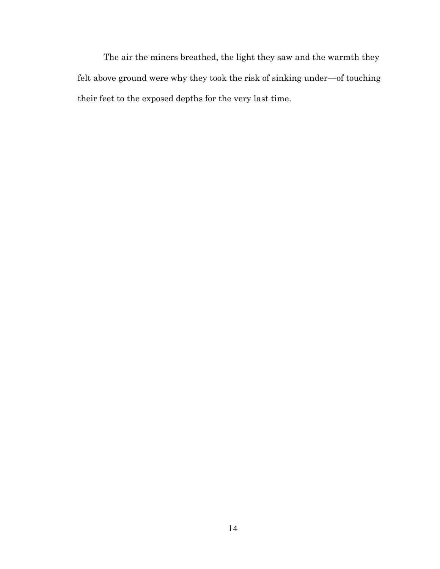The air the miners breathed, the light they saw and the warmth they felt above ground were why they took the risk of sinking under—of touching their feet to the exposed depths for the very last time.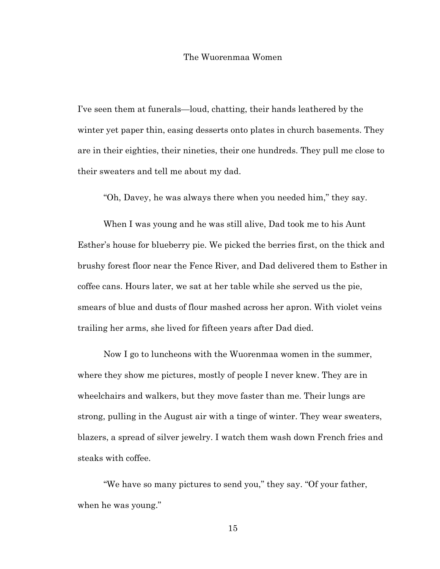#### The Wuorenmaa Women

I've seen them at funerals—loud, chatting, their hands leathered by the winter yet paper thin, easing desserts onto plates in church basements. They are in their eighties, their nineties, their one hundreds. They pull me close to their sweaters and tell me about my dad.

"Oh, Davey, he was always there when you needed him," they say.

When I was young and he was still alive, Dad took me to his Aunt Esther's house for blueberry pie. We picked the berries first, on the thick and brushy forest floor near the Fence River, and Dad delivered them to Esther in coffee cans. Hours later, we sat at her table while she served us the pie, smears of blue and dusts of flour mashed across her apron. With violet veins trailing her arms, she lived for fifteen years after Dad died.

Now I go to luncheons with the Wuorenmaa women in the summer, where they show me pictures, mostly of people I never knew. They are in wheelchairs and walkers, but they move faster than me. Their lungs are strong, pulling in the August air with a tinge of winter. They wear sweaters, blazers, a spread of silver jewelry. I watch them wash down French fries and steaks with coffee.

"We have so many pictures to send you," they say. "Of your father, when he was young."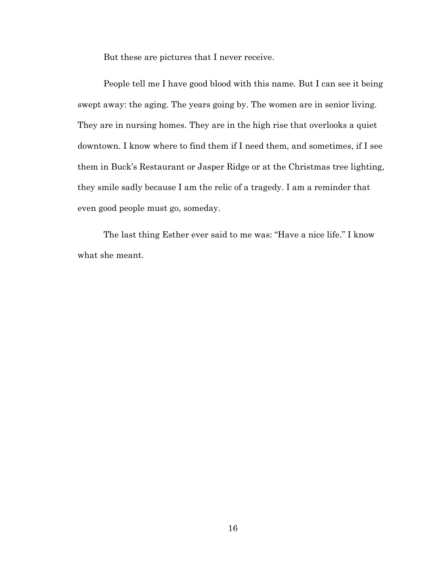But these are pictures that I never receive.

People tell me I have good blood with this name. But I can see it being swept away: the aging. The years going by. The women are in senior living. They are in nursing homes. They are in the high rise that overlooks a quiet downtown. I know where to find them if I need them, and sometimes, if I see them in Buck's Restaurant or Jasper Ridge or at the Christmas tree lighting, they smile sadly because I am the relic of a tragedy. I am a reminder that even good people must go, someday.

The last thing Esther ever said to me was: "Have a nice life." I know what she meant.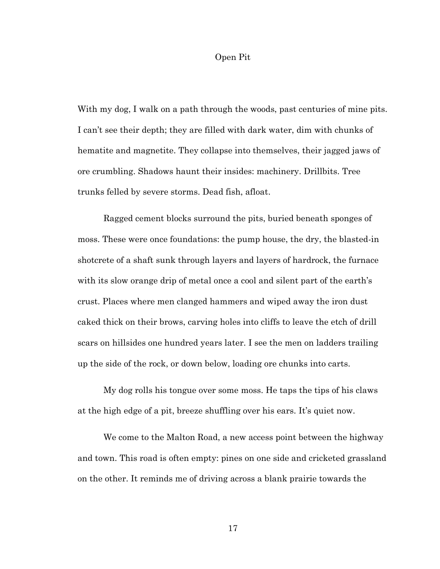#### Open Pit

With my dog, I walk on a path through the woods, past centuries of mine pits. I can't see their depth; they are filled with dark water, dim with chunks of hematite and magnetite. They collapse into themselves, their jagged jaws of ore crumbling. Shadows haunt their insides: machinery. Drillbits. Tree trunks felled by severe storms. Dead fish, afloat.

Ragged cement blocks surround the pits, buried beneath sponges of moss. These were once foundations: the pump house, the dry, the blasted-in shotcrete of a shaft sunk through layers and layers of hardrock, the furnace with its slow orange drip of metal once a cool and silent part of the earth's crust. Places where men clanged hammers and wiped away the iron dust caked thick on their brows, carving holes into cliffs to leave the etch of drill scars on hillsides one hundred years later. I see the men on ladders trailing up the side of the rock, or down below, loading ore chunks into carts.

My dog rolls his tongue over some moss. He taps the tips of his claws at the high edge of a pit, breeze shuffling over his ears. It's quiet now.

We come to the Malton Road, a new access point between the highway and town. This road is often empty: pines on one side and cricketed grassland on the other. It reminds me of driving across a blank prairie towards the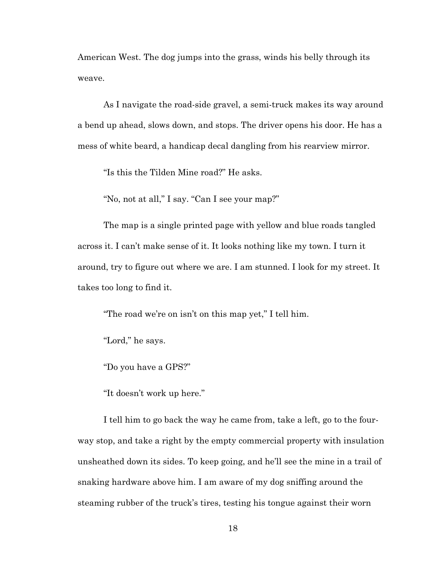American West. The dog jumps into the grass, winds his belly through its weave.

As I navigate the road-side gravel, a semi-truck makes its way around a bend up ahead, slows down, and stops. The driver opens his door. He has a mess of white beard, a handicap decal dangling from his rearview mirror.

"Is this the Tilden Mine road?" He asks.

"No, not at all," I say. "Can I see your map?"

The map is a single printed page with yellow and blue roads tangled across it. I can't make sense of it. It looks nothing like my town. I turn it around, try to figure out where we are. I am stunned. I look for my street. It takes too long to find it.

"The road we're on isn't on this map yet," I tell him.

"Lord," he says.

"Do you have a GPS?"

"It doesn't work up here."

I tell him to go back the way he came from, take a left, go to the fourway stop, and take a right by the empty commercial property with insulation unsheathed down its sides. To keep going, and he'll see the mine in a trail of snaking hardware above him. I am aware of my dog sniffing around the steaming rubber of the truck's tires, testing his tongue against their worn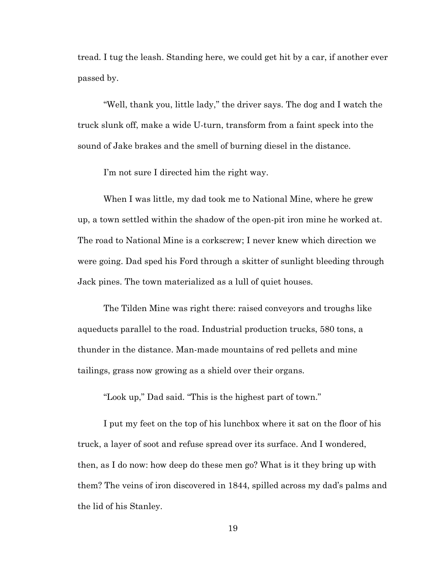tread. I tug the leash. Standing here, we could get hit by a car, if another ever passed by.

"Well, thank you, little lady," the driver says. The dog and I watch the truck slunk off, make a wide U-turn, transform from a faint speck into the sound of Jake brakes and the smell of burning diesel in the distance.

I'm not sure I directed him the right way.

When I was little, my dad took me to National Mine, where he grew up, a town settled within the shadow of the open-pit iron mine he worked at. The road to National Mine is a corkscrew; I never knew which direction we were going. Dad sped his Ford through a skitter of sunlight bleeding through Jack pines. The town materialized as a lull of quiet houses.

The Tilden Mine was right there: raised conveyors and troughs like aqueducts parallel to the road. Industrial production trucks, 580 tons, a thunder in the distance. Man-made mountains of red pellets and mine tailings, grass now growing as a shield over their organs.

"Look up," Dad said. "This is the highest part of town."

I put my feet on the top of his lunchbox where it sat on the floor of his truck, a layer of soot and refuse spread over its surface. And I wondered, then, as I do now: how deep do these men go? What is it they bring up with them? The veins of iron discovered in 1844, spilled across my dad's palms and the lid of his Stanley.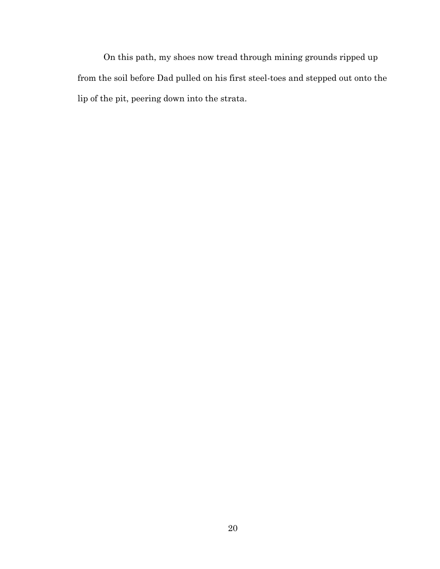On this path, my shoes now tread through mining grounds ripped up from the soil before Dad pulled on his first steel-toes and stepped out onto the lip of the pit, peering down into the strata.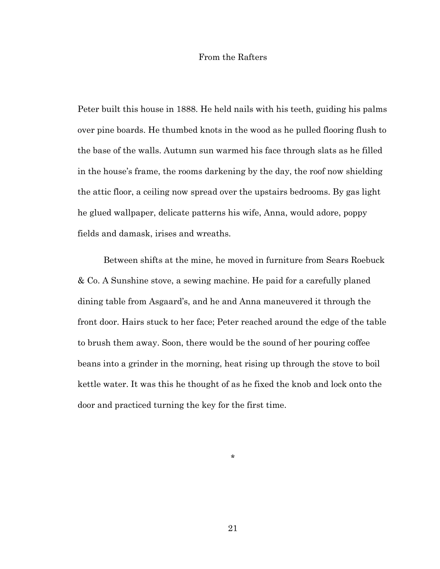#### From the Rafters

Peter built this house in 1888. He held nails with his teeth, guiding his palms over pine boards. He thumbed knots in the wood as he pulled flooring flush to the base of the walls. Autumn sun warmed his face through slats as he filled in the house's frame, the rooms darkening by the day, the roof now shielding the attic floor, a ceiling now spread over the upstairs bedrooms. By gas light he glued wallpaper, delicate patterns his wife, Anna, would adore, poppy fields and damask, irises and wreaths.

Between shifts at the mine, he moved in furniture from Sears Roebuck & Co. A Sunshine stove, a sewing machine. He paid for a carefully planed dining table from Asgaard's, and he and Anna maneuvered it through the front door. Hairs stuck to her face; Peter reached around the edge of the table to brush them away. Soon, there would be the sound of her pouring coffee beans into a grinder in the morning, heat rising up through the stove to boil kettle water. It was this he thought of as he fixed the knob and lock onto the door and practiced turning the key for the first time.

\*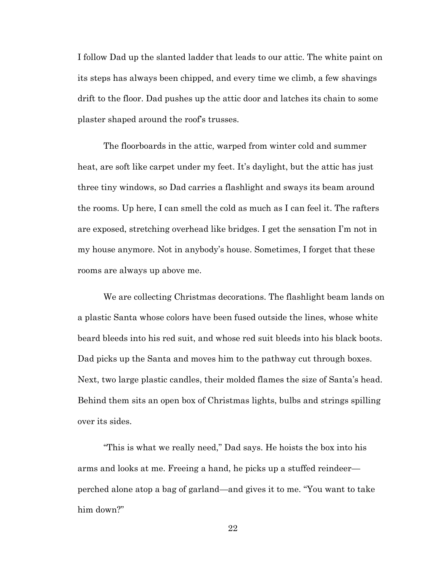I follow Dad up the slanted ladder that leads to our attic. The white paint on its steps has always been chipped, and every time we climb, a few shavings drift to the floor. Dad pushes up the attic door and latches its chain to some plaster shaped around the roof's trusses.

The floorboards in the attic, warped from winter cold and summer heat, are soft like carpet under my feet. It's daylight, but the attic has just three tiny windows, so Dad carries a flashlight and sways its beam around the rooms. Up here, I can smell the cold as much as I can feel it. The rafters are exposed, stretching overhead like bridges. I get the sensation I'm not in my house anymore. Not in anybody's house. Sometimes, I forget that these rooms are always up above me.

We are collecting Christmas decorations. The flashlight beam lands on a plastic Santa whose colors have been fused outside the lines, whose white beard bleeds into his red suit, and whose red suit bleeds into his black boots. Dad picks up the Santa and moves him to the pathway cut through boxes. Next, two large plastic candles, their molded flames the size of Santa's head. Behind them sits an open box of Christmas lights, bulbs and strings spilling over its sides.

"This is what we really need," Dad says. He hoists the box into his arms and looks at me. Freeing a hand, he picks up a stuffed reindeer perched alone atop a bag of garland—and gives it to me. "You want to take him down?"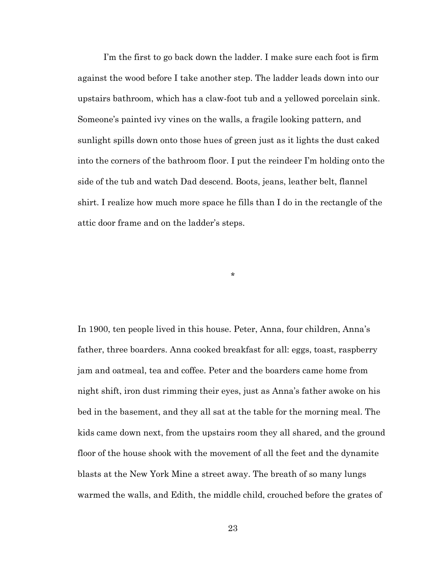I'm the first to go back down the ladder. I make sure each foot is firm against the wood before I take another step. The ladder leads down into our upstairs bathroom, which has a claw-foot tub and a yellowed porcelain sink. Someone's painted ivy vines on the walls, a fragile looking pattern, and sunlight spills down onto those hues of green just as it lights the dust caked into the corners of the bathroom floor. I put the reindeer I'm holding onto the side of the tub and watch Dad descend. Boots, jeans, leather belt, flannel shirt. I realize how much more space he fills than I do in the rectangle of the attic door frame and on the ladder's steps.

In 1900, ten people lived in this house. Peter, Anna, four children, Anna's father, three boarders. Anna cooked breakfast for all: eggs, toast, raspberry jam and oatmeal, tea and coffee. Peter and the boarders came home from night shift, iron dust rimming their eyes, just as Anna's father awoke on his bed in the basement, and they all sat at the table for the morning meal. The kids came down next, from the upstairs room they all shared, and the ground floor of the house shook with the movement of all the feet and the dynamite blasts at the New York Mine a street away. The breath of so many lungs warmed the walls, and Edith, the middle child, crouched before the grates of

\*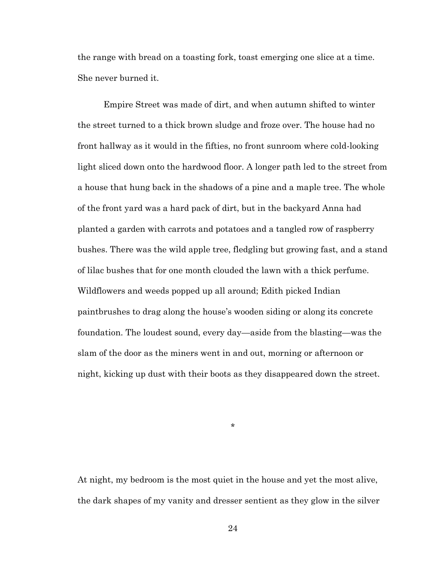the range with bread on a toasting fork, toast emerging one slice at a time. She never burned it.

Empire Street was made of dirt, and when autumn shifted to winter the street turned to a thick brown sludge and froze over. The house had no front hallway as it would in the fifties, no front sunroom where cold-looking light sliced down onto the hardwood floor. A longer path led to the street from a house that hung back in the shadows of a pine and a maple tree. The whole of the front yard was a hard pack of dirt, but in the backyard Anna had planted a garden with carrots and potatoes and a tangled row of raspberry bushes. There was the wild apple tree, fledgling but growing fast, and a stand of lilac bushes that for one month clouded the lawn with a thick perfume. Wildflowers and weeds popped up all around; Edith picked Indian paintbrushes to drag along the house's wooden siding or along its concrete foundation. The loudest sound, every day—aside from the blasting—was the slam of the door as the miners went in and out, morning or afternoon or night, kicking up dust with their boots as they disappeared down the street.

\*

At night, my bedroom is the most quiet in the house and yet the most alive, the dark shapes of my vanity and dresser sentient as they glow in the silver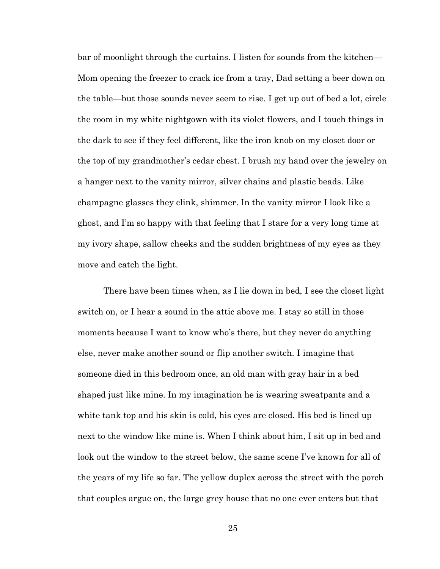bar of moonlight through the curtains. I listen for sounds from the kitchen— Mom opening the freezer to crack ice from a tray, Dad setting a beer down on the table—but those sounds never seem to rise. I get up out of bed a lot, circle the room in my white nightgown with its violet flowers, and I touch things in the dark to see if they feel different, like the iron knob on my closet door or the top of my grandmother's cedar chest. I brush my hand over the jewelry on a hanger next to the vanity mirror, silver chains and plastic beads. Like champagne glasses they clink, shimmer. In the vanity mirror I look like a ghost, and I'm so happy with that feeling that I stare for a very long time at my ivory shape, sallow cheeks and the sudden brightness of my eyes as they move and catch the light.

There have been times when, as I lie down in bed, I see the closet light switch on, or I hear a sound in the attic above me. I stay so still in those moments because I want to know who's there, but they never do anything else, never make another sound or flip another switch. I imagine that someone died in this bedroom once, an old man with gray hair in a bed shaped just like mine. In my imagination he is wearing sweatpants and a white tank top and his skin is cold, his eyes are closed. His bed is lined up next to the window like mine is. When I think about him, I sit up in bed and look out the window to the street below, the same scene I've known for all of the years of my life so far. The yellow duplex across the street with the porch that couples argue on, the large grey house that no one ever enters but that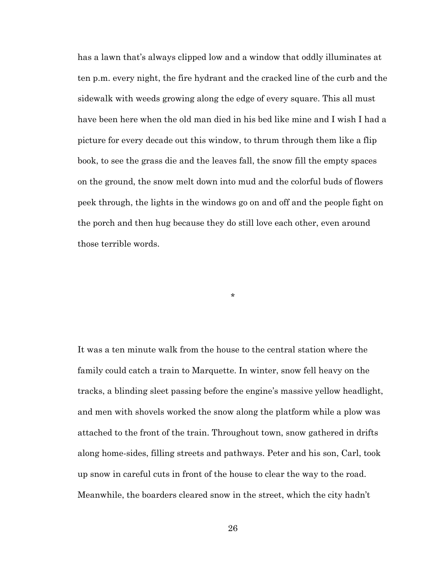has a lawn that's always clipped low and a window that oddly illuminates at ten p.m. every night, the fire hydrant and the cracked line of the curb and the sidewalk with weeds growing along the edge of every square. This all must have been here when the old man died in his bed like mine and I wish I had a picture for every decade out this window, to thrum through them like a flip book, to see the grass die and the leaves fall, the snow fill the empty spaces on the ground, the snow melt down into mud and the colorful buds of flowers peek through, the lights in the windows go on and off and the people fight on the porch and then hug because they do still love each other, even around those terrible words.

\*

It was a ten minute walk from the house to the central station where the family could catch a train to Marquette. In winter, snow fell heavy on the tracks, a blinding sleet passing before the engine's massive yellow headlight, and men with shovels worked the snow along the platform while a plow was attached to the front of the train. Throughout town, snow gathered in drifts along home-sides, filling streets and pathways. Peter and his son, Carl, took up snow in careful cuts in front of the house to clear the way to the road. Meanwhile, the boarders cleared snow in the street, which the city hadn't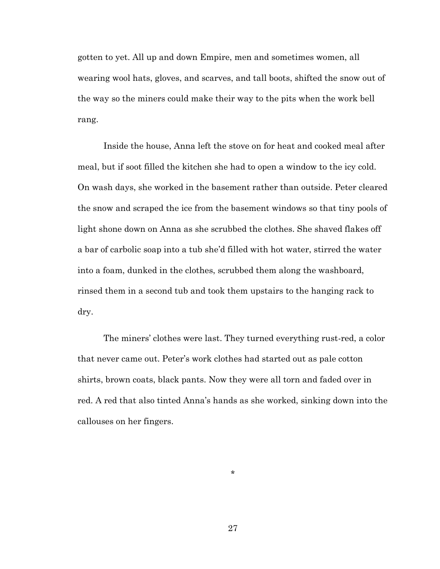gotten to yet. All up and down Empire, men and sometimes women, all wearing wool hats, gloves, and scarves, and tall boots, shifted the snow out of the way so the miners could make their way to the pits when the work bell rang.

Inside the house, Anna left the stove on for heat and cooked meal after meal, but if soot filled the kitchen she had to open a window to the icy cold. On wash days, she worked in the basement rather than outside. Peter cleared the snow and scraped the ice from the basement windows so that tiny pools of light shone down on Anna as she scrubbed the clothes. She shaved flakes off a bar of carbolic soap into a tub she'd filled with hot water, stirred the water into a foam, dunked in the clothes, scrubbed them along the washboard, rinsed them in a second tub and took them upstairs to the hanging rack to dry.

The miners' clothes were last. They turned everything rust-red, a color that never came out. Peter's work clothes had started out as pale cotton shirts, brown coats, black pants. Now they were all torn and faded over in red. A red that also tinted Anna's hands as she worked, sinking down into the callouses on her fingers.

\*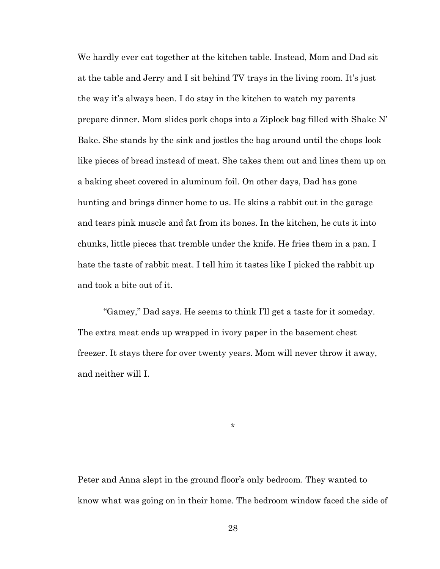We hardly ever eat together at the kitchen table. Instead, Mom and Dad sit at the table and Jerry and I sit behind TV trays in the living room. It's just the way it's always been. I do stay in the kitchen to watch my parents prepare dinner. Mom slides pork chops into a Ziplock bag filled with Shake N' Bake. She stands by the sink and jostles the bag around until the chops look like pieces of bread instead of meat. She takes them out and lines them up on a baking sheet covered in aluminum foil. On other days, Dad has gone hunting and brings dinner home to us. He skins a rabbit out in the garage and tears pink muscle and fat from its bones. In the kitchen, he cuts it into chunks, little pieces that tremble under the knife. He fries them in a pan. I hate the taste of rabbit meat. I tell him it tastes like I picked the rabbit up and took a bite out of it.

"Gamey," Dad says. He seems to think I'll get a taste for it someday. The extra meat ends up wrapped in ivory paper in the basement chest freezer. It stays there for over twenty years. Mom will never throw it away, and neither will I.

\*

Peter and Anna slept in the ground floor's only bedroom. They wanted to know what was going on in their home. The bedroom window faced the side of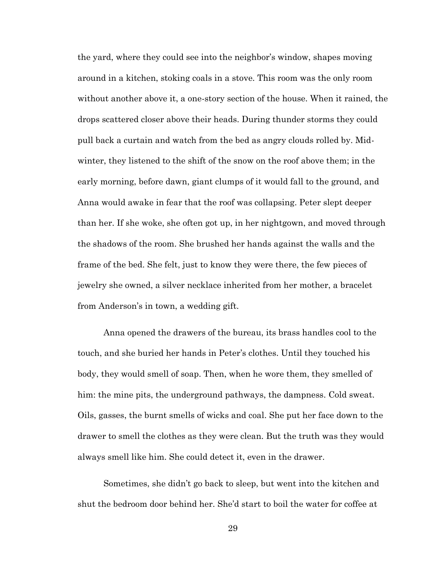the yard, where they could see into the neighbor's window, shapes moving around in a kitchen, stoking coals in a stove. This room was the only room without another above it, a one-story section of the house. When it rained, the drops scattered closer above their heads. During thunder storms they could pull back a curtain and watch from the bed as angry clouds rolled by. Midwinter, they listened to the shift of the snow on the roof above them; in the early morning, before dawn, giant clumps of it would fall to the ground, and Anna would awake in fear that the roof was collapsing. Peter slept deeper than her. If she woke, she often got up, in her nightgown, and moved through the shadows of the room. She brushed her hands against the walls and the frame of the bed. She felt, just to know they were there, the few pieces of jewelry she owned, a silver necklace inherited from her mother, a bracelet from Anderson's in town, a wedding gift.

Anna opened the drawers of the bureau, its brass handles cool to the touch, and she buried her hands in Peter's clothes. Until they touched his body, they would smell of soap. Then, when he wore them, they smelled of him: the mine pits, the underground pathways, the dampness. Cold sweat. Oils, gasses, the burnt smells of wicks and coal. She put her face down to the drawer to smell the clothes as they were clean. But the truth was they would always smell like him. She could detect it, even in the drawer.

Sometimes, she didn't go back to sleep, but went into the kitchen and shut the bedroom door behind her. She'd start to boil the water for coffee at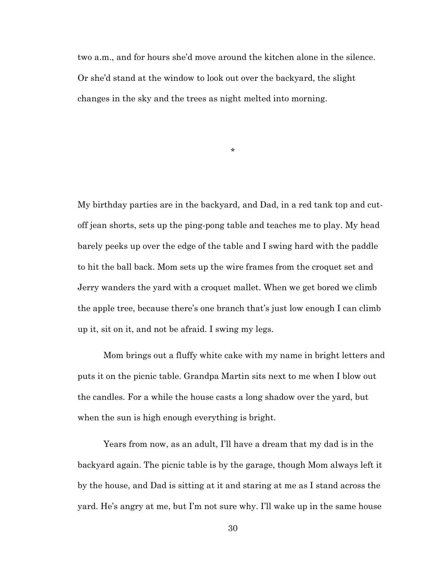two a.m., and for hours she'd move around the kitchen alone in the silence. Or she'd stand at the window to look out over the backyard, the slight changes in the sky and the trees as night melted into morning.

\*

My birthday parties are in the backyard, and Dad, in a red tank top and cutoff jean shorts, sets up the ping-pong table and teaches me to play. My head barely peeks up over the edge of the table and I swing hard with the paddle to hit the ball back. Mom sets up the wire frames from the croquet set and Jerry wanders the yard with a croquet mallet. When we get bored we climb the apple tree, because there's one branch that's just low enough I can climb up it, sit on it, and not be afraid. I swing my legs.

Mom brings out a fluffy white cake with my name in bright letters and puts it on the picnic table. Grandpa Martin sits next to me when I blow out the candles. For a while the house casts a long shadow over the yard, but when the sun is high enough everything is bright.

Years from now, as an adult, I'll have a dream that my dad is in the backyard again. The picnic table is by the garage, though Mom always left it by the house, and Dad is sitting at it and staring at me as I stand across the yard. He's angry at me, but I'm not sure why. I'll wake up in the same house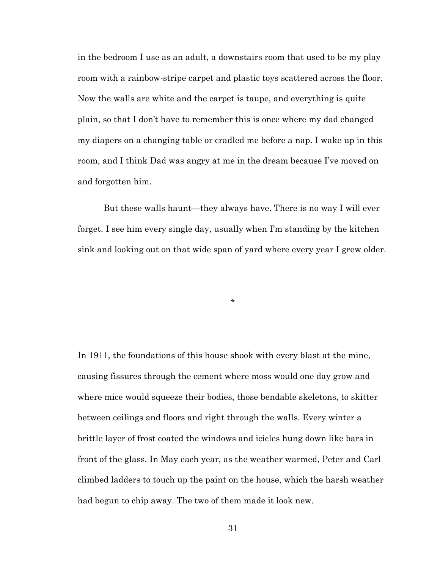in the bedroom I use as an adult, a downstairs room that used to be my play room with a rainbow-stripe carpet and plastic toys scattered across the floor. Now the walls are white and the carpet is taupe, and everything is quite plain, so that I don't have to remember this is once where my dad changed my diapers on a changing table or cradled me before a nap. I wake up in this room, and I think Dad was angry at me in the dream because I've moved on and forgotten him.

But these walls haunt—they always have. There is no way I will ever forget. I see him every single day, usually when I'm standing by the kitchen sink and looking out on that wide span of yard where every year I grew older.

\*

In 1911, the foundations of this house shook with every blast at the mine, causing fissures through the cement where moss would one day grow and where mice would squeeze their bodies, those bendable skeletons, to skitter between ceilings and floors and right through the walls. Every winter a brittle layer of frost coated the windows and icicles hung down like bars in front of the glass. In May each year, as the weather warmed, Peter and Carl climbed ladders to touch up the paint on the house, which the harsh weather had begun to chip away. The two of them made it look new.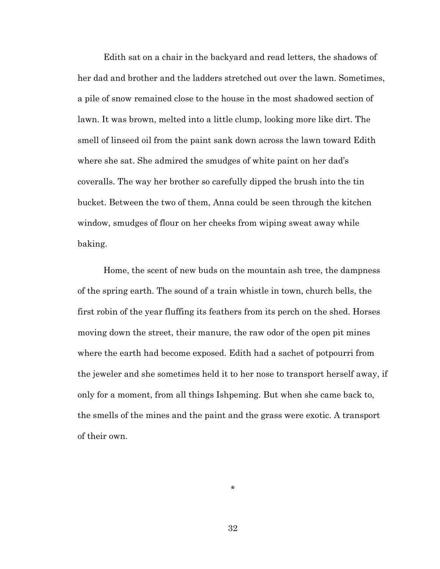Edith sat on a chair in the backyard and read letters, the shadows of her dad and brother and the ladders stretched out over the lawn. Sometimes, a pile of snow remained close to the house in the most shadowed section of lawn. It was brown, melted into a little clump, looking more like dirt. The smell of linseed oil from the paint sank down across the lawn toward Edith where she sat. She admired the smudges of white paint on her dad's coveralls. The way her brother so carefully dipped the brush into the tin bucket. Between the two of them, Anna could be seen through the kitchen window, smudges of flour on her cheeks from wiping sweat away while baking.

Home, the scent of new buds on the mountain ash tree, the dampness of the spring earth. The sound of a train whistle in town, church bells, the first robin of the year fluffing its feathers from its perch on the shed. Horses moving down the street, their manure, the raw odor of the open pit mines where the earth had become exposed. Edith had a sachet of potpourri from the jeweler and she sometimes held it to her nose to transport herself away, if only for a moment, from all things Ishpeming. But when she came back to, the smells of the mines and the paint and the grass were exotic. A transport of their own.

32

\*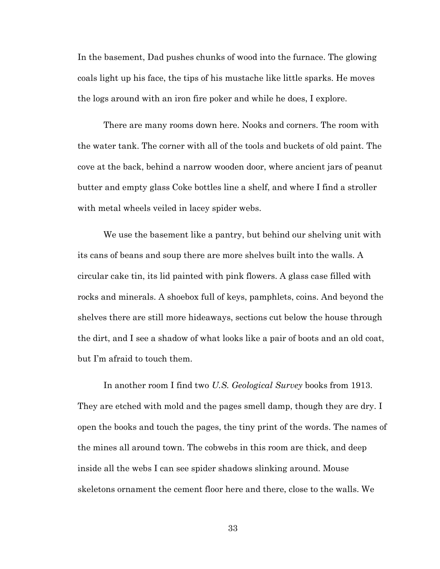In the basement, Dad pushes chunks of wood into the furnace. The glowing coals light up his face, the tips of his mustache like little sparks. He moves the logs around with an iron fire poker and while he does, I explore.

There are many rooms down here. Nooks and corners. The room with the water tank. The corner with all of the tools and buckets of old paint. The cove at the back, behind a narrow wooden door, where ancient jars of peanut butter and empty glass Coke bottles line a shelf, and where I find a stroller with metal wheels veiled in lacey spider webs.

We use the basement like a pantry, but behind our shelving unit with its cans of beans and soup there are more shelves built into the walls. A circular cake tin, its lid painted with pink flowers. A glass case filled with rocks and minerals. A shoebox full of keys, pamphlets, coins. And beyond the shelves there are still more hideaways, sections cut below the house through the dirt, and I see a shadow of what looks like a pair of boots and an old coat, but I'm afraid to touch them.

In another room I find two *U.S. Geological Survey* books from 1913. They are etched with mold and the pages smell damp, though they are dry. I open the books and touch the pages, the tiny print of the words. The names of the mines all around town. The cobwebs in this room are thick, and deep inside all the webs I can see spider shadows slinking around. Mouse skeletons ornament the cement floor here and there, close to the walls. We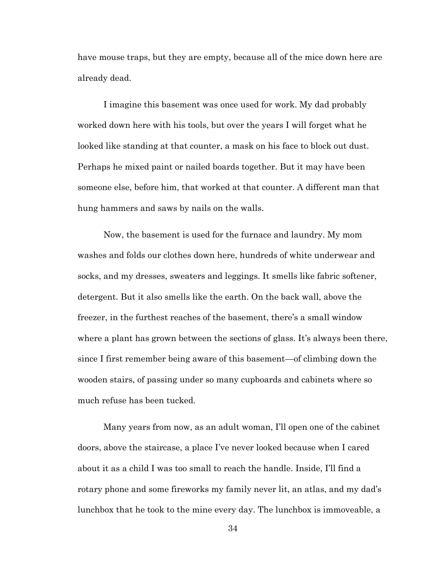have mouse traps, but they are empty, because all of the mice down here are already dead.

I imagine this basement was once used for work. My dad probably worked down here with his tools, but over the years I will forget what he looked like standing at that counter, a mask on his face to block out dust. Perhaps he mixed paint or nailed boards together. But it may have been someone else, before him, that worked at that counter. A different man that hung hammers and saws by nails on the walls.

Now, the basement is used for the furnace and laundry. My mom washes and folds our clothes down here, hundreds of white underwear and socks, and my dresses, sweaters and leggings. It smells like fabric softener, detergent. But it also smells like the earth. On the back wall, above the freezer, in the furthest reaches of the basement, there's a small window where a plant has grown between the sections of glass. It's always been there, since I first remember being aware of this basement—of climbing down the wooden stairs, of passing under so many cupboards and cabinets where so much refuse has been tucked.

Many years from now, as an adult woman, I'll open one of the cabinet doors, above the staircase, a place I've never looked because when I cared about it as a child I was too small to reach the handle. Inside, I'll find a rotary phone and some fireworks my family never lit, an atlas, and my dad's lunchbox that he took to the mine every day. The lunchbox is immoveable, a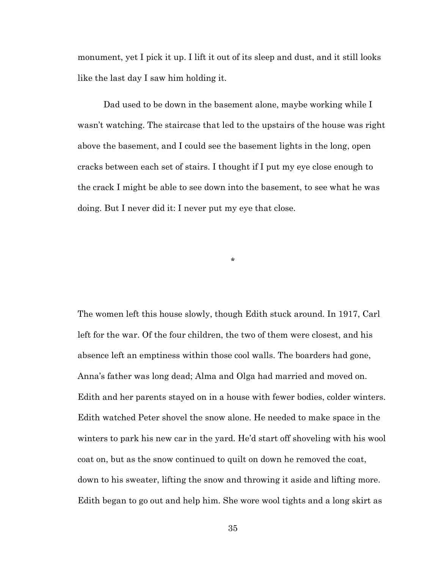monument, yet I pick it up. I lift it out of its sleep and dust, and it still looks like the last day I saw him holding it.

Dad used to be down in the basement alone, maybe working while I wasn't watching. The staircase that led to the upstairs of the house was right above the basement, and I could see the basement lights in the long, open cracks between each set of stairs. I thought if I put my eye close enough to the crack I might be able to see down into the basement, to see what he was doing. But I never did it: I never put my eye that close.

\*

The women left this house slowly, though Edith stuck around. In 1917, Carl left for the war. Of the four children, the two of them were closest, and his absence left an emptiness within those cool walls. The boarders had gone, Anna's father was long dead; Alma and Olga had married and moved on. Edith and her parents stayed on in a house with fewer bodies, colder winters. Edith watched Peter shovel the snow alone. He needed to make space in the winters to park his new car in the yard. He'd start off shoveling with his wool coat on, but as the snow continued to quilt on down he removed the coat, down to his sweater, lifting the snow and throwing it aside and lifting more. Edith began to go out and help him. She wore wool tights and a long skirt as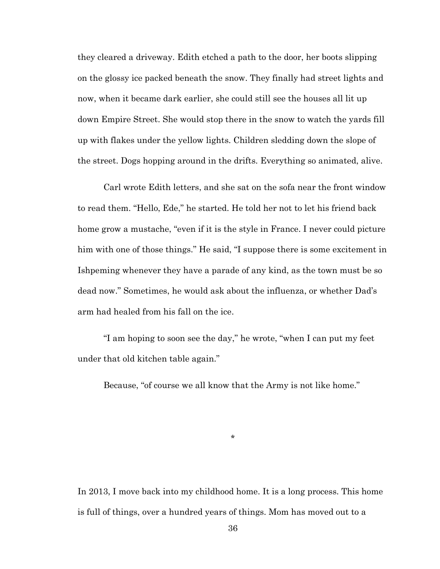they cleared a driveway. Edith etched a path to the door, her boots slipping on the glossy ice packed beneath the snow. They finally had street lights and now, when it became dark earlier, she could still see the houses all lit up down Empire Street. She would stop there in the snow to watch the yards fill up with flakes under the yellow lights. Children sledding down the slope of the street. Dogs hopping around in the drifts. Everything so animated, alive.

Carl wrote Edith letters, and she sat on the sofa near the front window to read them. "Hello, Ede," he started. He told her not to let his friend back home grow a mustache, "even if it is the style in France. I never could picture him with one of those things." He said, "I suppose there is some excitement in Ishpeming whenever they have a parade of any kind, as the town must be so dead now." Sometimes, he would ask about the influenza, or whether Dad's arm had healed from his fall on the ice.

"I am hoping to soon see the day," he wrote, "when I can put my feet under that old kitchen table again."

Because, "of course we all know that the Army is not like home."

\*

In 2013, I move back into my childhood home. It is a long process. This home is full of things, over a hundred years of things. Mom has moved out to a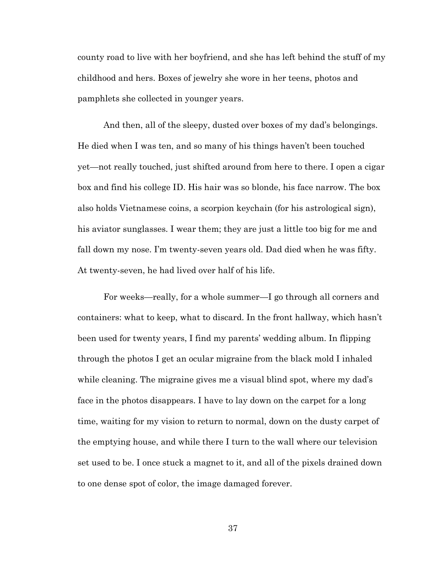county road to live with her boyfriend, and she has left behind the stuff of my childhood and hers. Boxes of jewelry she wore in her teens, photos and pamphlets she collected in younger years.

And then, all of the sleepy, dusted over boxes of my dad's belongings. He died when I was ten, and so many of his things haven't been touched yet—not really touched, just shifted around from here to there. I open a cigar box and find his college ID. His hair was so blonde, his face narrow. The box also holds Vietnamese coins, a scorpion keychain (for his astrological sign), his aviator sunglasses. I wear them; they are just a little too big for me and fall down my nose. I'm twenty-seven years old. Dad died when he was fifty. At twenty-seven, he had lived over half of his life.

For weeks—really, for a whole summer—I go through all corners and containers: what to keep, what to discard. In the front hallway, which hasn't been used for twenty years, I find my parents' wedding album. In flipping through the photos I get an ocular migraine from the black mold I inhaled while cleaning. The migraine gives me a visual blind spot, where my dad's face in the photos disappears. I have to lay down on the carpet for a long time, waiting for my vision to return to normal, down on the dusty carpet of the emptying house, and while there I turn to the wall where our television set used to be. I once stuck a magnet to it, and all of the pixels drained down to one dense spot of color, the image damaged forever.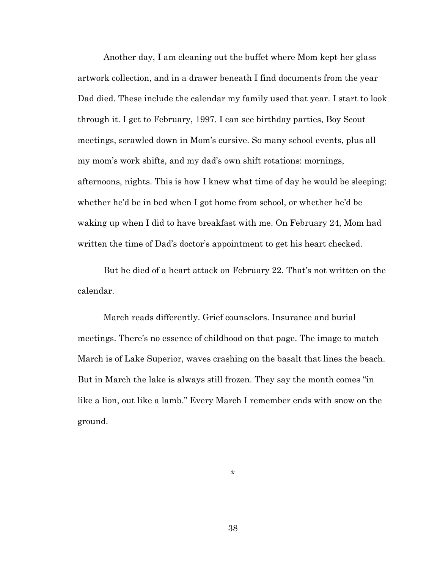Another day, I am cleaning out the buffet where Mom kept her glass artwork collection, and in a drawer beneath I find documents from the year Dad died. These include the calendar my family used that year. I start to look through it. I get to February, 1997. I can see birthday parties, Boy Scout meetings, scrawled down in Mom's cursive. So many school events, plus all my mom's work shifts, and my dad's own shift rotations: mornings, afternoons, nights. This is how I knew what time of day he would be sleeping: whether he'd be in bed when I got home from school, or whether he'd be waking up when I did to have breakfast with me. On February 24, Mom had written the time of Dad's doctor's appointment to get his heart checked.

But he died of a heart attack on February 22. That's not written on the calendar.

March reads differently. Grief counselors. Insurance and burial meetings. There's no essence of childhood on that page. The image to match March is of Lake Superior, waves crashing on the basalt that lines the beach. But in March the lake is always still frozen. They say the month comes "in like a lion, out like a lamb." Every March I remember ends with snow on the ground.

\*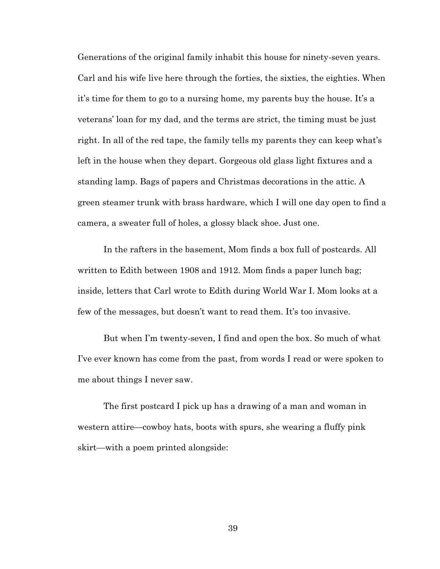Generations of the original family inhabit this house for ninety-seven years. Carl and his wife live here through the forties, the sixties, the eighties. When it's time for them to go to a nursing home, my parents buy the house. It's a veterans' loan for my dad, and the terms are strict, the timing must be just right. In all of the red tape, the family tells my parents they can keep what's left in the house when they depart. Gorgeous old glass light fixtures and a standing lamp. Bags of papers and Christmas decorations in the attic. A green steamer trunk with brass hardware, which I will one day open to find a camera, a sweater full of holes, a glossy black shoe. Just one.

In the rafters in the basement, Mom finds a box full of postcards. All written to Edith between 1908 and 1912. Mom finds a paper lunch bag; inside, letters that Carl wrote to Edith during World War I. Mom looks at a few of the messages, but doesn't want to read them. It's too invasive.

But when I'm twenty-seven, I find and open the box. So much of what I've ever known has come from the past, from words I read or were spoken to me about things I never saw.

The first postcard I pick up has a drawing of a man and woman in western attire—cowboy hats, boots with spurs, she wearing a fluffy pink skirt—with a poem printed alongside: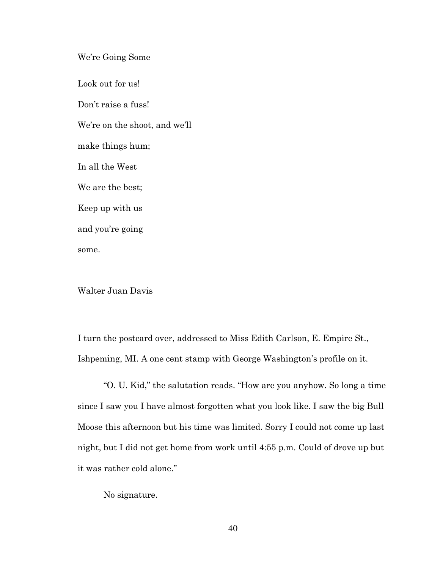We're Going Some

Look out for us! Don't raise a fuss! We're on the shoot, and we'll make things hum; In all the West We are the best; Keep up with us and you're going some.

Walter Juan Davis

I turn the postcard over, addressed to Miss Edith Carlson, E. Empire St., Ishpeming, MI. A one cent stamp with George Washington's profile on it.

"O. U. Kid," the salutation reads. "How are you anyhow. So long a time since I saw you I have almost forgotten what you look like. I saw the big Bull Moose this afternoon but his time was limited. Sorry I could not come up last night, but I did not get home from work until 4:55 p.m. Could of drove up but it was rather cold alone."

No signature.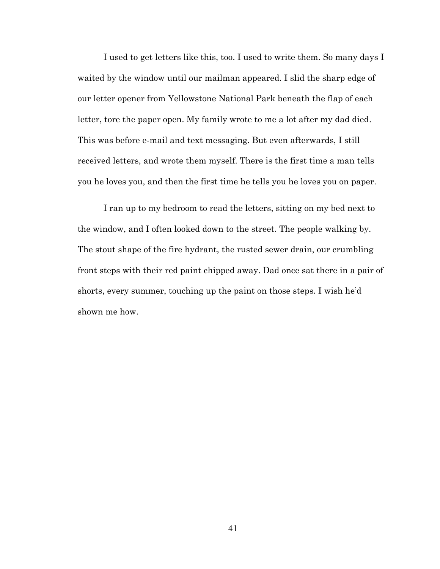I used to get letters like this, too. I used to write them. So many days I waited by the window until our mailman appeared. I slid the sharp edge of our letter opener from Yellowstone National Park beneath the flap of each letter, tore the paper open. My family wrote to me a lot after my dad died. This was before e-mail and text messaging. But even afterwards, I still received letters, and wrote them myself. There is the first time a man tells you he loves you, and then the first time he tells you he loves you on paper.

I ran up to my bedroom to read the letters, sitting on my bed next to the window, and I often looked down to the street. The people walking by. The stout shape of the fire hydrant, the rusted sewer drain, our crumbling front steps with their red paint chipped away. Dad once sat there in a pair of shorts, every summer, touching up the paint on those steps. I wish he'd shown me how.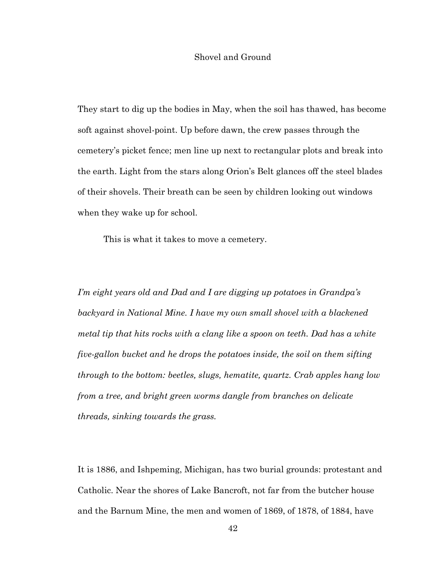#### Shovel and Ground

They start to dig up the bodies in May, when the soil has thawed, has become soft against shovel-point. Up before dawn, the crew passes through the cemetery's picket fence; men line up next to rectangular plots and break into the earth. Light from the stars along Orion's Belt glances off the steel blades of their shovels. Their breath can be seen by children looking out windows when they wake up for school.

This is what it takes to move a cemetery.

*I'm eight years old and Dad and I are digging up potatoes in Grandpa's backyard in National Mine. I have my own small shovel with a blackened metal tip that hits rocks with a clang like a spoon on teeth. Dad has a white five-gallon bucket and he drops the potatoes inside, the soil on them sifting through to the bottom: beetles, slugs, hematite, quartz. Crab apples hang low from a tree, and bright green worms dangle from branches on delicate threads, sinking towards the grass.*

It is 1886, and Ishpeming, Michigan, has two burial grounds: protestant and Catholic. Near the shores of Lake Bancroft, not far from the butcher house and the Barnum Mine, the men and women of 1869, of 1878, of 1884, have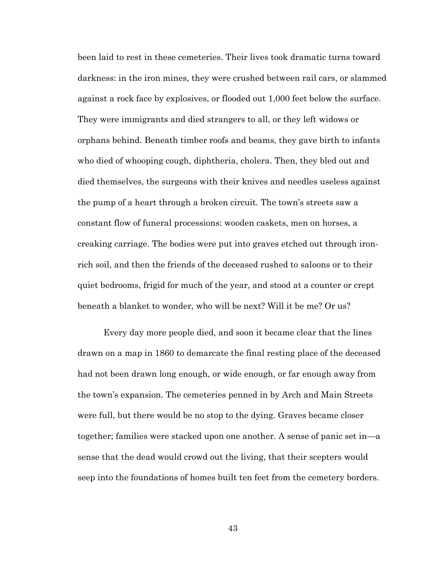been laid to rest in these cemeteries. Their lives took dramatic turns toward darkness: in the iron mines, they were crushed between rail cars, or slammed against a rock face by explosives, or flooded out 1,000 feet below the surface. They were immigrants and died strangers to all, or they left widows or orphans behind. Beneath timber roofs and beams, they gave birth to infants who died of whooping cough, diphtheria, cholera. Then, they bled out and died themselves, the surgeons with their knives and needles useless against the pump of a heart through a broken circuit. The town's streets saw a constant flow of funeral processions: wooden caskets, men on horses, a creaking carriage. The bodies were put into graves etched out through ironrich soil, and then the friends of the deceased rushed to saloons or to their quiet bedrooms, frigid for much of the year, and stood at a counter or crept beneath a blanket to wonder, who will be next? Will it be me? Or us?

Every day more people died, and soon it became clear that the lines drawn on a map in 1860 to demarcate the final resting place of the deceased had not been drawn long enough, or wide enough, or far enough away from the town's expansion. The cemeteries penned in by Arch and Main Streets were full, but there would be no stop to the dying. Graves became closer together; families were stacked upon one another. A sense of panic set in—a sense that the dead would crowd out the living, that their scepters would seep into the foundations of homes built ten feet from the cemetery borders.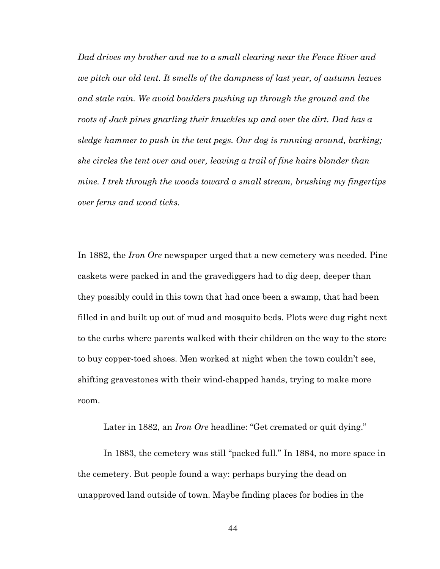*Dad drives my brother and me to a small clearing near the Fence River and we pitch our old tent. It smells of the dampness of last year, of autumn leaves and stale rain. We avoid boulders pushing up through the ground and the roots of Jack pines gnarling their knuckles up and over the dirt. Dad has a sledge hammer to push in the tent pegs. Our dog is running around, barking; she circles the tent over and over, leaving a trail of fine hairs blonder than mine. I trek through the woods toward a small stream, brushing my fingertips over ferns and wood ticks.*

In 1882, the *Iron Ore* newspaper urged that a new cemetery was needed. Pine caskets were packed in and the gravediggers had to dig deep, deeper than they possibly could in this town that had once been a swamp, that had been filled in and built up out of mud and mosquito beds. Plots were dug right next to the curbs where parents walked with their children on the way to the store to buy copper-toed shoes. Men worked at night when the town couldn't see, shifting gravestones with their wind-chapped hands, trying to make more room.

Later in 1882, an *Iron Ore* headline: "Get cremated or quit dying."

In 1883, the cemetery was still "packed full." In 1884, no more space in the cemetery. But people found a way: perhaps burying the dead on unapproved land outside of town. Maybe finding places for bodies in the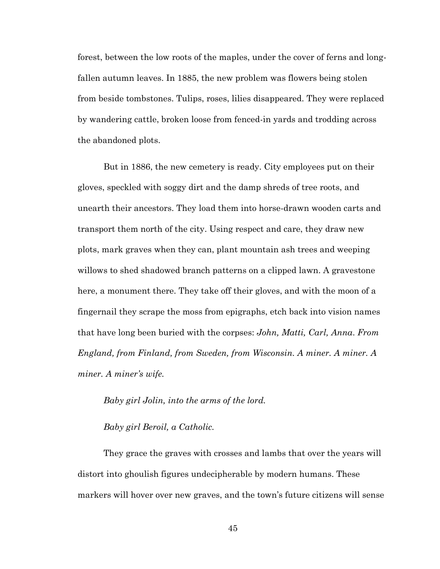forest, between the low roots of the maples, under the cover of ferns and longfallen autumn leaves. In 1885, the new problem was flowers being stolen from beside tombstones. Tulips, roses, lilies disappeared. They were replaced by wandering cattle, broken loose from fenced-in yards and trodding across the abandoned plots.

But in 1886, the new cemetery is ready. City employees put on their gloves, speckled with soggy dirt and the damp shreds of tree roots, and unearth their ancestors. They load them into horse-drawn wooden carts and transport them north of the city. Using respect and care, they draw new plots, mark graves when they can, plant mountain ash trees and weeping willows to shed shadowed branch patterns on a clipped lawn. A gravestone here, a monument there. They take off their gloves, and with the moon of a fingernail they scrape the moss from epigraphs, etch back into vision names that have long been buried with the corpses: *John, Matti, Carl, Anna*. *From England, from Finland, from Sweden, from Wisconsin. A miner. A miner. A miner. A miner's wife.*

*Baby girl Jolin, into the arms of the lord.*

*Baby girl Beroil, a Catholic.*

They grace the graves with crosses and lambs that over the years will distort into ghoulish figures undecipherable by modern humans. These markers will hover over new graves, and the town's future citizens will sense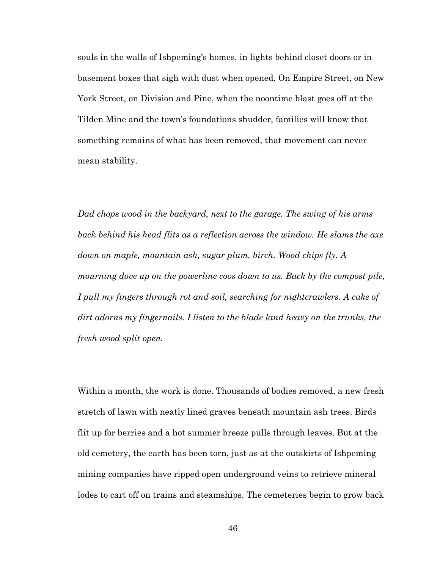souls in the walls of Ishpeming's homes, in lights behind closet doors or in basement boxes that sigh with dust when opened. On Empire Street, on New York Street, on Division and Pine, when the noontime blast goes off at the Tilden Mine and the town's foundations shudder, families will know that something remains of what has been removed, that movement can never mean stability.

*Dad chops wood in the backyard, next to the garage. The swing of his arms*  back behind his head flits as a reflection across the window. He slams the axe *down on maple, mountain ash, sugar plum, birch. Wood chips fly. A mourning dove up on the powerline coos down to us. Back by the compost pile, I pull my fingers through rot and soil, searching for nightcrawlers. A cake of dirt adorns my fingernails. I listen to the blade land heavy on the trunks, the fresh wood split open.*

Within a month, the work is done. Thousands of bodies removed, a new fresh stretch of lawn with neatly lined graves beneath mountain ash trees. Birds flit up for berries and a hot summer breeze pulls through leaves. But at the old cemetery, the earth has been torn, just as at the outskirts of Ishpeming mining companies have ripped open underground veins to retrieve mineral lodes to cart off on trains and steamships. The cemeteries begin to grow back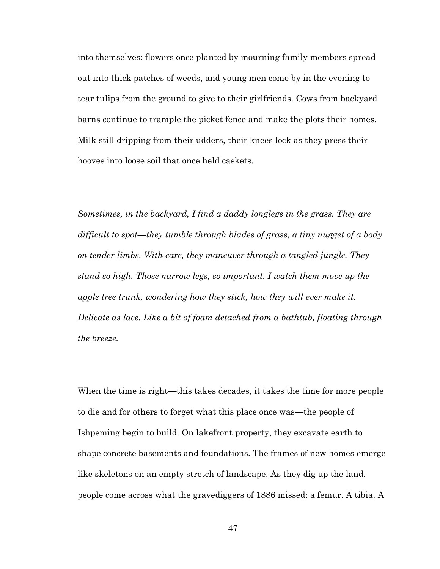into themselves: flowers once planted by mourning family members spread out into thick patches of weeds, and young men come by in the evening to tear tulips from the ground to give to their girlfriends. Cows from backyard barns continue to trample the picket fence and make the plots their homes. Milk still dripping from their udders, their knees lock as they press their hooves into loose soil that once held caskets.

*Sometimes, in the backyard, I find a daddy longlegs in the grass. They are difficult to spot—they tumble through blades of grass, a tiny nugget of a body on tender limbs. With care, they maneuver through a tangled jungle. They stand so high. Those narrow legs, so important. I watch them move up the apple tree trunk, wondering how they stick, how they will ever make it. Delicate as lace. Like a bit of foam detached from a bathtub, floating through the breeze.*

When the time is right—this takes decades, it takes the time for more people to die and for others to forget what this place once was—the people of Ishpeming begin to build. On lakefront property, they excavate earth to shape concrete basements and foundations. The frames of new homes emerge like skeletons on an empty stretch of landscape. As they dig up the land, people come across what the gravediggers of 1886 missed: a femur. A tibia. A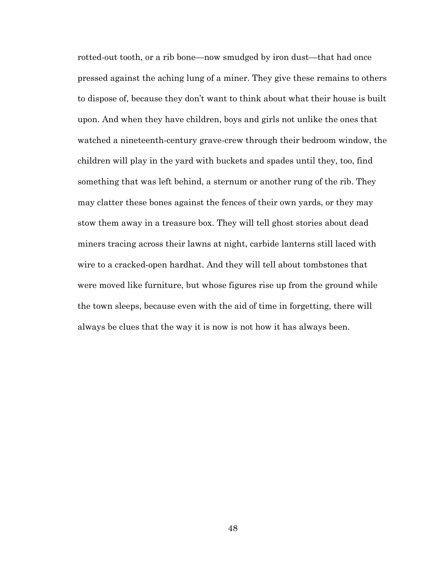rotted-out tooth, or a rib bone—now smudged by iron dust—that had once pressed against the aching lung of a miner. They give these remains to others to dispose of, because they don't want to think about what their house is built upon. And when they have children, boys and girls not unlike the ones that watched a nineteenth-century grave-crew through their bedroom window, the children will play in the yard with buckets and spades until they, too, find something that was left behind, a sternum or another rung of the rib. They may clatter these bones against the fences of their own yards, or they may stow them away in a treasure box. They will tell ghost stories about dead miners tracing across their lawns at night, carbide lanterns still laced with wire to a cracked-open hardhat. And they will tell about tombstones that were moved like furniture, but whose figures rise up from the ground while the town sleeps, because even with the aid of time in forgetting, there will always be clues that the way it is now is not how it has always been.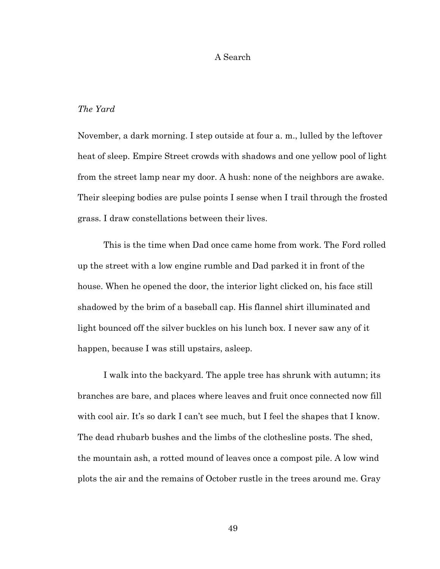#### A Search

## *The Yard*

November, a dark morning. I step outside at four a. m., lulled by the leftover heat of sleep. Empire Street crowds with shadows and one yellow pool of light from the street lamp near my door. A hush: none of the neighbors are awake. Their sleeping bodies are pulse points I sense when I trail through the frosted grass. I draw constellations between their lives.

This is the time when Dad once came home from work. The Ford rolled up the street with a low engine rumble and Dad parked it in front of the house. When he opened the door, the interior light clicked on, his face still shadowed by the brim of a baseball cap. His flannel shirt illuminated and light bounced off the silver buckles on his lunch box. I never saw any of it happen, because I was still upstairs, asleep.

I walk into the backyard. The apple tree has shrunk with autumn; its branches are bare, and places where leaves and fruit once connected now fill with cool air. It's so dark I can't see much, but I feel the shapes that I know. The dead rhubarb bushes and the limbs of the clothesline posts. The shed, the mountain ash, a rotted mound of leaves once a compost pile. A low wind plots the air and the remains of October rustle in the trees around me. Gray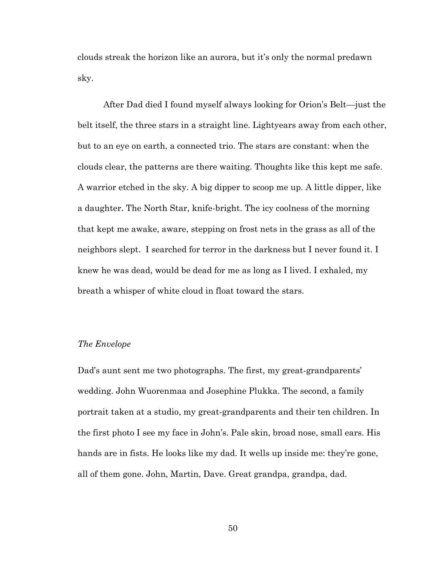clouds streak the horizon like an aurora, but it's only the normal predawn sky.

After Dad died I found myself always looking for Orion's Belt—just the belt itself, the three stars in a straight line. Lightyears away from each other, but to an eye on earth, a connected trio. The stars are constant: when the clouds clear, the patterns are there waiting. Thoughts like this kept me safe. A warrior etched in the sky. A big dipper to scoop me up. A little dipper, like a daughter. The North Star, knife-bright. The icy coolness of the morning that kept me awake, aware, stepping on frost nets in the grass as all of the neighbors slept. I searched for terror in the darkness but I never found it. I knew he was dead, would be dead for me as long as I lived. I exhaled, my breath a whisper of white cloud in float toward the stars.

### *The Envelope*

Dad's aunt sent me two photographs. The first, my great-grandparents' wedding. John Wuorenmaa and Josephine Plukka. The second, a family portrait taken at a studio, my great-grandparents and their ten children. In the first photo I see my face in John's. Pale skin, broad nose, small ears. His hands are in fists. He looks like my dad. It wells up inside me: they're gone, all of them gone. John, Martin, Dave. Great grandpa, grandpa, dad.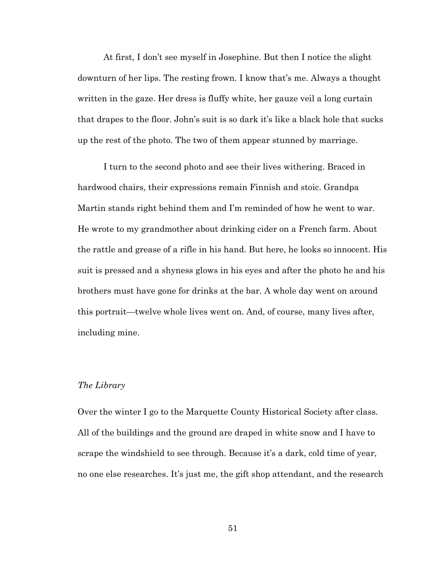At first, I don't see myself in Josephine. But then I notice the slight downturn of her lips. The resting frown. I know that's me. Always a thought written in the gaze. Her dress is fluffy white, her gauze veil a long curtain that drapes to the floor. John's suit is so dark it's like a black hole that sucks up the rest of the photo. The two of them appear stunned by marriage.

I turn to the second photo and see their lives withering. Braced in hardwood chairs, their expressions remain Finnish and stoic. Grandpa Martin stands right behind them and I'm reminded of how he went to war. He wrote to my grandmother about drinking cider on a French farm. About the rattle and grease of a rifle in his hand. But here, he looks so innocent. His suit is pressed and a shyness glows in his eyes and after the photo he and his brothers must have gone for drinks at the bar. A whole day went on around this portrait—twelve whole lives went on. And, of course, many lives after, including mine.

#### *The Library*

Over the winter I go to the Marquette County Historical Society after class. All of the buildings and the ground are draped in white snow and I have to scrape the windshield to see through. Because it's a dark, cold time of year, no one else researches. It's just me, the gift shop attendant, and the research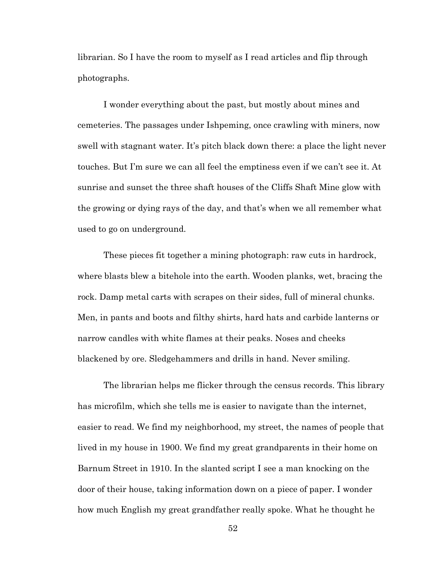librarian. So I have the room to myself as I read articles and flip through photographs.

I wonder everything about the past, but mostly about mines and cemeteries. The passages under Ishpeming, once crawling with miners, now swell with stagnant water. It's pitch black down there: a place the light never touches. But I'm sure we can all feel the emptiness even if we can't see it. At sunrise and sunset the three shaft houses of the Cliffs Shaft Mine glow with the growing or dying rays of the day, and that's when we all remember what used to go on underground.

These pieces fit together a mining photograph: raw cuts in hardrock, where blasts blew a bitehole into the earth. Wooden planks, wet, bracing the rock. Damp metal carts with scrapes on their sides, full of mineral chunks. Men, in pants and boots and filthy shirts, hard hats and carbide lanterns or narrow candles with white flames at their peaks. Noses and cheeks blackened by ore. Sledgehammers and drills in hand. Never smiling.

The librarian helps me flicker through the census records. This library has microfilm, which she tells me is easier to navigate than the internet, easier to read. We find my neighborhood, my street, the names of people that lived in my house in 1900. We find my great grandparents in their home on Barnum Street in 1910. In the slanted script I see a man knocking on the door of their house, taking information down on a piece of paper. I wonder how much English my great grandfather really spoke. What he thought he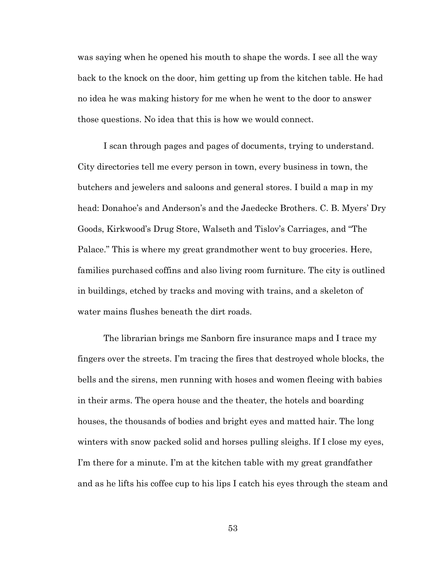was saying when he opened his mouth to shape the words. I see all the way back to the knock on the door, him getting up from the kitchen table. He had no idea he was making history for me when he went to the door to answer those questions. No idea that this is how we would connect.

I scan through pages and pages of documents, trying to understand. City directories tell me every person in town, every business in town, the butchers and jewelers and saloons and general stores. I build a map in my head: Donahoe's and Anderson's and the Jaedecke Brothers. C. B. Myers' Dry Goods, Kirkwood's Drug Store, Walseth and Tislov's Carriages, and "The Palace." This is where my great grandmother went to buy groceries. Here, families purchased coffins and also living room furniture. The city is outlined in buildings, etched by tracks and moving with trains, and a skeleton of water mains flushes beneath the dirt roads.

The librarian brings me Sanborn fire insurance maps and I trace my fingers over the streets. I'm tracing the fires that destroyed whole blocks, the bells and the sirens, men running with hoses and women fleeing with babies in their arms. The opera house and the theater, the hotels and boarding houses, the thousands of bodies and bright eyes and matted hair. The long winters with snow packed solid and horses pulling sleighs. If I close my eyes, I'm there for a minute. I'm at the kitchen table with my great grandfather and as he lifts his coffee cup to his lips I catch his eyes through the steam and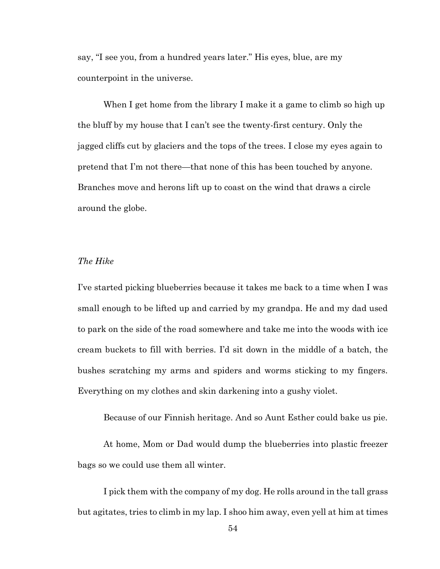say, "I see you, from a hundred years later." His eyes, blue, are my counterpoint in the universe.

When I get home from the library I make it a game to climb so high up the bluff by my house that I can't see the twenty-first century. Only the jagged cliffs cut by glaciers and the tops of the trees. I close my eyes again to pretend that I'm not there—that none of this has been touched by anyone. Branches move and herons lift up to coast on the wind that draws a circle around the globe.

# *The Hike*

I've started picking blueberries because it takes me back to a time when I was small enough to be lifted up and carried by my grandpa. He and my dad used to park on the side of the road somewhere and take me into the woods with ice cream buckets to fill with berries. I'd sit down in the middle of a batch, the bushes scratching my arms and spiders and worms sticking to my fingers. Everything on my clothes and skin darkening into a gushy violet.

Because of our Finnish heritage. And so Aunt Esther could bake us pie.

At home, Mom or Dad would dump the blueberries into plastic freezer bags so we could use them all winter.

I pick them with the company of my dog. He rolls around in the tall grass but agitates, tries to climb in my lap. I shoo him away, even yell at him at times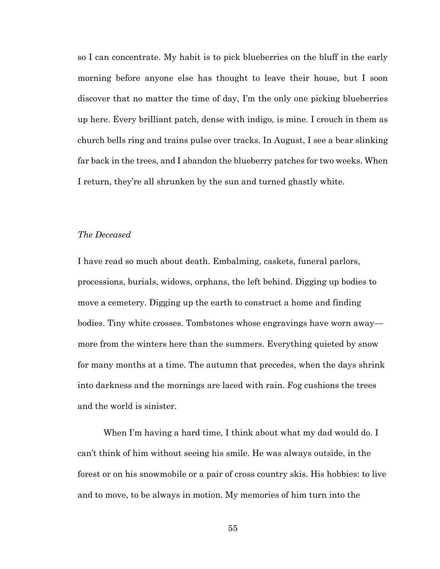so I can concentrate. My habit is to pick blueberries on the bluff in the early morning before anyone else has thought to leave their house, but I soon discover that no matter the time of day, I'm the only one picking blueberries up here. Every brilliant patch, dense with indigo, is mine. I crouch in them as church bells ring and trains pulse over tracks. In August, I see a bear slinking far back in the trees, and I abandon the blueberry patches for two weeks. When I return, they're all shrunken by the sun and turned ghastly white.

## *The Deceased*

I have read so much about death. Embalming, caskets, funeral parlors, processions, burials, widows, orphans, the left behind. Digging up bodies to move a cemetery. Digging up the earth to construct a home and finding bodies. Tiny white crosses. Tombstones whose engravings have worn away more from the winters here than the summers. Everything quieted by snow for many months at a time. The autumn that precedes, when the days shrink into darkness and the mornings are laced with rain. Fog cushions the trees and the world is sinister.

When I'm having a hard time, I think about what my dad would do. I can't think of him without seeing his smile. He was always outside, in the forest or on his snowmobile or a pair of cross country skis. His hobbies: to live and to move, to be always in motion. My memories of him turn into the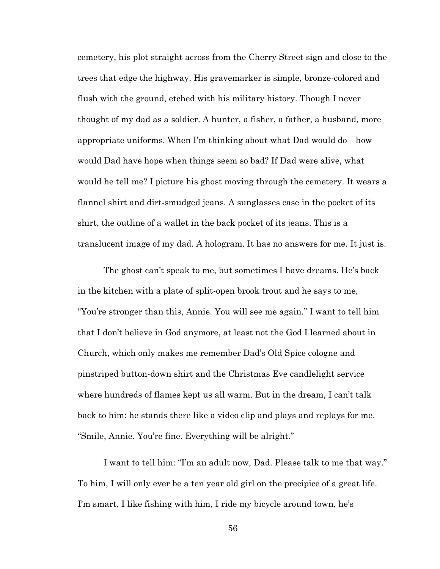cemetery, his plot straight across from the Cherry Street sign and close to the trees that edge the highway. His gravemarker is simple, bronze-colored and flush with the ground, etched with his military history. Though I never thought of my dad as a soldier. A hunter, a fisher, a father, a husband, more appropriate uniforms. When I'm thinking about what Dad would do—how would Dad have hope when things seem so bad? If Dad were alive, what would he tell me? I picture his ghost moving through the cemetery. It wears a flannel shirt and dirt-smudged jeans. A sunglasses case in the pocket of its shirt, the outline of a wallet in the back pocket of its jeans. This is a translucent image of my dad. A hologram. It has no answers for me. It just is.

The ghost can't speak to me, but sometimes I have dreams. He's back in the kitchen with a plate of split-open brook trout and he says to me, "You're stronger than this, Annie. You will see me again." I want to tell him that I don't believe in God anymore, at least not the God I learned about in Church, which only makes me remember Dad's Old Spice cologne and pinstriped button-down shirt and the Christmas Eve candlelight service where hundreds of flames kept us all warm. But in the dream, I can't talk back to him: he stands there like a video clip and plays and replays for me. "Smile, Annie. You're fine. Everything will be alright."

I want to tell him: "I'm an adult now, Dad. Please talk to me that way." To him, I will only ever be a ten year old girl on the precipice of a great life. I'm smart, I like fishing with him, I ride my bicycle around town, he's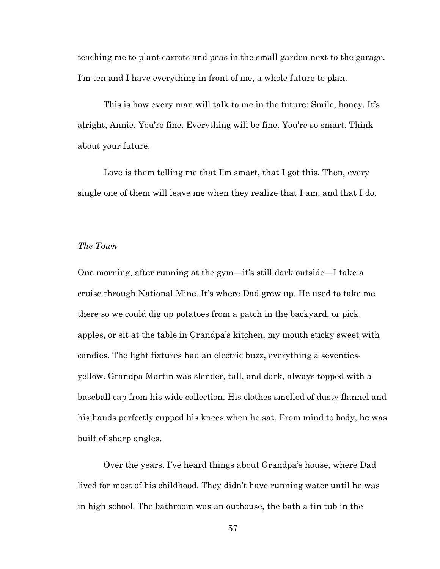teaching me to plant carrots and peas in the small garden next to the garage. I'm ten and I have everything in front of me, a whole future to plan.

This is how every man will talk to me in the future: Smile, honey. It's alright, Annie. You're fine. Everything will be fine. You're so smart. Think about your future.

Love is them telling me that I'm smart, that I got this. Then, every single one of them will leave me when they realize that I am, and that I do.

### *The Town*

One morning, after running at the gym—it's still dark outside—I take a cruise through National Mine. It's where Dad grew up. He used to take me there so we could dig up potatoes from a patch in the backyard, or pick apples, or sit at the table in Grandpa's kitchen, my mouth sticky sweet with candies. The light fixtures had an electric buzz, everything a seventiesyellow. Grandpa Martin was slender, tall, and dark, always topped with a baseball cap from his wide collection. His clothes smelled of dusty flannel and his hands perfectly cupped his knees when he sat. From mind to body, he was built of sharp angles.

Over the years, I've heard things about Grandpa's house, where Dad lived for most of his childhood. They didn't have running water until he was in high school. The bathroom was an outhouse, the bath a tin tub in the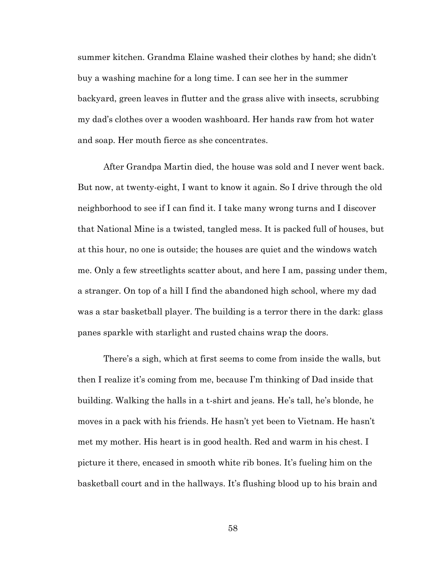summer kitchen. Grandma Elaine washed their clothes by hand; she didn't buy a washing machine for a long time. I can see her in the summer backyard, green leaves in flutter and the grass alive with insects, scrubbing my dad's clothes over a wooden washboard. Her hands raw from hot water and soap. Her mouth fierce as she concentrates.

After Grandpa Martin died, the house was sold and I never went back. But now, at twenty-eight, I want to know it again. So I drive through the old neighborhood to see if I can find it. I take many wrong turns and I discover that National Mine is a twisted, tangled mess. It is packed full of houses, but at this hour, no one is outside; the houses are quiet and the windows watch me. Only a few streetlights scatter about, and here I am, passing under them, a stranger. On top of a hill I find the abandoned high school, where my dad was a star basketball player. The building is a terror there in the dark: glass panes sparkle with starlight and rusted chains wrap the doors.

There's a sigh, which at first seems to come from inside the walls, but then I realize it's coming from me, because I'm thinking of Dad inside that building. Walking the halls in a t-shirt and jeans. He's tall, he's blonde, he moves in a pack with his friends. He hasn't yet been to Vietnam. He hasn't met my mother. His heart is in good health. Red and warm in his chest. I picture it there, encased in smooth white rib bones. It's fueling him on the basketball court and in the hallways. It's flushing blood up to his brain and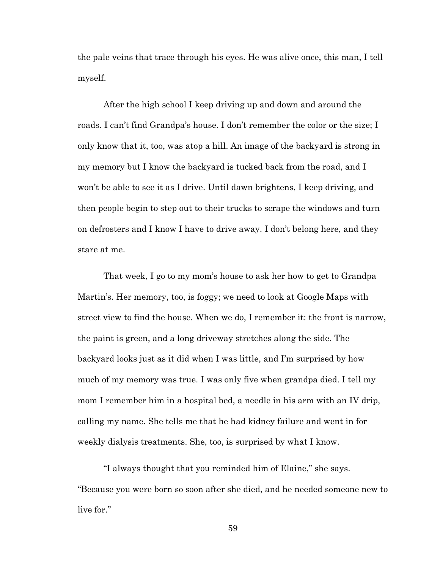the pale veins that trace through his eyes. He was alive once, this man, I tell myself.

After the high school I keep driving up and down and around the roads. I can't find Grandpa's house. I don't remember the color or the size; I only know that it, too, was atop a hill. An image of the backyard is strong in my memory but I know the backyard is tucked back from the road, and I won't be able to see it as I drive. Until dawn brightens, I keep driving, and then people begin to step out to their trucks to scrape the windows and turn on defrosters and I know I have to drive away. I don't belong here, and they stare at me.

That week, I go to my mom's house to ask her how to get to Grandpa Martin's. Her memory, too, is foggy; we need to look at Google Maps with street view to find the house. When we do, I remember it: the front is narrow, the paint is green, and a long driveway stretches along the side. The backyard looks just as it did when I was little, and I'm surprised by how much of my memory was true. I was only five when grandpa died. I tell my mom I remember him in a hospital bed, a needle in his arm with an IV drip, calling my name. She tells me that he had kidney failure and went in for weekly dialysis treatments. She, too, is surprised by what I know.

"I always thought that you reminded him of Elaine," she says. "Because you were born so soon after she died, and he needed someone new to live for."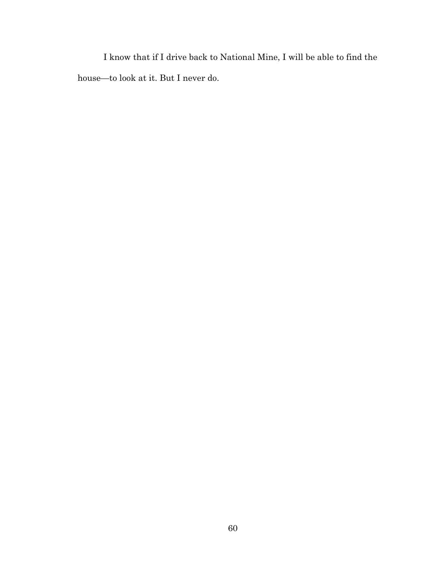I know that if I drive back to National Mine, I will be able to find the house—to look at it. But I never do.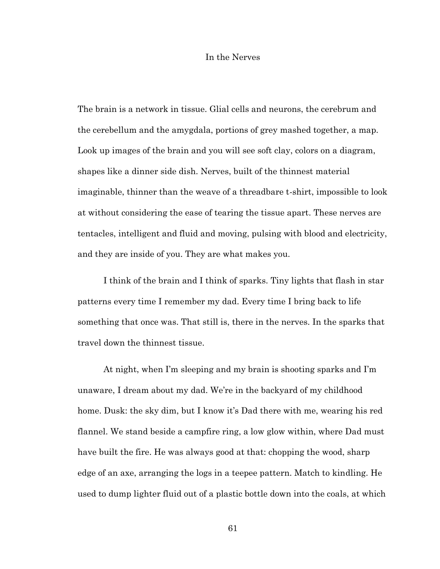#### In the Nerves

The brain is a network in tissue. Glial cells and neurons, the cerebrum and the cerebellum and the amygdala, portions of grey mashed together, a map. Look up images of the brain and you will see soft clay, colors on a diagram, shapes like a dinner side dish. Nerves, built of the thinnest material imaginable, thinner than the weave of a threadbare t-shirt, impossible to look at without considering the ease of tearing the tissue apart. These nerves are tentacles, intelligent and fluid and moving, pulsing with blood and electricity, and they are inside of you. They are what makes you.

I think of the brain and I think of sparks. Tiny lights that flash in star patterns every time I remember my dad. Every time I bring back to life something that once was. That still is, there in the nerves. In the sparks that travel down the thinnest tissue.

At night, when I'm sleeping and my brain is shooting sparks and I'm unaware, I dream about my dad. We're in the backyard of my childhood home. Dusk: the sky dim, but I know it's Dad there with me, wearing his red flannel. We stand beside a campfire ring, a low glow within, where Dad must have built the fire. He was always good at that: chopping the wood, sharp edge of an axe, arranging the logs in a teepee pattern. Match to kindling. He used to dump lighter fluid out of a plastic bottle down into the coals, at which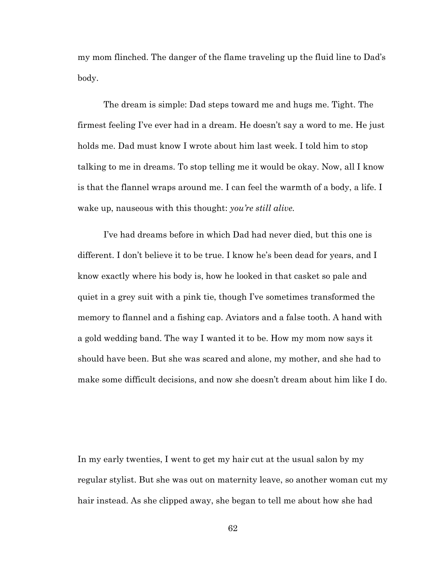my mom flinched. The danger of the flame traveling up the fluid line to Dad's body.

The dream is simple: Dad steps toward me and hugs me. Tight. The firmest feeling I've ever had in a dream. He doesn't say a word to me. He just holds me. Dad must know I wrote about him last week. I told him to stop talking to me in dreams. To stop telling me it would be okay. Now, all I know is that the flannel wraps around me. I can feel the warmth of a body, a life. I wake up, nauseous with this thought: *you're still alive.*

I've had dreams before in which Dad had never died, but this one is different. I don't believe it to be true. I know he's been dead for years, and I know exactly where his body is, how he looked in that casket so pale and quiet in a grey suit with a pink tie, though I've sometimes transformed the memory to flannel and a fishing cap. Aviators and a false tooth. A hand with a gold wedding band. The way I wanted it to be. How my mom now says it should have been. But she was scared and alone, my mother, and she had to make some difficult decisions, and now she doesn't dream about him like I do.

In my early twenties, I went to get my hair cut at the usual salon by my regular stylist. But she was out on maternity leave, so another woman cut my hair instead. As she clipped away, she began to tell me about how she had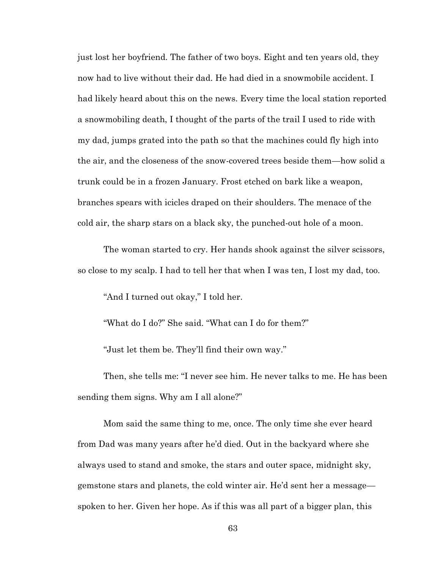just lost her boyfriend. The father of two boys. Eight and ten years old, they now had to live without their dad. He had died in a snowmobile accident. I had likely heard about this on the news. Every time the local station reported a snowmobiling death, I thought of the parts of the trail I used to ride with my dad, jumps grated into the path so that the machines could fly high into the air, and the closeness of the snow-covered trees beside them—how solid a trunk could be in a frozen January. Frost etched on bark like a weapon, branches spears with icicles draped on their shoulders. The menace of the cold air, the sharp stars on a black sky, the punched-out hole of a moon.

The woman started to cry. Her hands shook against the silver scissors, so close to my scalp. I had to tell her that when I was ten, I lost my dad, too.

"And I turned out okay," I told her.

"What do I do?" She said. "What can I do for them?"

"Just let them be. They'll find their own way."

Then, she tells me: "I never see him. He never talks to me. He has been sending them signs. Why am I all alone?"

Mom said the same thing to me, once. The only time she ever heard from Dad was many years after he'd died. Out in the backyard where she always used to stand and smoke, the stars and outer space, midnight sky, gemstone stars and planets, the cold winter air. He'd sent her a message spoken to her. Given her hope. As if this was all part of a bigger plan, this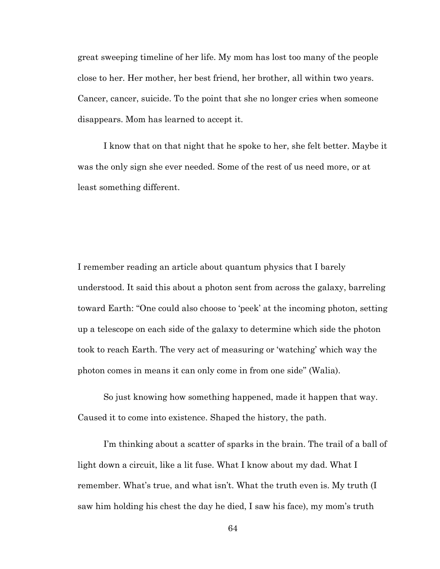great sweeping timeline of her life. My mom has lost too many of the people close to her. Her mother, her best friend, her brother, all within two years. Cancer, cancer, suicide. To the point that she no longer cries when someone disappears. Mom has learned to accept it.

I know that on that night that he spoke to her, she felt better. Maybe it was the only sign she ever needed. Some of the rest of us need more, or at least something different.

I remember reading an article about quantum physics that I barely understood. It said this about a photon sent from across the galaxy, barreling toward Earth: "One could also choose to 'peek' at the incoming photon, setting up a telescope on each side of the galaxy to determine which side the photon took to reach Earth. The very act of measuring or 'watching' which way the photon comes in means it can only come in from one side" (Walia).

So just knowing how something happened, made it happen that way. Caused it to come into existence. Shaped the history, the path.

I'm thinking about a scatter of sparks in the brain. The trail of a ball of light down a circuit, like a lit fuse. What I know about my dad. What I remember. What's true, and what isn't. What the truth even is. My truth (I saw him holding his chest the day he died, I saw his face), my mom's truth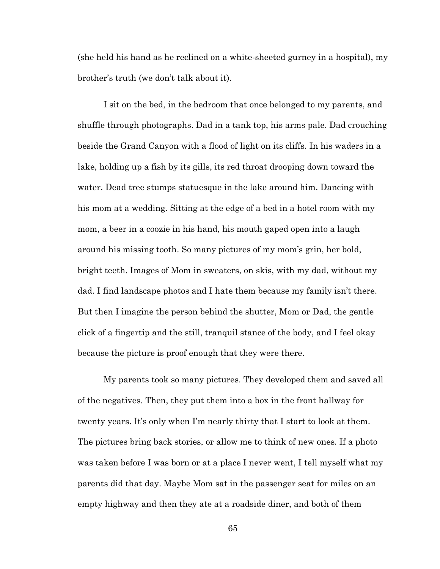(she held his hand as he reclined on a white-sheeted gurney in a hospital), my brother's truth (we don't talk about it).

I sit on the bed, in the bedroom that once belonged to my parents, and shuffle through photographs. Dad in a tank top, his arms pale. Dad crouching beside the Grand Canyon with a flood of light on its cliffs. In his waders in a lake, holding up a fish by its gills, its red throat drooping down toward the water. Dead tree stumps statuesque in the lake around him. Dancing with his mom at a wedding. Sitting at the edge of a bed in a hotel room with my mom, a beer in a coozie in his hand, his mouth gaped open into a laugh around his missing tooth. So many pictures of my mom's grin, her bold, bright teeth. Images of Mom in sweaters, on skis, with my dad, without my dad. I find landscape photos and I hate them because my family isn't there. But then I imagine the person behind the shutter, Mom or Dad, the gentle click of a fingertip and the still, tranquil stance of the body, and I feel okay because the picture is proof enough that they were there.

My parents took so many pictures. They developed them and saved all of the negatives. Then, they put them into a box in the front hallway for twenty years. It's only when I'm nearly thirty that I start to look at them. The pictures bring back stories, or allow me to think of new ones. If a photo was taken before I was born or at a place I never went, I tell myself what my parents did that day. Maybe Mom sat in the passenger seat for miles on an empty highway and then they ate at a roadside diner, and both of them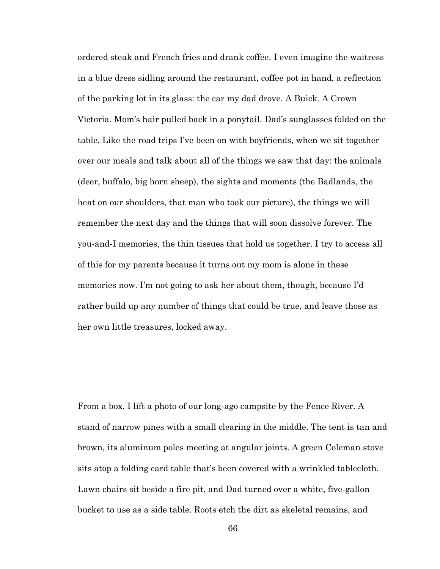ordered steak and French fries and drank coffee. I even imagine the waitress in a blue dress sidling around the restaurant, coffee pot in hand, a reflection of the parking lot in its glass: the car my dad drove. A Buick. A Crown Victoria. Mom's hair pulled back in a ponytail. Dad's sunglasses folded on the table. Like the road trips I've been on with boyfriends, when we sit together over our meals and talk about all of the things we saw that day: the animals (deer, buffalo, big horn sheep), the sights and moments (the Badlands, the heat on our shoulders, that man who took our picture), the things we will remember the next day and the things that will soon dissolve forever. The you-and-I memories, the thin tissues that hold us together. I try to access all of this for my parents because it turns out my mom is alone in these memories now. I'm not going to ask her about them, though, because I'd rather build up any number of things that could be true, and leave those as her own little treasures, locked away.

From a box, I lift a photo of our long-ago campsite by the Fence River. A stand of narrow pines with a small clearing in the middle. The tent is tan and brown, its aluminum poles meeting at angular joints. A green Coleman stove sits atop a folding card table that's been covered with a wrinkled tablecloth. Lawn chairs sit beside a fire pit, and Dad turned over a white, five-gallon bucket to use as a side table. Roots etch the dirt as skeletal remains, and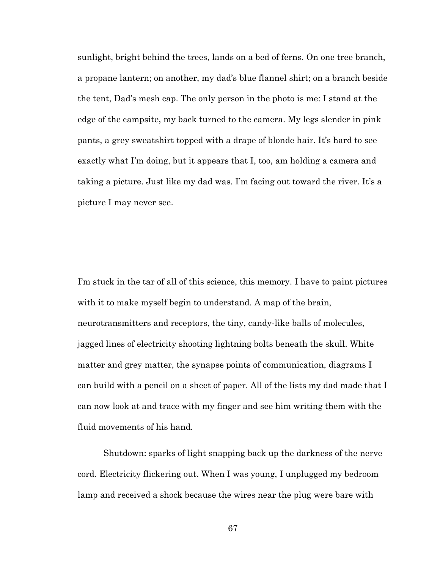sunlight, bright behind the trees, lands on a bed of ferns. On one tree branch, a propane lantern; on another, my dad's blue flannel shirt; on a branch beside the tent, Dad's mesh cap. The only person in the photo is me: I stand at the edge of the campsite, my back turned to the camera. My legs slender in pink pants, a grey sweatshirt topped with a drape of blonde hair. It's hard to see exactly what I'm doing, but it appears that I, too, am holding a camera and taking a picture. Just like my dad was. I'm facing out toward the river. It's a picture I may never see.

I'm stuck in the tar of all of this science, this memory. I have to paint pictures with it to make myself begin to understand. A map of the brain, neurotransmitters and receptors, the tiny, candy-like balls of molecules, jagged lines of electricity shooting lightning bolts beneath the skull. White matter and grey matter, the synapse points of communication, diagrams I can build with a pencil on a sheet of paper. All of the lists my dad made that I can now look at and trace with my finger and see him writing them with the fluid movements of his hand.

Shutdown: sparks of light snapping back up the darkness of the nerve cord. Electricity flickering out. When I was young, I unplugged my bedroom lamp and received a shock because the wires near the plug were bare with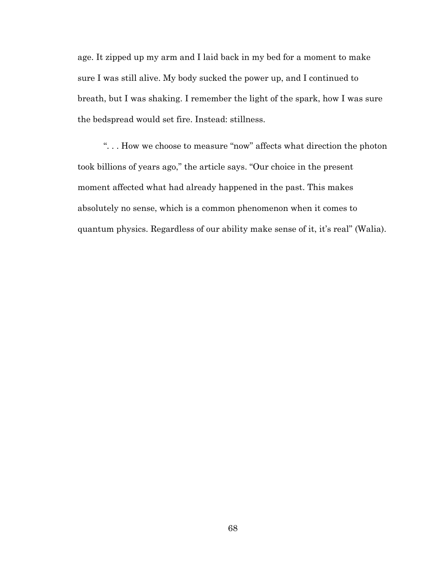age. It zipped up my arm and I laid back in my bed for a moment to make sure I was still alive. My body sucked the power up, and I continued to breath, but I was shaking. I remember the light of the spark, how I was sure the bedspread would set fire. Instead: stillness.

". . . How we choose to measure "now" affects what direction the photon took billions of years ago," the article says. "Our choice in the present moment affected what had already happened in the past. This makes absolutely no sense, which is a common phenomenon when it comes to quantum physics. Regardless of our ability make sense of it, it's real" (Walia).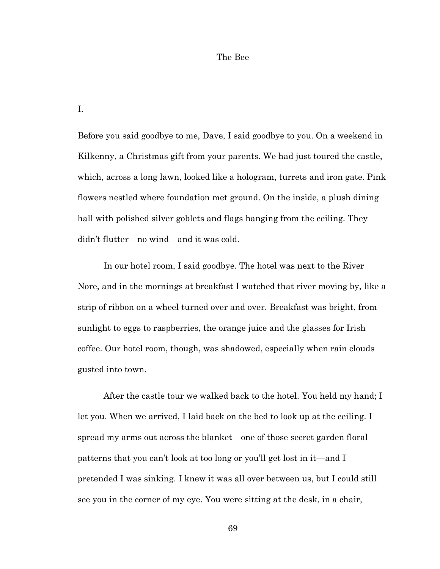#### The Bee

I.

Before you said goodbye to me, Dave, I said goodbye to you. On a weekend in Kilkenny, a Christmas gift from your parents. We had just toured the castle, which, across a long lawn, looked like a hologram, turrets and iron gate. Pink flowers nestled where foundation met ground. On the inside, a plush dining hall with polished silver goblets and flags hanging from the ceiling. They didn't flutter—no wind—and it was cold.

In our hotel room, I said goodbye. The hotel was next to the River Nore, and in the mornings at breakfast I watched that river moving by, like a strip of ribbon on a wheel turned over and over. Breakfast was bright, from sunlight to eggs to raspberries, the orange juice and the glasses for Irish coffee. Our hotel room, though, was shadowed, especially when rain clouds gusted into town.

After the castle tour we walked back to the hotel. You held my hand; I let you. When we arrived, I laid back on the bed to look up at the ceiling. I spread my arms out across the blanket—one of those secret garden floral patterns that you can't look at too long or you'll get lost in it—and I pretended I was sinking. I knew it was all over between us, but I could still see you in the corner of my eye. You were sitting at the desk, in a chair,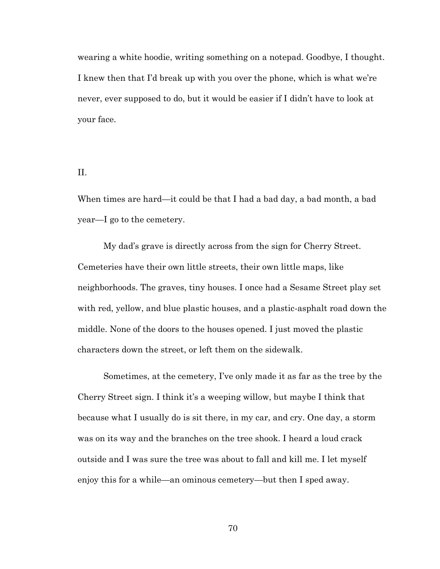wearing a white hoodie, writing something on a notepad. Goodbye, I thought. I knew then that I'd break up with you over the phone, which is what we're never, ever supposed to do, but it would be easier if I didn't have to look at your face.

# II.

When times are hard—it could be that I had a bad day, a bad month, a bad year—I go to the cemetery.

My dad's grave is directly across from the sign for Cherry Street. Cemeteries have their own little streets, their own little maps, like neighborhoods. The graves, tiny houses. I once had a Sesame Street play set with red, yellow, and blue plastic houses, and a plastic-asphalt road down the middle. None of the doors to the houses opened. I just moved the plastic characters down the street, or left them on the sidewalk.

Sometimes, at the cemetery, I've only made it as far as the tree by the Cherry Street sign. I think it's a weeping willow, but maybe I think that because what I usually do is sit there, in my car, and cry. One day, a storm was on its way and the branches on the tree shook. I heard a loud crack outside and I was sure the tree was about to fall and kill me. I let myself enjoy this for a while—an ominous cemetery—but then I sped away.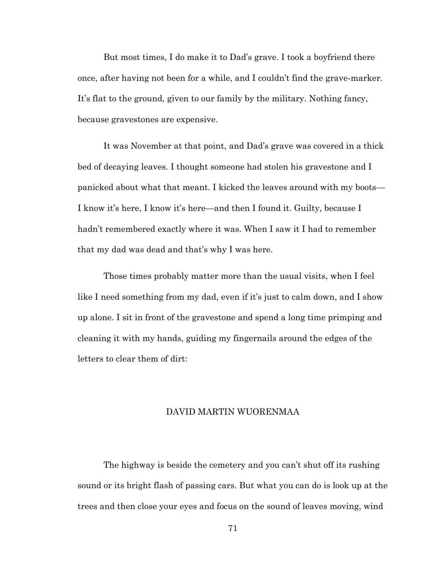But most times, I do make it to Dad's grave. I took a boyfriend there once, after having not been for a while, and I couldn't find the grave-marker. It's flat to the ground, given to our family by the military. Nothing fancy, because gravestones are expensive.

It was November at that point, and Dad's grave was covered in a thick bed of decaying leaves. I thought someone had stolen his gravestone and I panicked about what that meant. I kicked the leaves around with my boots— I know it's here, I know it's here—and then I found it. Guilty, because I hadn't remembered exactly where it was. When I saw it I had to remember that my dad was dead and that's why I was here.

Those times probably matter more than the usual visits, when I feel like I need something from my dad, even if it's just to calm down, and I show up alone. I sit in front of the gravestone and spend a long time primping and cleaning it with my hands, guiding my fingernails around the edges of the letters to clear them of dirt:

# DAVID MARTIN WUORENMAA

The highway is beside the cemetery and you can't shut off its rushing sound or its bright flash of passing cars. But what you can do is look up at the trees and then close your eyes and focus on the sound of leaves moving, wind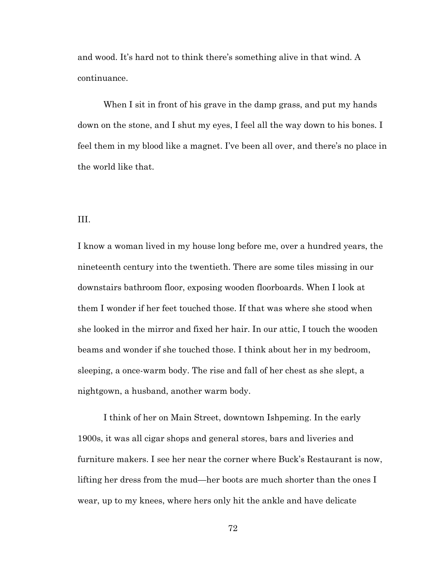and wood. It's hard not to think there's something alive in that wind. A continuance.

When I sit in front of his grave in the damp grass, and put my hands down on the stone, and I shut my eyes, I feel all the way down to his bones. I feel them in my blood like a magnet. I've been all over, and there's no place in the world like that.

# III.

I know a woman lived in my house long before me, over a hundred years, the nineteenth century into the twentieth. There are some tiles missing in our downstairs bathroom floor, exposing wooden floorboards. When I look at them I wonder if her feet touched those. If that was where she stood when she looked in the mirror and fixed her hair. In our attic, I touch the wooden beams and wonder if she touched those. I think about her in my bedroom, sleeping, a once-warm body. The rise and fall of her chest as she slept, a nightgown, a husband, another warm body.

I think of her on Main Street, downtown Ishpeming. In the early 1900s, it was all cigar shops and general stores, bars and liveries and furniture makers. I see her near the corner where Buck's Restaurant is now, lifting her dress from the mud—her boots are much shorter than the ones I wear, up to my knees, where hers only hit the ankle and have delicate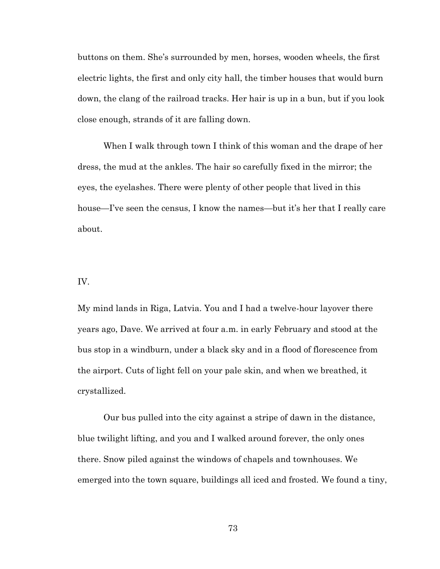buttons on them. She's surrounded by men, horses, wooden wheels, the first electric lights, the first and only city hall, the timber houses that would burn down, the clang of the railroad tracks. Her hair is up in a bun, but if you look close enough, strands of it are falling down.

When I walk through town I think of this woman and the drape of her dress, the mud at the ankles. The hair so carefully fixed in the mirror; the eyes, the eyelashes. There were plenty of other people that lived in this house—I've seen the census, I know the names—but it's her that I really care about.

### IV.

My mind lands in Riga, Latvia. You and I had a twelve-hour layover there years ago, Dave. We arrived at four a.m. in early February and stood at the bus stop in a windburn, under a black sky and in a flood of florescence from the airport. Cuts of light fell on your pale skin, and when we breathed, it crystallized.

Our bus pulled into the city against a stripe of dawn in the distance, blue twilight lifting, and you and I walked around forever, the only ones there. Snow piled against the windows of chapels and townhouses. We emerged into the town square, buildings all iced and frosted. We found a tiny,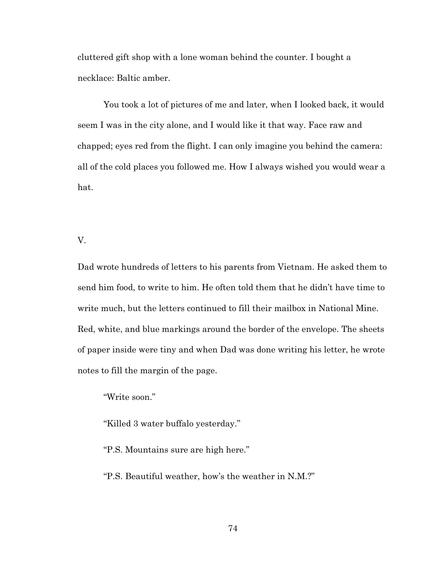cluttered gift shop with a lone woman behind the counter. I bought a necklace: Baltic amber.

You took a lot of pictures of me and later, when I looked back, it would seem I was in the city alone, and I would like it that way. Face raw and chapped; eyes red from the flight. I can only imagine you behind the camera: all of the cold places you followed me. How I always wished you would wear a hat.

V.

Dad wrote hundreds of letters to his parents from Vietnam. He asked them to send him food, to write to him. He often told them that he didn't have time to write much, but the letters continued to fill their mailbox in National Mine. Red, white, and blue markings around the border of the envelope. The sheets of paper inside were tiny and when Dad was done writing his letter, he wrote notes to fill the margin of the page.

"Write soon."

"Killed 3 water buffalo yesterday."

"P.S. Mountains sure are high here."

"P.S. Beautiful weather, how's the weather in N.M.?"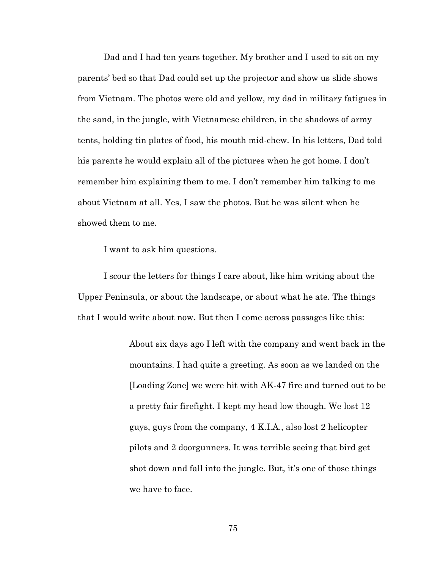Dad and I had ten years together. My brother and I used to sit on my parents' bed so that Dad could set up the projector and show us slide shows from Vietnam. The photos were old and yellow, my dad in military fatigues in the sand, in the jungle, with Vietnamese children, in the shadows of army tents, holding tin plates of food, his mouth mid-chew. In his letters, Dad told his parents he would explain all of the pictures when he got home. I don't remember him explaining them to me. I don't remember him talking to me about Vietnam at all. Yes, I saw the photos. But he was silent when he showed them to me.

I want to ask him questions.

I scour the letters for things I care about, like him writing about the Upper Peninsula, or about the landscape, or about what he ate. The things that I would write about now. But then I come across passages like this:

> About six days ago I left with the company and went back in the mountains. I had quite a greeting. As soon as we landed on the [Loading Zone] we were hit with AK-47 fire and turned out to be a pretty fair firefight. I kept my head low though. We lost 12 guys, guys from the company, 4 K.I.A., also lost 2 helicopter pilots and 2 doorgunners. It was terrible seeing that bird get shot down and fall into the jungle. But, it's one of those things we have to face.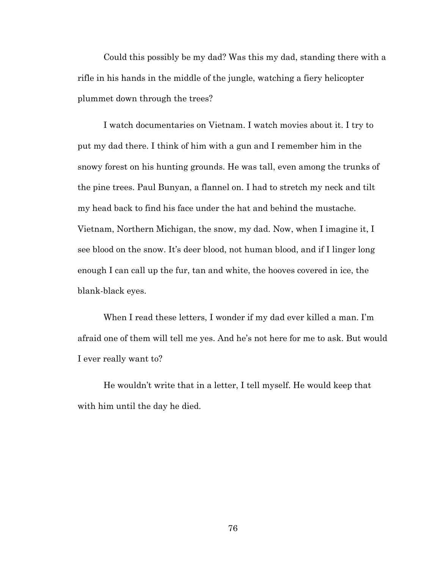Could this possibly be my dad? Was this my dad, standing there with a rifle in his hands in the middle of the jungle, watching a fiery helicopter plummet down through the trees?

I watch documentaries on Vietnam. I watch movies about it. I try to put my dad there. I think of him with a gun and I remember him in the snowy forest on his hunting grounds. He was tall, even among the trunks of the pine trees. Paul Bunyan, a flannel on. I had to stretch my neck and tilt my head back to find his face under the hat and behind the mustache. Vietnam, Northern Michigan, the snow, my dad. Now, when I imagine it, I see blood on the snow. It's deer blood, not human blood, and if I linger long enough I can call up the fur, tan and white, the hooves covered in ice, the blank-black eyes.

When I read these letters, I wonder if my dad ever killed a man. I'm afraid one of them will tell me yes. And he's not here for me to ask. But would I ever really want to?

He wouldn't write that in a letter, I tell myself. He would keep that with him until the day he died.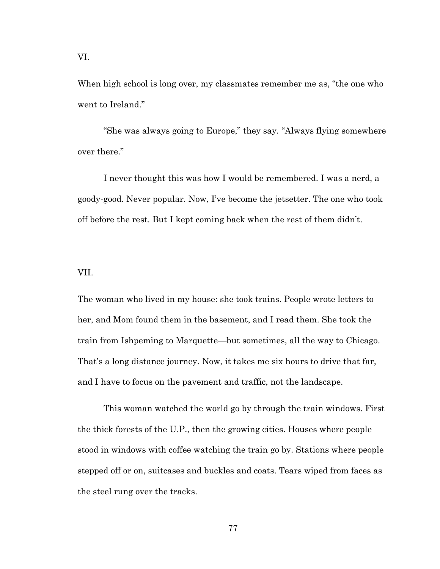When high school is long over, my classmates remember me as, "the one who went to Ireland."

"She was always going to Europe," they say. "Always flying somewhere over there."

I never thought this was how I would be remembered. I was a nerd, a goody-good. Never popular. Now, I've become the jetsetter. The one who took off before the rest. But I kept coming back when the rest of them didn't.

## VII.

The woman who lived in my house: she took trains. People wrote letters to her, and Mom found them in the basement, and I read them. She took the train from Ishpeming to Marquette—but sometimes, all the way to Chicago. That's a long distance journey. Now, it takes me six hours to drive that far, and I have to focus on the pavement and traffic, not the landscape.

This woman watched the world go by through the train windows. First the thick forests of the U.P., then the growing cities. Houses where people stood in windows with coffee watching the train go by. Stations where people stepped off or on, suitcases and buckles and coats. Tears wiped from faces as the steel rung over the tracks.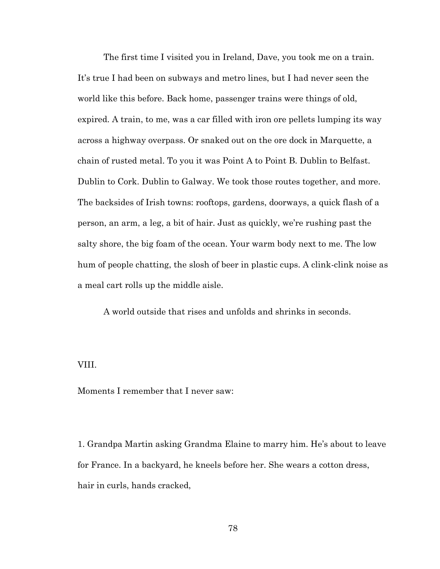The first time I visited you in Ireland, Dave, you took me on a train. It's true I had been on subways and metro lines, but I had never seen the world like this before. Back home, passenger trains were things of old, expired. A train, to me, was a car filled with iron ore pellets lumping its way across a highway overpass. Or snaked out on the ore dock in Marquette, a chain of rusted metal. To you it was Point A to Point B. Dublin to Belfast. Dublin to Cork. Dublin to Galway. We took those routes together, and more. The backsides of Irish towns: rooftops, gardens, doorways, a quick flash of a person, an arm, a leg, a bit of hair. Just as quickly, we're rushing past the salty shore, the big foam of the ocean. Your warm body next to me. The low hum of people chatting, the slosh of beer in plastic cups. A clink-clink noise as a meal cart rolls up the middle aisle.

A world outside that rises and unfolds and shrinks in seconds.

### VIII.

Moments I remember that I never saw:

1. Grandpa Martin asking Grandma Elaine to marry him. He's about to leave for France. In a backyard, he kneels before her. She wears a cotton dress, hair in curls, hands cracked,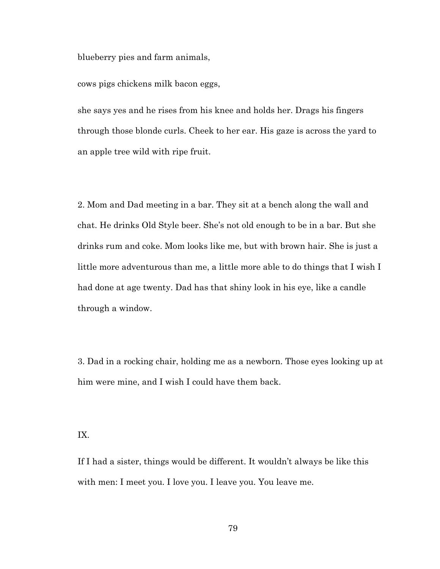blueberry pies and farm animals,

cows pigs chickens milk bacon eggs,

she says yes and he rises from his knee and holds her. Drags his fingers through those blonde curls. Cheek to her ear. His gaze is across the yard to an apple tree wild with ripe fruit.

2. Mom and Dad meeting in a bar. They sit at a bench along the wall and chat. He drinks Old Style beer. She's not old enough to be in a bar. But she drinks rum and coke. Mom looks like me, but with brown hair. She is just a little more adventurous than me, a little more able to do things that I wish I had done at age twenty. Dad has that shiny look in his eye, like a candle through a window.

3. Dad in a rocking chair, holding me as a newborn. Those eyes looking up at him were mine, and I wish I could have them back.

IX.

If I had a sister, things would be different. It wouldn't always be like this with men: I meet you. I love you. I leave you. You leave me.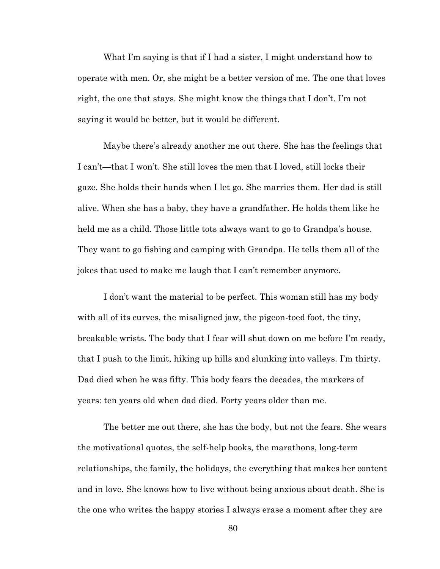What I'm saying is that if I had a sister, I might understand how to operate with men. Or, she might be a better version of me. The one that loves right, the one that stays. She might know the things that I don't. I'm not saying it would be better, but it would be different.

Maybe there's already another me out there. She has the feelings that I can't—that I won't. She still loves the men that I loved, still locks their gaze. She holds their hands when I let go. She marries them. Her dad is still alive. When she has a baby, they have a grandfather. He holds them like he held me as a child. Those little tots always want to go to Grandpa's house. They want to go fishing and camping with Grandpa. He tells them all of the jokes that used to make me laugh that I can't remember anymore.

I don't want the material to be perfect. This woman still has my body with all of its curves, the misaligned jaw, the pigeon-toed foot, the tiny, breakable wrists. The body that I fear will shut down on me before I'm ready, that I push to the limit, hiking up hills and slunking into valleys. I'm thirty. Dad died when he was fifty. This body fears the decades, the markers of years: ten years old when dad died. Forty years older than me.

The better me out there, she has the body, but not the fears. She wears the motivational quotes, the self-help books, the marathons, long-term relationships, the family, the holidays, the everything that makes her content and in love. She knows how to live without being anxious about death. She is the one who writes the happy stories I always erase a moment after they are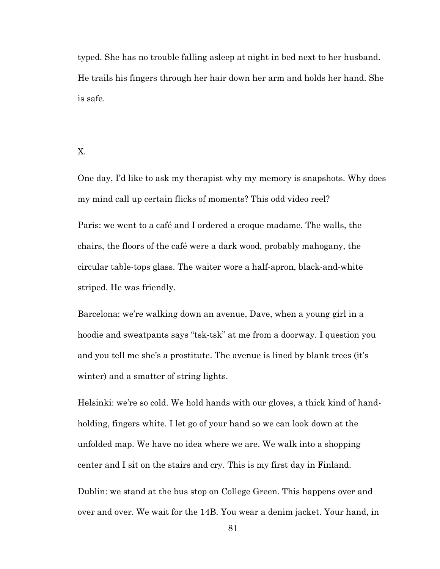typed. She has no trouble falling asleep at night in bed next to her husband. He trails his fingers through her hair down her arm and holds her hand. She is safe.

X.

One day, I'd like to ask my therapist why my memory is snapshots. Why does my mind call up certain flicks of moments? This odd video reel?

Paris: we went to a café and I ordered a croque madame. The walls, the chairs, the floors of the café were a dark wood, probably mahogany, the circular table-tops glass. The waiter wore a half-apron, black-and-white striped. He was friendly.

Barcelona: we're walking down an avenue, Dave, when a young girl in a hoodie and sweatpants says "tsk-tsk" at me from a doorway. I question you and you tell me she's a prostitute. The avenue is lined by blank trees (it's winter) and a smatter of string lights.

Helsinki: we're so cold. We hold hands with our gloves, a thick kind of handholding, fingers white. I let go of your hand so we can look down at the unfolded map. We have no idea where we are. We walk into a shopping center and I sit on the stairs and cry. This is my first day in Finland.

Dublin: we stand at the bus stop on College Green. This happens over and over and over. We wait for the 14B. You wear a denim jacket. Your hand, in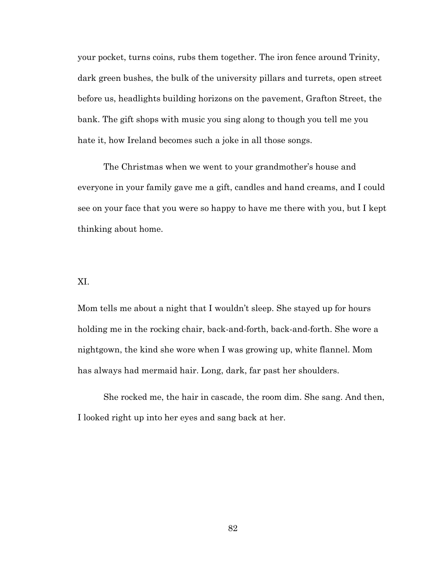your pocket, turns coins, rubs them together. The iron fence around Trinity, dark green bushes, the bulk of the university pillars and turrets, open street before us, headlights building horizons on the pavement, Grafton Street, the bank. The gift shops with music you sing along to though you tell me you hate it, how Ireland becomes such a joke in all those songs.

The Christmas when we went to your grandmother's house and everyone in your family gave me a gift, candles and hand creams, and I could see on your face that you were so happy to have me there with you, but I kept thinking about home.

### XI.

Mom tells me about a night that I wouldn't sleep. She stayed up for hours holding me in the rocking chair, back-and-forth, back-and-forth. She wore a nightgown, the kind she wore when I was growing up, white flannel. Mom has always had mermaid hair. Long, dark, far past her shoulders.

She rocked me, the hair in cascade, the room dim. She sang. And then, I looked right up into her eyes and sang back at her.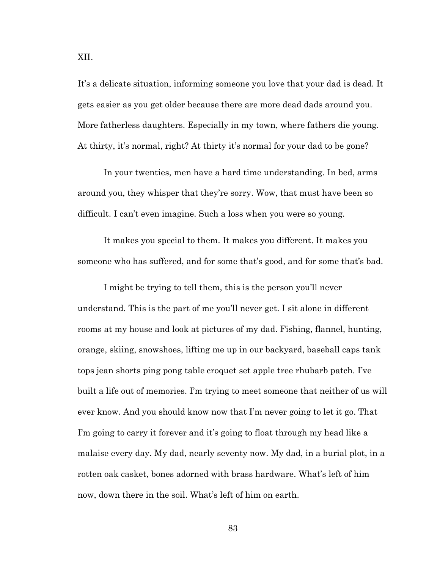It's a delicate situation, informing someone you love that your dad is dead. It gets easier as you get older because there are more dead dads around you. More fatherless daughters. Especially in my town, where fathers die young. At thirty, it's normal, right? At thirty it's normal for your dad to be gone?

In your twenties, men have a hard time understanding. In bed, arms around you, they whisper that they're sorry. Wow, that must have been so difficult. I can't even imagine. Such a loss when you were so young.

It makes you special to them. It makes you different. It makes you someone who has suffered, and for some that's good, and for some that's bad.

I might be trying to tell them, this is the person you'll never understand. This is the part of me you'll never get. I sit alone in different rooms at my house and look at pictures of my dad. Fishing, flannel, hunting, orange, skiing, snowshoes, lifting me up in our backyard, baseball caps tank tops jean shorts ping pong table croquet set apple tree rhubarb patch. I've built a life out of memories. I'm trying to meet someone that neither of us will ever know. And you should know now that I'm never going to let it go. That I'm going to carry it forever and it's going to float through my head like a malaise every day. My dad, nearly seventy now. My dad, in a burial plot, in a rotten oak casket, bones adorned with brass hardware. What's left of him now, down there in the soil. What's left of him on earth.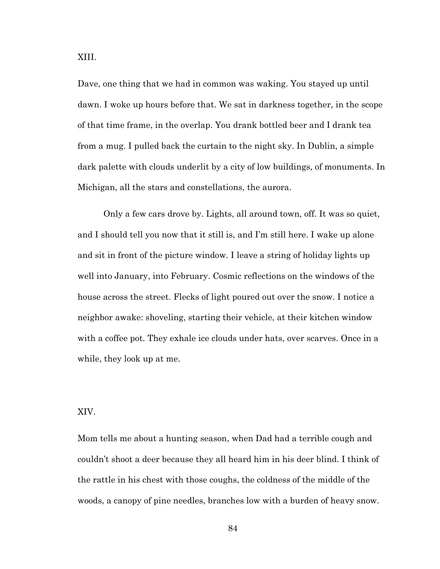XIII.

Dave, one thing that we had in common was waking. You stayed up until dawn. I woke up hours before that. We sat in darkness together, in the scope of that time frame, in the overlap. You drank bottled beer and I drank tea from a mug. I pulled back the curtain to the night sky. In Dublin, a simple dark palette with clouds underlit by a city of low buildings, of monuments. In Michigan, all the stars and constellations, the aurora.

Only a few cars drove by. Lights, all around town, off. It was so quiet, and I should tell you now that it still is, and I'm still here. I wake up alone and sit in front of the picture window. I leave a string of holiday lights up well into January, into February. Cosmic reflections on the windows of the house across the street. Flecks of light poured out over the snow. I notice a neighbor awake: shoveling, starting their vehicle, at their kitchen window with a coffee pot. They exhale ice clouds under hats, over scarves. Once in a while, they look up at me.

#### XIV.

Mom tells me about a hunting season, when Dad had a terrible cough and couldn't shoot a deer because they all heard him in his deer blind. I think of the rattle in his chest with those coughs, the coldness of the middle of the woods, a canopy of pine needles, branches low with a burden of heavy snow.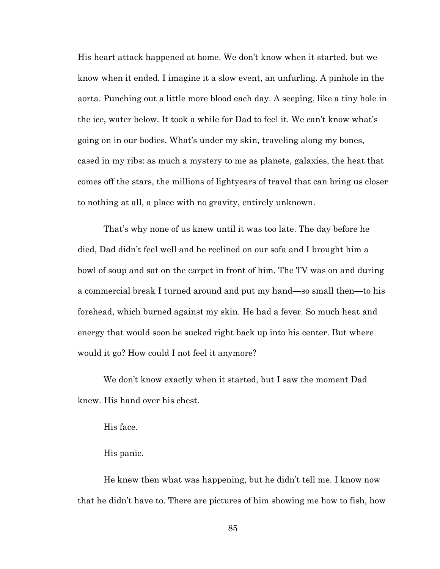His heart attack happened at home. We don't know when it started, but we know when it ended. I imagine it a slow event, an unfurling. A pinhole in the aorta. Punching out a little more blood each day. A seeping, like a tiny hole in the ice, water below. It took a while for Dad to feel it. We can't know what's going on in our bodies. What's under my skin, traveling along my bones, cased in my ribs: as much a mystery to me as planets, galaxies, the heat that comes off the stars, the millions of lightyears of travel that can bring us closer to nothing at all, a place with no gravity, entirely unknown.

That's why none of us knew until it was too late. The day before he died, Dad didn't feel well and he reclined on our sofa and I brought him a bowl of soup and sat on the carpet in front of him. The TV was on and during a commercial break I turned around and put my hand—so small then—to his forehead, which burned against my skin. He had a fever. So much heat and energy that would soon be sucked right back up into his center. But where would it go? How could I not feel it anymore?

We don't know exactly when it started, but I saw the moment Dad knew. His hand over his chest.

His face.

His panic.

He knew then what was happening, but he didn't tell me. I know now that he didn't have to. There are pictures of him showing me how to fish, how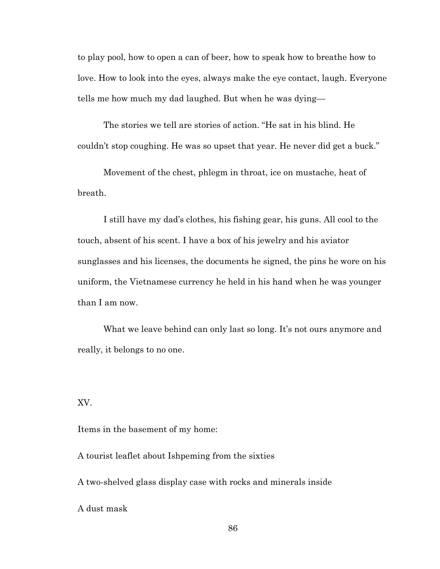to play pool, how to open a can of beer, how to speak how to breathe how to love. How to look into the eyes, always make the eye contact, laugh. Everyone tells me how much my dad laughed. But when he was dying—

The stories we tell are stories of action. "He sat in his blind. He couldn't stop coughing. He was so upset that year. He never did get a buck."

Movement of the chest, phlegm in throat, ice on mustache, heat of breath.

I still have my dad's clothes, his fishing gear, his guns. All cool to the touch, absent of his scent. I have a box of his jewelry and his aviator sunglasses and his licenses, the documents he signed, the pins he wore on his uniform, the Vietnamese currency he held in his hand when he was younger than I am now.

What we leave behind can only last so long. It's not ours anymore and really, it belongs to no one.

XV.

Items in the basement of my home:

A tourist leaflet about Ishpeming from the sixties

A two-shelved glass display case with rocks and minerals inside

A dust mask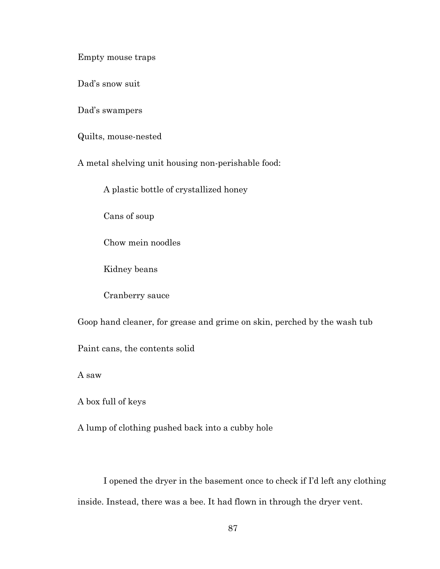Empty mouse traps

Dad's snow suit

Dad's swampers

Quilts, mouse-nested

A metal shelving unit housing non-perishable food:

A plastic bottle of crystallized honey

Cans of soup

Chow mein noodles

Kidney beans

Cranberry sauce

Goop hand cleaner, for grease and grime on skin, perched by the wash tub

Paint cans, the contents solid

A saw

A box full of keys

A lump of clothing pushed back into a cubby hole

I opened the dryer in the basement once to check if I'd left any clothing inside. Instead, there was a bee. It had flown in through the dryer vent.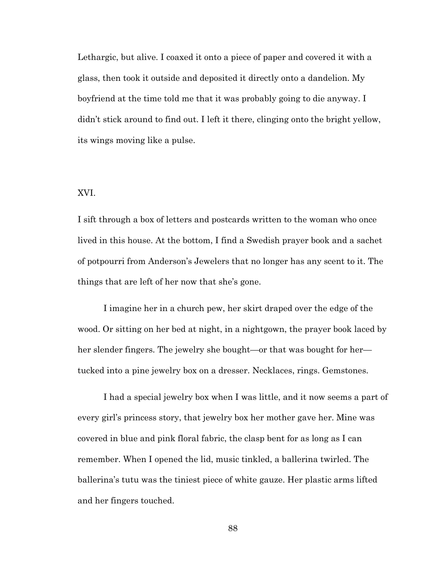Lethargic, but alive. I coaxed it onto a piece of paper and covered it with a glass, then took it outside and deposited it directly onto a dandelion. My boyfriend at the time told me that it was probably going to die anyway. I didn't stick around to find out. I left it there, clinging onto the bright yellow, its wings moving like a pulse.

# XVI.

I sift through a box of letters and postcards written to the woman who once lived in this house. At the bottom, I find a Swedish prayer book and a sachet of potpourri from Anderson's Jewelers that no longer has any scent to it. The things that are left of her now that she's gone.

I imagine her in a church pew, her skirt draped over the edge of the wood. Or sitting on her bed at night, in a nightgown, the prayer book laced by her slender fingers. The jewelry she bought—or that was bought for her tucked into a pine jewelry box on a dresser. Necklaces, rings. Gemstones.

I had a special jewelry box when I was little, and it now seems a part of every girl's princess story, that jewelry box her mother gave her. Mine was covered in blue and pink floral fabric, the clasp bent for as long as I can remember. When I opened the lid, music tinkled, a ballerina twirled. The ballerina's tutu was the tiniest piece of white gauze. Her plastic arms lifted and her fingers touched.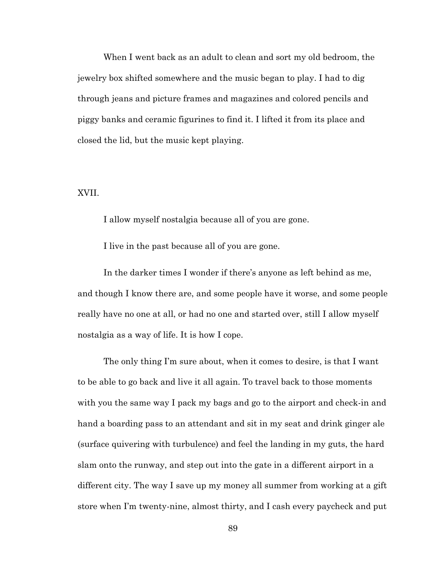When I went back as an adult to clean and sort my old bedroom, the jewelry box shifted somewhere and the music began to play. I had to dig through jeans and picture frames and magazines and colored pencils and piggy banks and ceramic figurines to find it. I lifted it from its place and closed the lid, but the music kept playing.

### XVII.

I allow myself nostalgia because all of you are gone.

I live in the past because all of you are gone.

In the darker times I wonder if there's anyone as left behind as me, and though I know there are, and some people have it worse, and some people really have no one at all, or had no one and started over, still I allow myself nostalgia as a way of life. It is how I cope.

The only thing I'm sure about, when it comes to desire, is that I want to be able to go back and live it all again. To travel back to those moments with you the same way I pack my bags and go to the airport and check-in and hand a boarding pass to an attendant and sit in my seat and drink ginger ale (surface quivering with turbulence) and feel the landing in my guts, the hard slam onto the runway, and step out into the gate in a different airport in a different city. The way I save up my money all summer from working at a gift store when I'm twenty-nine, almost thirty, and I cash every paycheck and put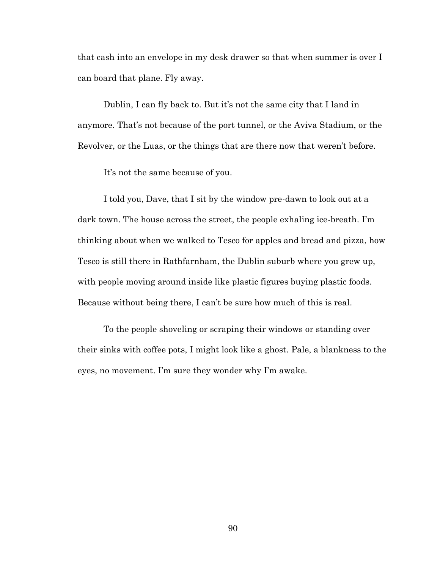that cash into an envelope in my desk drawer so that when summer is over I can board that plane. Fly away.

Dublin, I can fly back to. But it's not the same city that I land in anymore. That's not because of the port tunnel, or the Aviva Stadium, or the Revolver, or the Luas, or the things that are there now that weren't before.

It's not the same because of you.

I told you, Dave, that I sit by the window pre-dawn to look out at a dark town. The house across the street, the people exhaling ice-breath. I'm thinking about when we walked to Tesco for apples and bread and pizza, how Tesco is still there in Rathfarnham, the Dublin suburb where you grew up, with people moving around inside like plastic figures buying plastic foods. Because without being there, I can't be sure how much of this is real.

To the people shoveling or scraping their windows or standing over their sinks with coffee pots, I might look like a ghost. Pale, a blankness to the eyes, no movement. I'm sure they wonder why I'm awake.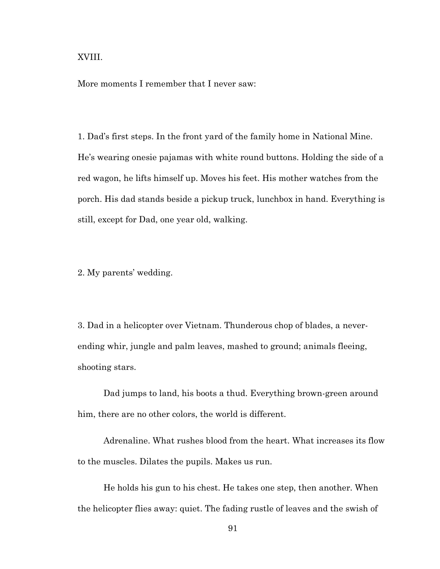XVIII.

More moments I remember that I never saw:

1. Dad's first steps. In the front yard of the family home in National Mine. He's wearing onesie pajamas with white round buttons. Holding the side of a red wagon, he lifts himself up. Moves his feet. His mother watches from the porch. His dad stands beside a pickup truck, lunchbox in hand. Everything is still, except for Dad, one year old, walking.

2. My parents' wedding.

3. Dad in a helicopter over Vietnam. Thunderous chop of blades, a neverending whir, jungle and palm leaves, mashed to ground; animals fleeing, shooting stars.

Dad jumps to land, his boots a thud. Everything brown-green around him, there are no other colors, the world is different.

Adrenaline. What rushes blood from the heart. What increases its flow to the muscles. Dilates the pupils. Makes us run.

He holds his gun to his chest. He takes one step, then another. When the helicopter flies away: quiet. The fading rustle of leaves and the swish of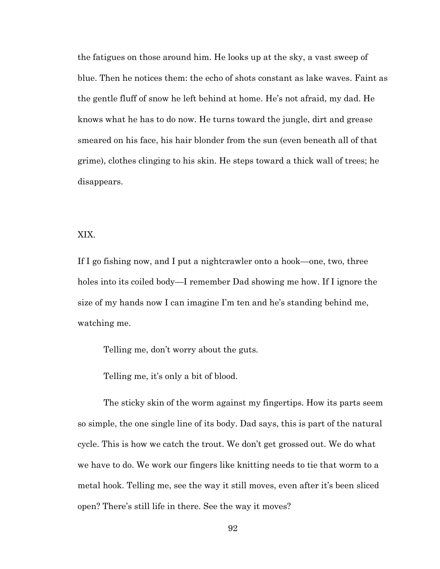the fatigues on those around him. He looks up at the sky, a vast sweep of blue. Then he notices them: the echo of shots constant as lake waves. Faint as the gentle fluff of snow he left behind at home. He's not afraid, my dad. He knows what he has to do now. He turns toward the jungle, dirt and grease smeared on his face, his hair blonder from the sun (even beneath all of that grime), clothes clinging to his skin. He steps toward a thick wall of trees; he disappears.

# XIX.

If I go fishing now, and I put a nightcrawler onto a hook—one, two, three holes into its coiled body—I remember Dad showing me how. If I ignore the size of my hands now I can imagine I'm ten and he's standing behind me, watching me.

Telling me, don't worry about the guts.

Telling me, it's only a bit of blood.

The sticky skin of the worm against my fingertips. How its parts seem so simple, the one single line of its body. Dad says, this is part of the natural cycle. This is how we catch the trout. We don't get grossed out. We do what we have to do. We work our fingers like knitting needs to tie that worm to a metal hook. Telling me, see the way it still moves, even after it's been sliced open? There's still life in there. See the way it moves?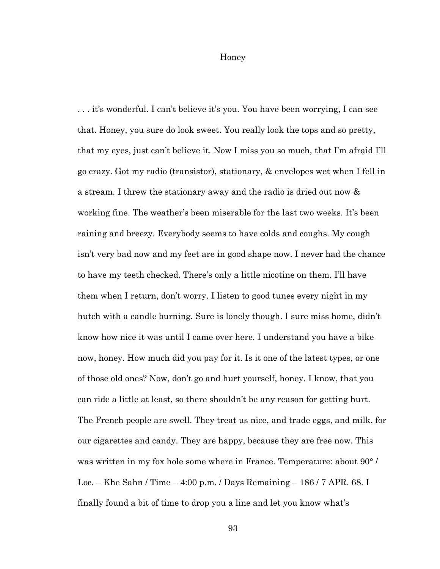Honey

. . . it's wonderful. I can't believe it's you. You have been worrying, I can see that. Honey, you sure do look sweet. You really look the tops and so pretty, that my eyes, just can't believe it. Now I miss you so much, that I'm afraid I'll go crazy. Got my radio (transistor), stationary, & envelopes wet when I fell in a stream. I threw the stationary away and the radio is dried out now & working fine. The weather's been miserable for the last two weeks. It's been raining and breezy. Everybody seems to have colds and coughs. My cough isn't very bad now and my feet are in good shape now. I never had the chance to have my teeth checked. There's only a little nicotine on them. I'll have them when I return, don't worry. I listen to good tunes every night in my hutch with a candle burning. Sure is lonely though. I sure miss home, didn't know how nice it was until I came over here. I understand you have a bike now, honey. How much did you pay for it. Is it one of the latest types, or one of those old ones? Now, don't go and hurt yourself, honey. I know, that you can ride a little at least, so there shouldn't be any reason for getting hurt. The French people are swell. They treat us nice, and trade eggs, and milk, for our cigarettes and candy. They are happy, because they are free now. This was written in my fox hole some where in France. Temperature: about 90° / Loc. – Khe Sahn / Time – 4:00 p.m. / Days Remaining – 186 / 7 APR. 68. I finally found a bit of time to drop you a line and let you know what's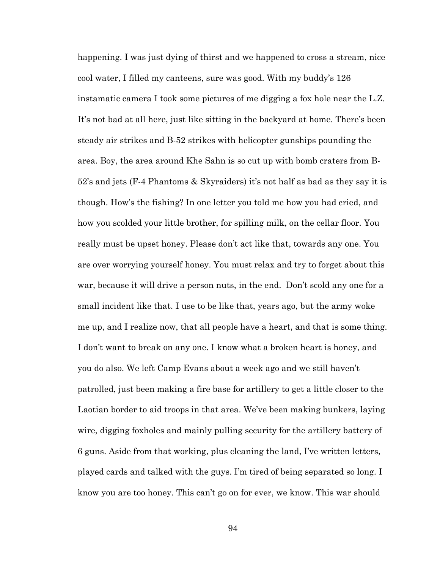happening. I was just dying of thirst and we happened to cross a stream, nice cool water, I filled my canteens, sure was good. With my buddy's 126 instamatic camera I took some pictures of me digging a fox hole near the L.Z. It's not bad at all here, just like sitting in the backyard at home. There's been steady air strikes and B-52 strikes with helicopter gunships pounding the area. Boy, the area around Khe Sahn is so cut up with bomb craters from B-52's and jets (F-4 Phantoms & Skyraiders) it's not half as bad as they say it is though. How's the fishing? In one letter you told me how you had cried, and how you scolded your little brother, for spilling milk, on the cellar floor. You really must be upset honey. Please don't act like that, towards any one. You are over worrying yourself honey. You must relax and try to forget about this war, because it will drive a person nuts, in the end. Don't scold any one for a small incident like that. I use to be like that, years ago, but the army woke me up, and I realize now, that all people have a heart, and that is some thing. I don't want to break on any one. I know what a broken heart is honey, and you do also. We left Camp Evans about a week ago and we still haven't patrolled, just been making a fire base for artillery to get a little closer to the Laotian border to aid troops in that area. We've been making bunkers, laying wire, digging foxholes and mainly pulling security for the artillery battery of 6 guns. Aside from that working, plus cleaning the land, I've written letters, played cards and talked with the guys. I'm tired of being separated so long. I know you are too honey. This can't go on for ever, we know. This war should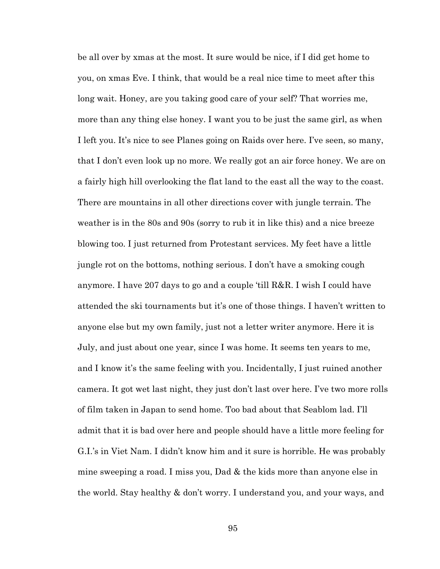be all over by xmas at the most. It sure would be nice, if I did get home to you, on xmas Eve. I think, that would be a real nice time to meet after this long wait. Honey, are you taking good care of your self? That worries me, more than any thing else honey. I want you to be just the same girl, as when I left you. It's nice to see Planes going on Raids over here. I've seen, so many, that I don't even look up no more. We really got an air force honey. We are on a fairly high hill overlooking the flat land to the east all the way to the coast. There are mountains in all other directions cover with jungle terrain. The weather is in the 80s and 90s (sorry to rub it in like this) and a nice breeze blowing too. I just returned from Protestant services. My feet have a little jungle rot on the bottoms, nothing serious. I don't have a smoking cough anymore. I have 207 days to go and a couple 'till R&R. I wish I could have attended the ski tournaments but it's one of those things. I haven't written to anyone else but my own family, just not a letter writer anymore. Here it is July, and just about one year, since I was home. It seems ten years to me, and I know it's the same feeling with you. Incidentally, I just ruined another camera. It got wet last night, they just don't last over here. I've two more rolls of film taken in Japan to send home. Too bad about that Seablom lad. I'll admit that it is bad over here and people should have a little more feeling for G.I.'s in Viet Nam. I didn't know him and it sure is horrible. He was probably mine sweeping a road. I miss you, Dad & the kids more than anyone else in the world. Stay healthy & don't worry. I understand you, and your ways, and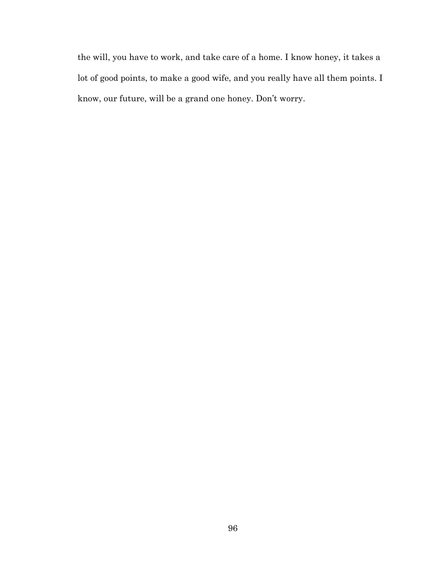the will, you have to work, and take care of a home. I know honey, it takes a lot of good points, to make a good wife, and you really have all them points. I know, our future, will be a grand one honey. Don't worry.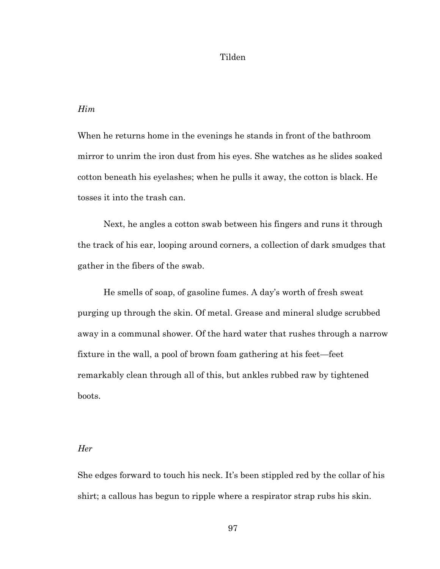# Tilden

# *Him*

When he returns home in the evenings he stands in front of the bathroom mirror to unrim the iron dust from his eyes. She watches as he slides soaked cotton beneath his eyelashes; when he pulls it away, the cotton is black. He tosses it into the trash can.

Next, he angles a cotton swab between his fingers and runs it through the track of his ear, looping around corners, a collection of dark smudges that gather in the fibers of the swab.

He smells of soap, of gasoline fumes. A day's worth of fresh sweat purging up through the skin. Of metal. Grease and mineral sludge scrubbed away in a communal shower. Of the hard water that rushes through a narrow fixture in the wall, a pool of brown foam gathering at his feet—feet remarkably clean through all of this, but ankles rubbed raw by tightened boots.

### *Her*

She edges forward to touch his neck. It's been stippled red by the collar of his shirt; a callous has begun to ripple where a respirator strap rubs his skin.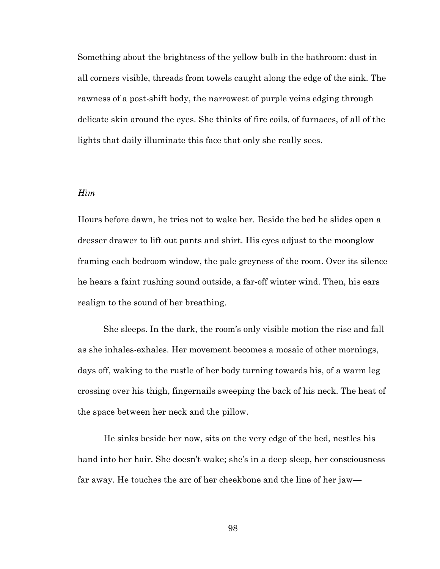Something about the brightness of the yellow bulb in the bathroom: dust in all corners visible, threads from towels caught along the edge of the sink. The rawness of a post-shift body, the narrowest of purple veins edging through delicate skin around the eyes. She thinks of fire coils, of furnaces, of all of the lights that daily illuminate this face that only she really sees.

# *Him*

Hours before dawn, he tries not to wake her. Beside the bed he slides open a dresser drawer to lift out pants and shirt. His eyes adjust to the moonglow framing each bedroom window, the pale greyness of the room. Over its silence he hears a faint rushing sound outside, a far-off winter wind. Then, his ears realign to the sound of her breathing.

She sleeps. In the dark, the room's only visible motion the rise and fall as she inhales-exhales. Her movement becomes a mosaic of other mornings, days off, waking to the rustle of her body turning towards his, of a warm leg crossing over his thigh, fingernails sweeping the back of his neck. The heat of the space between her neck and the pillow.

He sinks beside her now, sits on the very edge of the bed, nestles his hand into her hair. She doesn't wake; she's in a deep sleep, her consciousness far away. He touches the arc of her cheekbone and the line of her jaw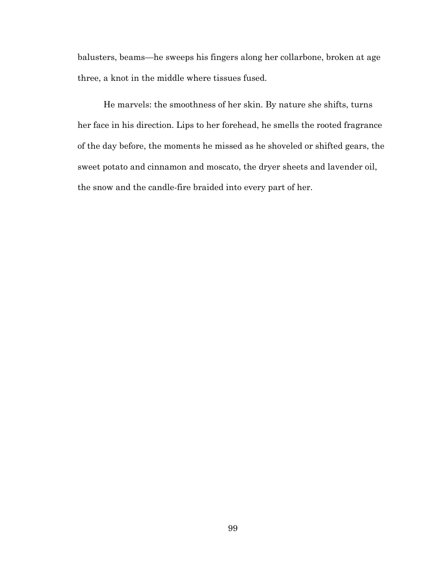balusters, beams—he sweeps his fingers along her collarbone, broken at age three, a knot in the middle where tissues fused.

He marvels: the smoothness of her skin. By nature she shifts, turns her face in his direction. Lips to her forehead, he smells the rooted fragrance of the day before, the moments he missed as he shoveled or shifted gears, the sweet potato and cinnamon and moscato, the dryer sheets and lavender oil, the snow and the candle-fire braided into every part of her.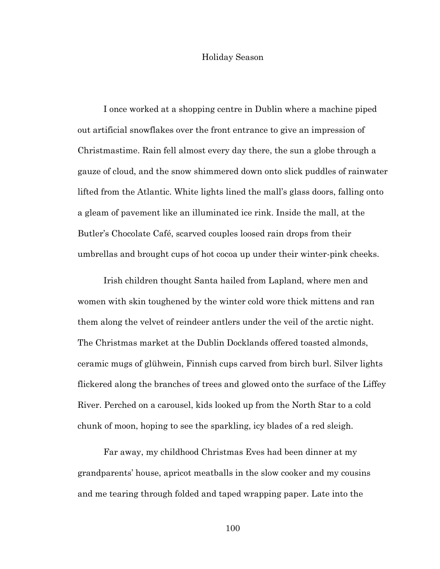# Holiday Season

I once worked at a shopping centre in Dublin where a machine piped out artificial snowflakes over the front entrance to give an impression of Christmastime. Rain fell almost every day there, the sun a globe through a gauze of cloud, and the snow shimmered down onto slick puddles of rainwater lifted from the Atlantic. White lights lined the mall's glass doors, falling onto a gleam of pavement like an illuminated ice rink. Inside the mall, at the Butler's Chocolate Café, scarved couples loosed rain drops from their umbrellas and brought cups of hot cocoa up under their winter-pink cheeks.

Irish children thought Santa hailed from Lapland, where men and women with skin toughened by the winter cold wore thick mittens and ran them along the velvet of reindeer antlers under the veil of the arctic night. The Christmas market at the Dublin Docklands offered toasted almonds, ceramic mugs of glühwein, Finnish cups carved from birch burl. Silver lights flickered along the branches of trees and glowed onto the surface of the Liffey River. Perched on a carousel, kids looked up from the North Star to a cold chunk of moon, hoping to see the sparkling, icy blades of a red sleigh.

Far away, my childhood Christmas Eves had been dinner at my grandparents' house, apricot meatballs in the slow cooker and my cousins and me tearing through folded and taped wrapping paper. Late into the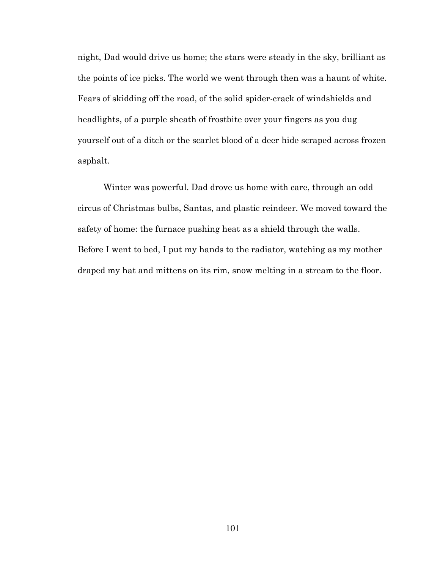night, Dad would drive us home; the stars were steady in the sky, brilliant as the points of ice picks. The world we went through then was a haunt of white. Fears of skidding off the road, of the solid spider-crack of windshields and headlights, of a purple sheath of frostbite over your fingers as you dug yourself out of a ditch or the scarlet blood of a deer hide scraped across frozen asphalt.

Winter was powerful. Dad drove us home with care, through an odd circus of Christmas bulbs, Santas, and plastic reindeer. We moved toward the safety of home: the furnace pushing heat as a shield through the walls. Before I went to bed, I put my hands to the radiator, watching as my mother draped my hat and mittens on its rim, snow melting in a stream to the floor.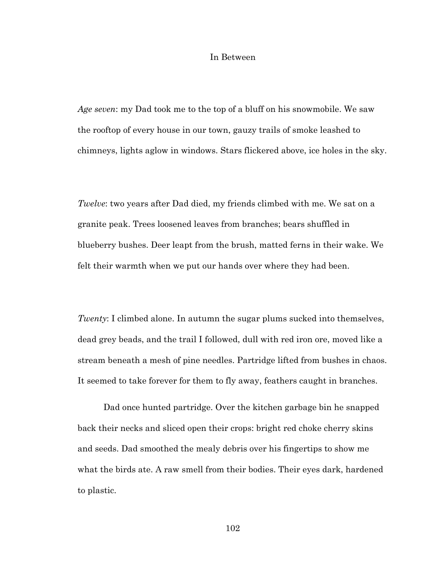### In Between

*Age seven*: my Dad took me to the top of a bluff on his snowmobile. We saw the rooftop of every house in our town, gauzy trails of smoke leashed to chimneys, lights aglow in windows. Stars flickered above, ice holes in the sky.

*Twelve*: two years after Dad died, my friends climbed with me. We sat on a granite peak. Trees loosened leaves from branches; bears shuffled in blueberry bushes. Deer leapt from the brush, matted ferns in their wake. We felt their warmth when we put our hands over where they had been.

*Twenty*: I climbed alone. In autumn the sugar plums sucked into themselves, dead grey beads, and the trail I followed, dull with red iron ore, moved like a stream beneath a mesh of pine needles. Partridge lifted from bushes in chaos. It seemed to take forever for them to fly away, feathers caught in branches.

Dad once hunted partridge. Over the kitchen garbage bin he snapped back their necks and sliced open their crops: bright red choke cherry skins and seeds. Dad smoothed the mealy debris over his fingertips to show me what the birds ate. A raw smell from their bodies. Their eyes dark, hardened to plastic.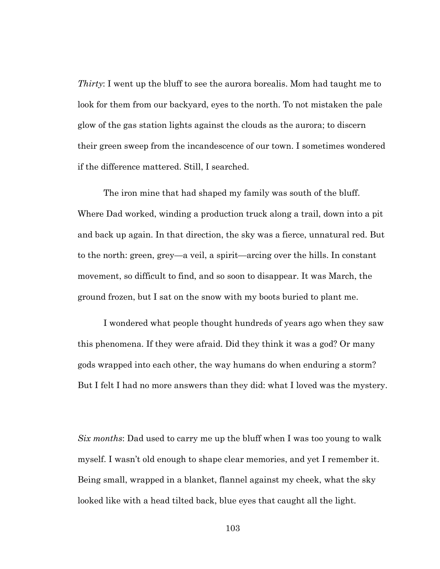*Thirty*: I went up the bluff to see the aurora borealis. Mom had taught me to look for them from our backyard, eyes to the north. To not mistaken the pale glow of the gas station lights against the clouds as the aurora; to discern their green sweep from the incandescence of our town. I sometimes wondered if the difference mattered. Still, I searched.

The iron mine that had shaped my family was south of the bluff. Where Dad worked, winding a production truck along a trail, down into a pit and back up again. In that direction, the sky was a fierce, unnatural red. But to the north: green, grey—a veil, a spirit—arcing over the hills. In constant movement, so difficult to find, and so soon to disappear. It was March, the ground frozen, but I sat on the snow with my boots buried to plant me.

I wondered what people thought hundreds of years ago when they saw this phenomena. If they were afraid. Did they think it was a god? Or many gods wrapped into each other, the way humans do when enduring a storm? But I felt I had no more answers than they did: what I loved was the mystery.

*Six months*: Dad used to carry me up the bluff when I was too young to walk myself. I wasn't old enough to shape clear memories, and yet I remember it. Being small, wrapped in a blanket, flannel against my cheek, what the sky looked like with a head tilted back, blue eyes that caught all the light.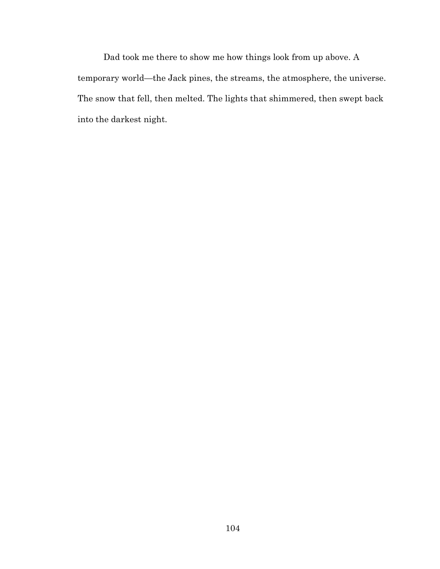Dad took me there to show me how things look from up above. A temporary world—the Jack pines, the streams, the atmosphere, the universe. The snow that fell, then melted. The lights that shimmered, then swept back into the darkest night.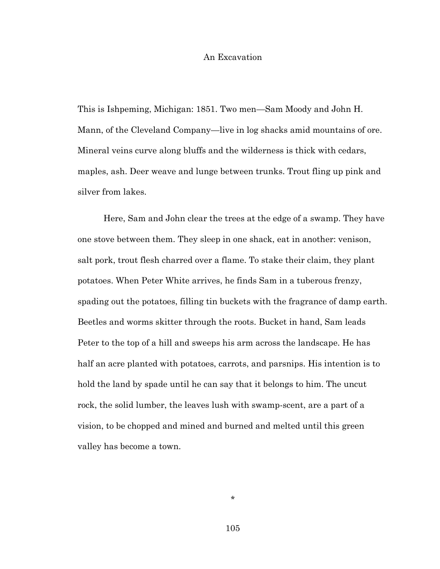# An Excavation

This is Ishpeming, Michigan: 1851. Two men—Sam Moody and John H. Mann, of the Cleveland Company—live in log shacks amid mountains of ore. Mineral veins curve along bluffs and the wilderness is thick with cedars, maples, ash. Deer weave and lunge between trunks. Trout fling up pink and silver from lakes.

Here, Sam and John clear the trees at the edge of a swamp. They have one stove between them. They sleep in one shack, eat in another: venison, salt pork, trout flesh charred over a flame. To stake their claim, they plant potatoes. When Peter White arrives, he finds Sam in a tuberous frenzy, spading out the potatoes, filling tin buckets with the fragrance of damp earth. Beetles and worms skitter through the roots. Bucket in hand, Sam leads Peter to the top of a hill and sweeps his arm across the landscape. He has half an acre planted with potatoes, carrots, and parsnips. His intention is to hold the land by spade until he can say that it belongs to him. The uncut rock, the solid lumber, the leaves lush with swamp-scent, are a part of a vision, to be chopped and mined and burned and melted until this green valley has become a town.

\*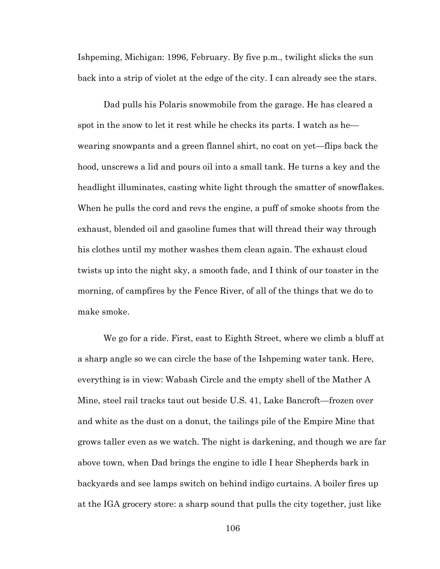Ishpeming, Michigan: 1996, February. By five p.m., twilight slicks the sun back into a strip of violet at the edge of the city. I can already see the stars.

Dad pulls his Polaris snowmobile from the garage. He has cleared a spot in the snow to let it rest while he checks its parts. I watch as he wearing snowpants and a green flannel shirt, no coat on yet—flips back the hood, unscrews a lid and pours oil into a small tank. He turns a key and the headlight illuminates, casting white light through the smatter of snowflakes. When he pulls the cord and revs the engine, a puff of smoke shoots from the exhaust, blended oil and gasoline fumes that will thread their way through his clothes until my mother washes them clean again. The exhaust cloud twists up into the night sky, a smooth fade, and I think of our toaster in the morning, of campfires by the Fence River, of all of the things that we do to make smoke.

We go for a ride. First, east to Eighth Street, where we climb a bluff at a sharp angle so we can circle the base of the Ishpeming water tank. Here, everything is in view: Wabash Circle and the empty shell of the Mather A Mine, steel rail tracks taut out beside U.S. 41, Lake Bancroft—frozen over and white as the dust on a donut, the tailings pile of the Empire Mine that grows taller even as we watch. The night is darkening, and though we are far above town, when Dad brings the engine to idle I hear Shepherds bark in backyards and see lamps switch on behind indigo curtains. A boiler fires up at the IGA grocery store: a sharp sound that pulls the city together, just like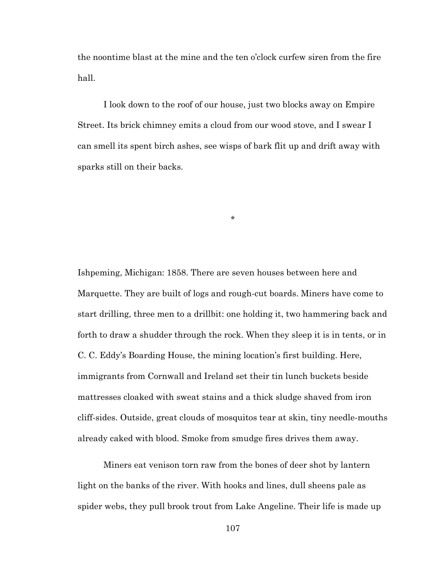the noontime blast at the mine and the ten o'clock curfew siren from the fire hall.

I look down to the roof of our house, just two blocks away on Empire Street. Its brick chimney emits a cloud from our wood stove, and I swear I can smell its spent birch ashes, see wisps of bark flit up and drift away with sparks still on their backs.

\*

Ishpeming, Michigan: 1858. There are seven houses between here and Marquette. They are built of logs and rough-cut boards. Miners have come to start drilling, three men to a drillbit: one holding it, two hammering back and forth to draw a shudder through the rock. When they sleep it is in tents, or in C. C. Eddy's Boarding House, the mining location's first building. Here, immigrants from Cornwall and Ireland set their tin lunch buckets beside mattresses cloaked with sweat stains and a thick sludge shaved from iron cliff-sides. Outside, great clouds of mosquitos tear at skin, tiny needle-mouths already caked with blood. Smoke from smudge fires drives them away.

Miners eat venison torn raw from the bones of deer shot by lantern light on the banks of the river. With hooks and lines, dull sheens pale as spider webs, they pull brook trout from Lake Angeline. Their life is made up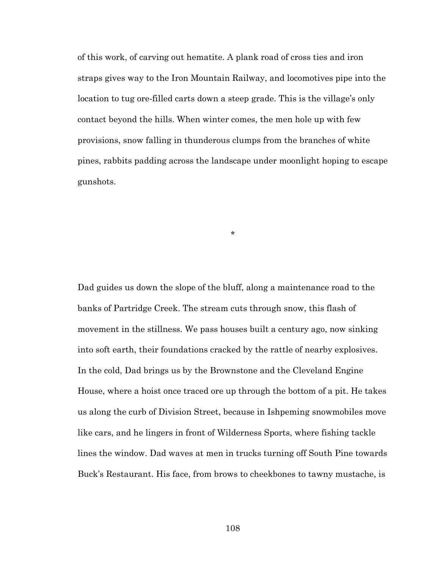of this work, of carving out hematite. A plank road of cross ties and iron straps gives way to the Iron Mountain Railway, and locomotives pipe into the location to tug ore-filled carts down a steep grade. This is the village's only contact beyond the hills. When winter comes, the men hole up with few provisions, snow falling in thunderous clumps from the branches of white pines, rabbits padding across the landscape under moonlight hoping to escape gunshots.

\*

Dad guides us down the slope of the bluff, along a maintenance road to the banks of Partridge Creek. The stream cuts through snow, this flash of movement in the stillness. We pass houses built a century ago, now sinking into soft earth, their foundations cracked by the rattle of nearby explosives. In the cold, Dad brings us by the Brownstone and the Cleveland Engine House, where a hoist once traced ore up through the bottom of a pit. He takes us along the curb of Division Street, because in Ishpeming snowmobiles move like cars, and he lingers in front of Wilderness Sports, where fishing tackle lines the window. Dad waves at men in trucks turning off South Pine towards Buck's Restaurant. His face, from brows to cheekbones to tawny mustache, is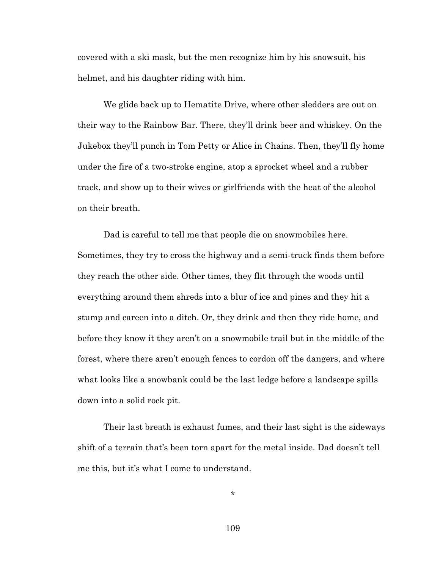covered with a ski mask, but the men recognize him by his snowsuit, his helmet, and his daughter riding with him.

We glide back up to Hematite Drive, where other sledders are out on their way to the Rainbow Bar. There, they'll drink beer and whiskey. On the Jukebox they'll punch in Tom Petty or Alice in Chains. Then, they'll fly home under the fire of a two-stroke engine, atop a sprocket wheel and a rubber track, and show up to their wives or girlfriends with the heat of the alcohol on their breath.

Dad is careful to tell me that people die on snowmobiles here. Sometimes, they try to cross the highway and a semi-truck finds them before they reach the other side. Other times, they flit through the woods until everything around them shreds into a blur of ice and pines and they hit a stump and careen into a ditch. Or, they drink and then they ride home, and before they know it they aren't on a snowmobile trail but in the middle of the forest, where there aren't enough fences to cordon off the dangers, and where what looks like a snowbank could be the last ledge before a landscape spills down into a solid rock pit.

Their last breath is exhaust fumes, and their last sight is the sideways shift of a terrain that's been torn apart for the metal inside. Dad doesn't tell me this, but it's what I come to understand.

\*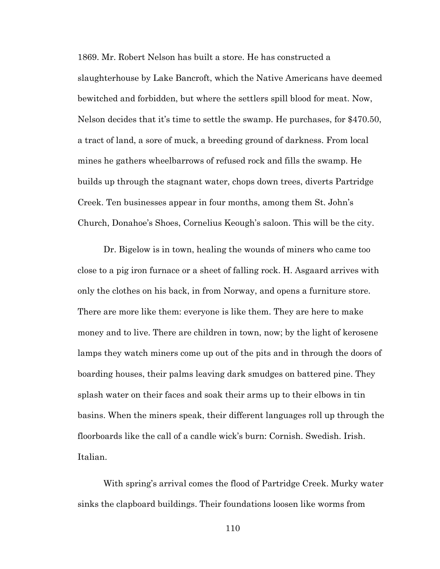1869. Mr. Robert Nelson has built a store. He has constructed a slaughterhouse by Lake Bancroft, which the Native Americans have deemed bewitched and forbidden, but where the settlers spill blood for meat. Now, Nelson decides that it's time to settle the swamp. He purchases, for \$470.50, a tract of land, a sore of muck, a breeding ground of darkness. From local mines he gathers wheelbarrows of refused rock and fills the swamp. He builds up through the stagnant water, chops down trees, diverts Partridge Creek. Ten businesses appear in four months, among them St. John's Church, Donahoe's Shoes, Cornelius Keough's saloon. This will be the city.

Dr. Bigelow is in town, healing the wounds of miners who came too close to a pig iron furnace or a sheet of falling rock. H. Asgaard arrives with only the clothes on his back, in from Norway, and opens a furniture store. There are more like them: everyone is like them. They are here to make money and to live. There are children in town, now; by the light of kerosene lamps they watch miners come up out of the pits and in through the doors of boarding houses, their palms leaving dark smudges on battered pine. They splash water on their faces and soak their arms up to their elbows in tin basins. When the miners speak, their different languages roll up through the floorboards like the call of a candle wick's burn: Cornish. Swedish. Irish. Italian.

With spring's arrival comes the flood of Partridge Creek. Murky water sinks the clapboard buildings. Their foundations loosen like worms from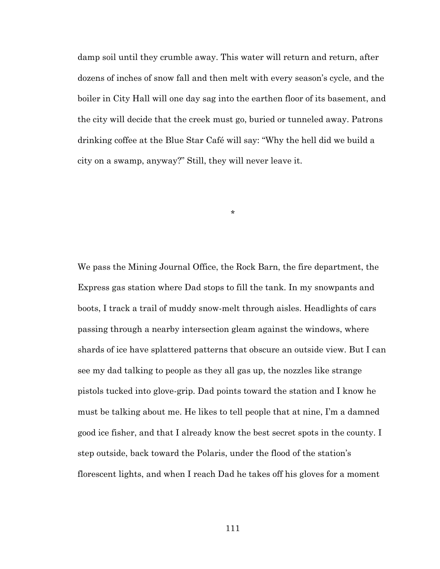damp soil until they crumble away. This water will return and return, after dozens of inches of snow fall and then melt with every season's cycle, and the boiler in City Hall will one day sag into the earthen floor of its basement, and the city will decide that the creek must go, buried or tunneled away. Patrons drinking coffee at the Blue Star Café will say: "Why the hell did we build a city on a swamp, anyway?" Still, they will never leave it.

\*

We pass the Mining Journal Office, the Rock Barn, the fire department, the Express gas station where Dad stops to fill the tank. In my snowpants and boots, I track a trail of muddy snow-melt through aisles. Headlights of cars passing through a nearby intersection gleam against the windows, where shards of ice have splattered patterns that obscure an outside view. But I can see my dad talking to people as they all gas up, the nozzles like strange pistols tucked into glove-grip. Dad points toward the station and I know he must be talking about me. He likes to tell people that at nine, I'm a damned good ice fisher, and that I already know the best secret spots in the county. I step outside, back toward the Polaris, under the flood of the station's florescent lights, and when I reach Dad he takes off his gloves for a moment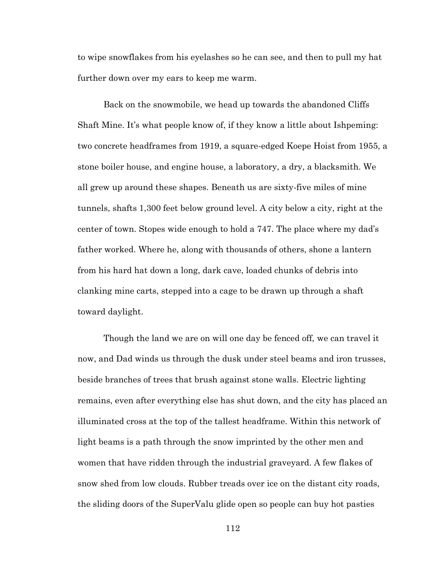to wipe snowflakes from his eyelashes so he can see, and then to pull my hat further down over my ears to keep me warm.

Back on the snowmobile, we head up towards the abandoned Cliffs Shaft Mine. It's what people know of, if they know a little about Ishpeming: two concrete headframes from 1919, a square-edged Koepe Hoist from 1955, a stone boiler house, and engine house, a laboratory, a dry, a blacksmith. We all grew up around these shapes. Beneath us are sixty-five miles of mine tunnels, shafts 1,300 feet below ground level. A city below a city, right at the center of town. Stopes wide enough to hold a 747. The place where my dad's father worked. Where he, along with thousands of others, shone a lantern from his hard hat down a long, dark cave, loaded chunks of debris into clanking mine carts, stepped into a cage to be drawn up through a shaft toward daylight.

Though the land we are on will one day be fenced off, we can travel it now, and Dad winds us through the dusk under steel beams and iron trusses, beside branches of trees that brush against stone walls. Electric lighting remains, even after everything else has shut down, and the city has placed an illuminated cross at the top of the tallest headframe. Within this network of light beams is a path through the snow imprinted by the other men and women that have ridden through the industrial graveyard. A few flakes of snow shed from low clouds. Rubber treads over ice on the distant city roads, the sliding doors of the SuperValu glide open so people can buy hot pasties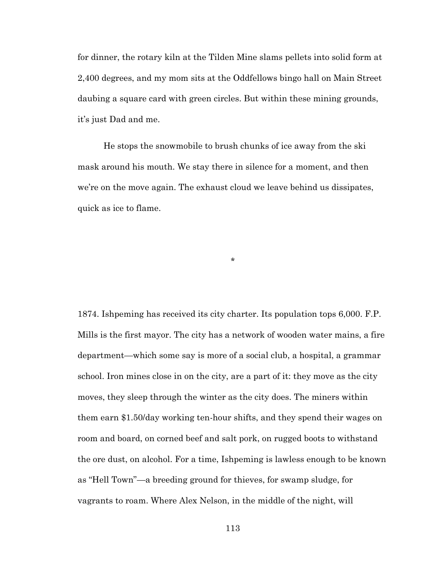for dinner, the rotary kiln at the Tilden Mine slams pellets into solid form at 2,400 degrees, and my mom sits at the Oddfellows bingo hall on Main Street daubing a square card with green circles. But within these mining grounds, it's just Dad and me.

He stops the snowmobile to brush chunks of ice away from the ski mask around his mouth. We stay there in silence for a moment, and then we're on the move again. The exhaust cloud we leave behind us dissipates, quick as ice to flame.

\*

1874. Ishpeming has received its city charter. Its population tops 6,000. F.P. Mills is the first mayor. The city has a network of wooden water mains, a fire department—which some say is more of a social club, a hospital, a grammar school. Iron mines close in on the city, are a part of it: they move as the city moves, they sleep through the winter as the city does. The miners within them earn \$1.50/day working ten-hour shifts, and they spend their wages on room and board, on corned beef and salt pork, on rugged boots to withstand the ore dust, on alcohol. For a time, Ishpeming is lawless enough to be known as "Hell Town"—a breeding ground for thieves, for swamp sludge, for vagrants to roam. Where Alex Nelson, in the middle of the night, will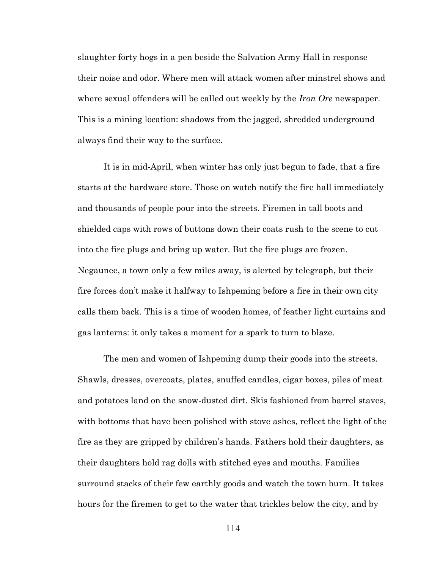slaughter forty hogs in a pen beside the Salvation Army Hall in response their noise and odor. Where men will attack women after minstrel shows and where sexual offenders will be called out weekly by the *Iron Ore* newspaper. This is a mining location: shadows from the jagged, shredded underground always find their way to the surface.

It is in mid-April, when winter has only just begun to fade, that a fire starts at the hardware store. Those on watch notify the fire hall immediately and thousands of people pour into the streets. Firemen in tall boots and shielded caps with rows of buttons down their coats rush to the scene to cut into the fire plugs and bring up water. But the fire plugs are frozen. Negaunee, a town only a few miles away, is alerted by telegraph, but their fire forces don't make it halfway to Ishpeming before a fire in their own city calls them back. This is a time of wooden homes, of feather light curtains and gas lanterns: it only takes a moment for a spark to turn to blaze.

The men and women of Ishpeming dump their goods into the streets. Shawls, dresses, overcoats, plates, snuffed candles, cigar boxes, piles of meat and potatoes land on the snow-dusted dirt. Skis fashioned from barrel staves, with bottoms that have been polished with stove ashes, reflect the light of the fire as they are gripped by children's hands. Fathers hold their daughters, as their daughters hold rag dolls with stitched eyes and mouths. Families surround stacks of their few earthly goods and watch the town burn. It takes hours for the firemen to get to the water that trickles below the city, and by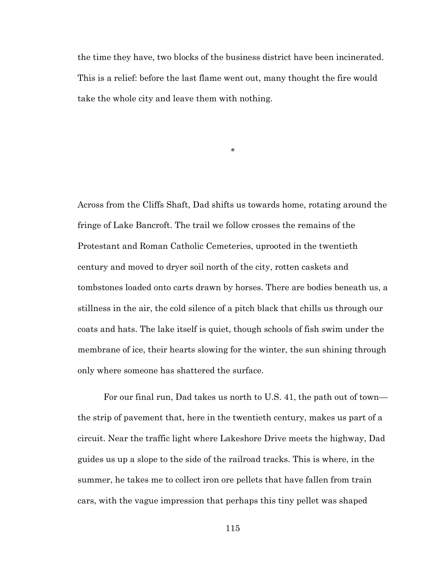the time they have, two blocks of the business district have been incinerated. This is a relief: before the last flame went out, many thought the fire would take the whole city and leave them with nothing.

\*

Across from the Cliffs Shaft, Dad shifts us towards home, rotating around the fringe of Lake Bancroft. The trail we follow crosses the remains of the Protestant and Roman Catholic Cemeteries, uprooted in the twentieth century and moved to dryer soil north of the city, rotten caskets and tombstones loaded onto carts drawn by horses. There are bodies beneath us, a stillness in the air, the cold silence of a pitch black that chills us through our coats and hats. The lake itself is quiet, though schools of fish swim under the membrane of ice, their hearts slowing for the winter, the sun shining through only where someone has shattered the surface.

For our final run, Dad takes us north to U.S. 41, the path out of town the strip of pavement that, here in the twentieth century, makes us part of a circuit. Near the traffic light where Lakeshore Drive meets the highway, Dad guides us up a slope to the side of the railroad tracks. This is where, in the summer, he takes me to collect iron ore pellets that have fallen from train cars, with the vague impression that perhaps this tiny pellet was shaped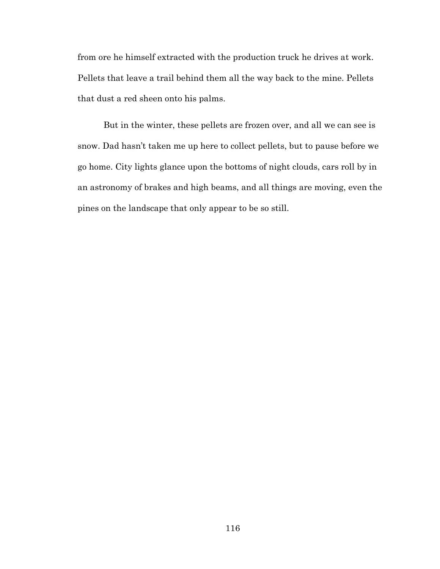from ore he himself extracted with the production truck he drives at work. Pellets that leave a trail behind them all the way back to the mine. Pellets that dust a red sheen onto his palms.

But in the winter, these pellets are frozen over, and all we can see is snow. Dad hasn't taken me up here to collect pellets, but to pause before we go home. City lights glance upon the bottoms of night clouds, cars roll by in an astronomy of brakes and high beams, and all things are moving, even the pines on the landscape that only appear to be so still.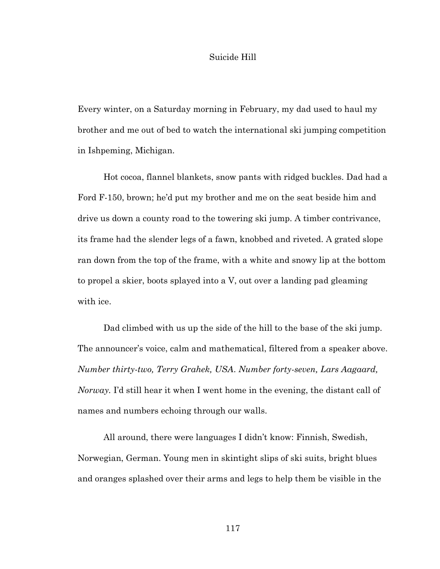## Suicide Hill

Every winter, on a Saturday morning in February, my dad used to haul my brother and me out of bed to watch the international ski jumping competition in Ishpeming, Michigan.

Hot cocoa, flannel blankets, snow pants with ridged buckles. Dad had a Ford F-150, brown; he'd put my brother and me on the seat beside him and drive us down a county road to the towering ski jump. A timber contrivance, its frame had the slender legs of a fawn, knobbed and riveted. A grated slope ran down from the top of the frame, with a white and snowy lip at the bottom to propel a skier, boots splayed into a V, out over a landing pad gleaming with ice.

Dad climbed with us up the side of the hill to the base of the ski jump. The announcer's voice, calm and mathematical, filtered from a speaker above. *Number thirty-two, Terry Grahek, USA*. *Number forty-seven, Lars Aagaard, Norway.* I'd still hear it when I went home in the evening, the distant call of names and numbers echoing through our walls.

All around, there were languages I didn't know: Finnish, Swedish, Norwegian, German. Young men in skintight slips of ski suits, bright blues and oranges splashed over their arms and legs to help them be visible in the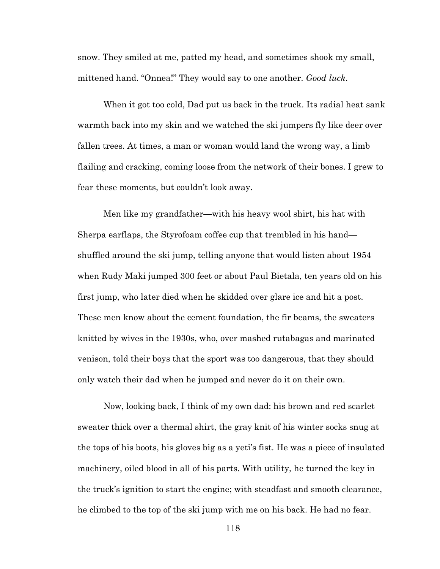snow. They smiled at me, patted my head, and sometimes shook my small, mittened hand. "Onnea!" They would say to one another. *Good luck*.

When it got too cold, Dad put us back in the truck. Its radial heat sank warmth back into my skin and we watched the ski jumpers fly like deer over fallen trees. At times, a man or woman would land the wrong way, a limb flailing and cracking, coming loose from the network of their bones. I grew to fear these moments, but couldn't look away.

Men like my grandfather—with his heavy wool shirt, his hat with Sherpa earflaps, the Styrofoam coffee cup that trembled in his hand shuffled around the ski jump, telling anyone that would listen about 1954 when Rudy Maki jumped 300 feet or about Paul Bietala, ten years old on his first jump, who later died when he skidded over glare ice and hit a post. These men know about the cement foundation, the fir beams, the sweaters knitted by wives in the 1930s, who, over mashed rutabagas and marinated venison, told their boys that the sport was too dangerous, that they should only watch their dad when he jumped and never do it on their own.

Now, looking back, I think of my own dad: his brown and red scarlet sweater thick over a thermal shirt, the gray knit of his winter socks snug at the tops of his boots, his gloves big as a yeti's fist. He was a piece of insulated machinery, oiled blood in all of his parts. With utility, he turned the key in the truck's ignition to start the engine; with steadfast and smooth clearance, he climbed to the top of the ski jump with me on his back. He had no fear.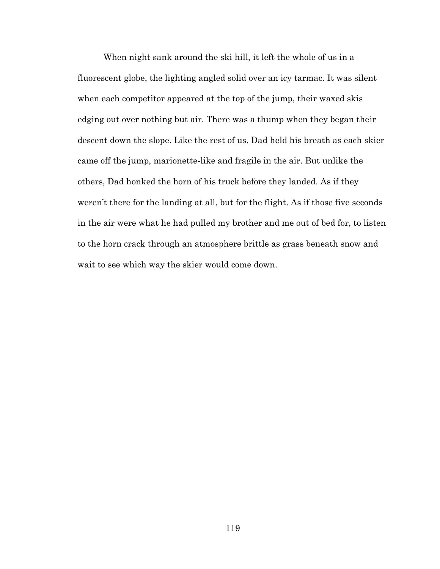When night sank around the ski hill, it left the whole of us in a fluorescent globe, the lighting angled solid over an icy tarmac. It was silent when each competitor appeared at the top of the jump, their waxed skis edging out over nothing but air. There was a thump when they began their descent down the slope. Like the rest of us, Dad held his breath as each skier came off the jump, marionette-like and fragile in the air. But unlike the others, Dad honked the horn of his truck before they landed. As if they weren't there for the landing at all, but for the flight. As if those five seconds in the air were what he had pulled my brother and me out of bed for, to listen to the horn crack through an atmosphere brittle as grass beneath snow and wait to see which way the skier would come down.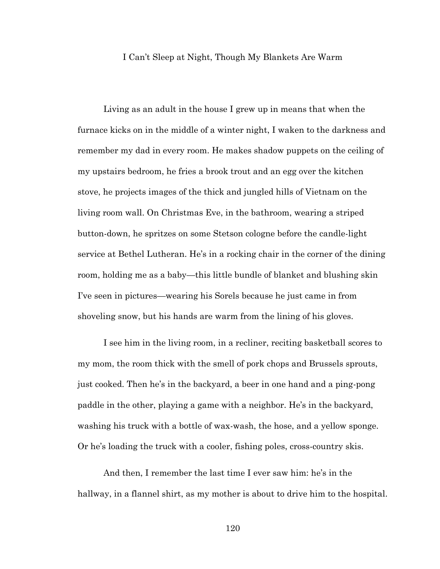# I Can't Sleep at Night, Though My Blankets Are Warm

Living as an adult in the house I grew up in means that when the furnace kicks on in the middle of a winter night, I waken to the darkness and remember my dad in every room. He makes shadow puppets on the ceiling of my upstairs bedroom, he fries a brook trout and an egg over the kitchen stove, he projects images of the thick and jungled hills of Vietnam on the living room wall. On Christmas Eve, in the bathroom, wearing a striped button-down, he spritzes on some Stetson cologne before the candle-light service at Bethel Lutheran. He's in a rocking chair in the corner of the dining room, holding me as a baby—this little bundle of blanket and blushing skin I've seen in pictures—wearing his Sorels because he just came in from shoveling snow, but his hands are warm from the lining of his gloves.

I see him in the living room, in a recliner, reciting basketball scores to my mom, the room thick with the smell of pork chops and Brussels sprouts, just cooked. Then he's in the backyard, a beer in one hand and a ping-pong paddle in the other, playing a game with a neighbor. He's in the backyard, washing his truck with a bottle of wax-wash, the hose, and a yellow sponge. Or he's loading the truck with a cooler, fishing poles, cross-country skis.

And then, I remember the last time I ever saw him: he's in the hallway, in a flannel shirt, as my mother is about to drive him to the hospital.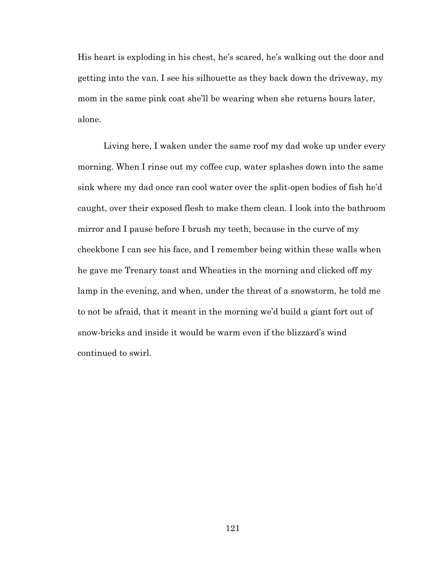His heart is exploding in his chest, he's scared, he's walking out the door and getting into the van. I see his silhouette as they back down the driveway, my mom in the same pink coat she'll be wearing when she returns hours later, alone.

Living here, I waken under the same roof my dad woke up under every morning. When I rinse out my coffee cup, water splashes down into the same sink where my dad once ran cool water over the split-open bodies of fish he'd caught, over their exposed flesh to make them clean. I look into the bathroom mirror and I pause before I brush my teeth, because in the curve of my cheekbone I can see his face, and I remember being within these walls when he gave me Trenary toast and Wheaties in the morning and clicked off my lamp in the evening, and when, under the threat of a snowstorm, he told me to not be afraid, that it meant in the morning we'd build a giant fort out of snow-bricks and inside it would be warm even if the blizzard's wind continued to swirl.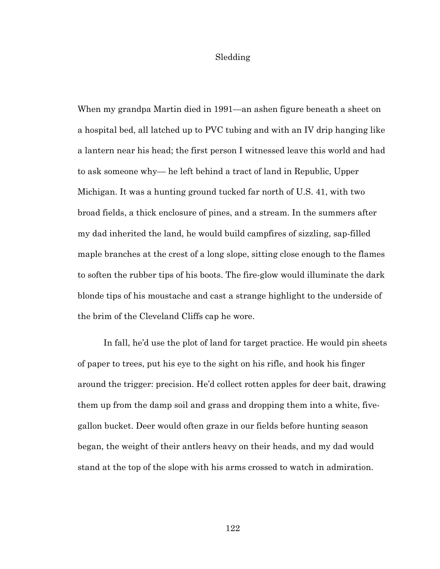### Sledding

When my grandpa Martin died in 1991—an ashen figure beneath a sheet on a hospital bed, all latched up to PVC tubing and with an IV drip hanging like a lantern near his head; the first person I witnessed leave this world and had to ask someone why— he left behind a tract of land in Republic, Upper Michigan. It was a hunting ground tucked far north of U.S. 41, with two broad fields, a thick enclosure of pines, and a stream. In the summers after my dad inherited the land, he would build campfires of sizzling, sap-filled maple branches at the crest of a long slope, sitting close enough to the flames to soften the rubber tips of his boots. The fire-glow would illuminate the dark blonde tips of his moustache and cast a strange highlight to the underside of the brim of the Cleveland Cliffs cap he wore.

In fall, he'd use the plot of land for target practice. He would pin sheets of paper to trees, put his eye to the sight on his rifle, and hook his finger around the trigger: precision. He'd collect rotten apples for deer bait, drawing them up from the damp soil and grass and dropping them into a white, fivegallon bucket. Deer would often graze in our fields before hunting season began, the weight of their antlers heavy on their heads, and my dad would stand at the top of the slope with his arms crossed to watch in admiration.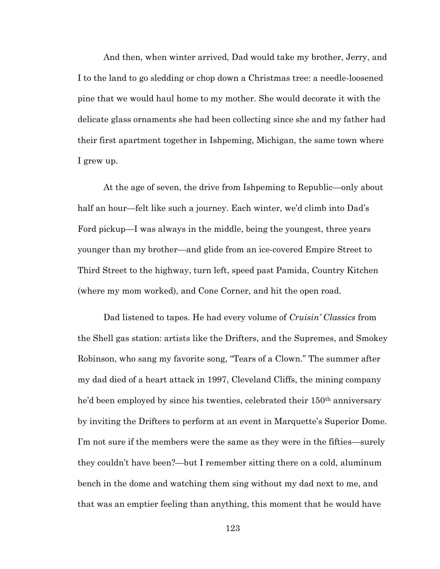And then, when winter arrived, Dad would take my brother, Jerry, and I to the land to go sledding or chop down a Christmas tree: a needle-loosened pine that we would haul home to my mother. She would decorate it with the delicate glass ornaments she had been collecting since she and my father had their first apartment together in Ishpeming, Michigan, the same town where I grew up.

At the age of seven, the drive from Ishpeming to Republic—only about half an hour—felt like such a journey. Each winter, we'd climb into Dad's Ford pickup—I was always in the middle, being the youngest, three years younger than my brother—and glide from an ice-covered Empire Street to Third Street to the highway, turn left, speed past Pamida, Country Kitchen (where my mom worked), and Cone Corner, and hit the open road.

Dad listened to tapes. He had every volume of *Cruisin' Classics* from the Shell gas station: artists like the Drifters, and the Supremes, and Smokey Robinson, who sang my favorite song, "Tears of a Clown." The summer after my dad died of a heart attack in 1997, Cleveland Cliffs, the mining company he'd been employed by since his twenties, celebrated their 150<sup>th</sup> anniversary by inviting the Drifters to perform at an event in Marquette's Superior Dome. I'm not sure if the members were the same as they were in the fifties—surely they couldn't have been?—but I remember sitting there on a cold, aluminum bench in the dome and watching them sing without my dad next to me, and that was an emptier feeling than anything, this moment that he would have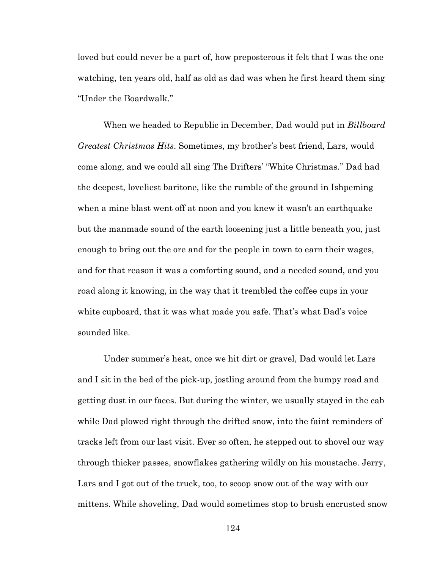loved but could never be a part of, how preposterous it felt that I was the one watching, ten years old, half as old as dad was when he first heard them sing "Under the Boardwalk."

When we headed to Republic in December, Dad would put in *Billboard Greatest Christmas Hits*. Sometimes, my brother's best friend, Lars, would come along, and we could all sing The Drifters' "White Christmas." Dad had the deepest, loveliest baritone, like the rumble of the ground in Ishpeming when a mine blast went off at noon and you knew it wasn't an earthquake but the manmade sound of the earth loosening just a little beneath you, just enough to bring out the ore and for the people in town to earn their wages, and for that reason it was a comforting sound, and a needed sound, and you road along it knowing, in the way that it trembled the coffee cups in your white cupboard, that it was what made you safe. That's what Dad's voice sounded like.

Under summer's heat, once we hit dirt or gravel, Dad would let Lars and I sit in the bed of the pick-up, jostling around from the bumpy road and getting dust in our faces. But during the winter, we usually stayed in the cab while Dad plowed right through the drifted snow, into the faint reminders of tracks left from our last visit. Ever so often, he stepped out to shovel our way through thicker passes, snowflakes gathering wildly on his moustache. Jerry, Lars and I got out of the truck, too, to scoop snow out of the way with our mittens. While shoveling, Dad would sometimes stop to brush encrusted snow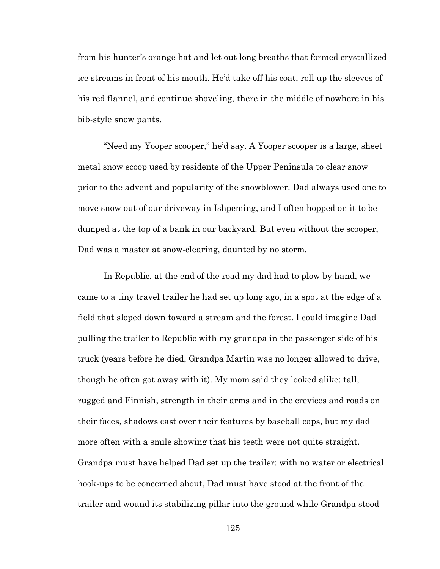from his hunter's orange hat and let out long breaths that formed crystallized ice streams in front of his mouth. He'd take off his coat, roll up the sleeves of his red flannel, and continue shoveling, there in the middle of nowhere in his bib-style snow pants.

"Need my Yooper scooper," he'd say. A Yooper scooper is a large, sheet metal snow scoop used by residents of the Upper Peninsula to clear snow prior to the advent and popularity of the snowblower. Dad always used one to move snow out of our driveway in Ishpeming, and I often hopped on it to be dumped at the top of a bank in our backyard. But even without the scooper, Dad was a master at snow-clearing, daunted by no storm.

In Republic, at the end of the road my dad had to plow by hand, we came to a tiny travel trailer he had set up long ago, in a spot at the edge of a field that sloped down toward a stream and the forest. I could imagine Dad pulling the trailer to Republic with my grandpa in the passenger side of his truck (years before he died, Grandpa Martin was no longer allowed to drive, though he often got away with it). My mom said they looked alike: tall, rugged and Finnish, strength in their arms and in the crevices and roads on their faces, shadows cast over their features by baseball caps, but my dad more often with a smile showing that his teeth were not quite straight. Grandpa must have helped Dad set up the trailer: with no water or electrical hook-ups to be concerned about, Dad must have stood at the front of the trailer and wound its stabilizing pillar into the ground while Grandpa stood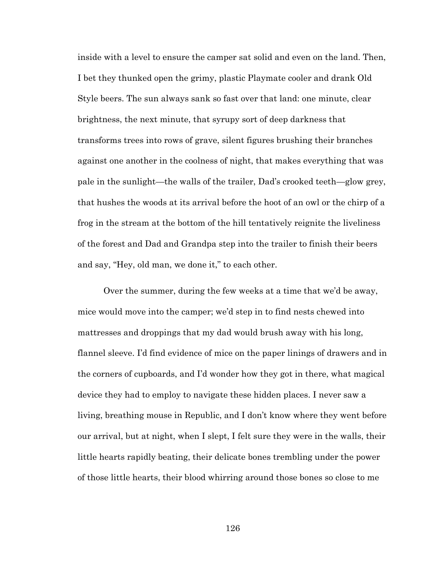inside with a level to ensure the camper sat solid and even on the land. Then, I bet they thunked open the grimy, plastic Playmate cooler and drank Old Style beers. The sun always sank so fast over that land: one minute, clear brightness, the next minute, that syrupy sort of deep darkness that transforms trees into rows of grave, silent figures brushing their branches against one another in the coolness of night, that makes everything that was pale in the sunlight—the walls of the trailer, Dad's crooked teeth—glow grey, that hushes the woods at its arrival before the hoot of an owl or the chirp of a frog in the stream at the bottom of the hill tentatively reignite the liveliness of the forest and Dad and Grandpa step into the trailer to finish their beers and say, "Hey, old man, we done it," to each other.

Over the summer, during the few weeks at a time that we'd be away, mice would move into the camper; we'd step in to find nests chewed into mattresses and droppings that my dad would brush away with his long, flannel sleeve. I'd find evidence of mice on the paper linings of drawers and in the corners of cupboards, and I'd wonder how they got in there, what magical device they had to employ to navigate these hidden places. I never saw a living, breathing mouse in Republic, and I don't know where they went before our arrival, but at night, when I slept, I felt sure they were in the walls, their little hearts rapidly beating, their delicate bones trembling under the power of those little hearts, their blood whirring around those bones so close to me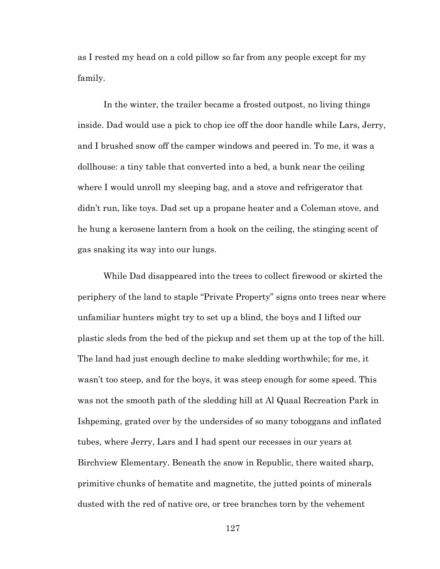as I rested my head on a cold pillow so far from any people except for my family.

In the winter, the trailer became a frosted outpost, no living things inside. Dad would use a pick to chop ice off the door handle while Lars, Jerry, and I brushed snow off the camper windows and peered in. To me, it was a dollhouse: a tiny table that converted into a bed, a bunk near the ceiling where I would unroll my sleeping bag, and a stove and refrigerator that didn't run, like toys. Dad set up a propane heater and a Coleman stove, and he hung a kerosene lantern from a hook on the ceiling, the stinging scent of gas snaking its way into our lungs.

While Dad disappeared into the trees to collect firewood or skirted the periphery of the land to staple "Private Property" signs onto trees near where unfamiliar hunters might try to set up a blind, the boys and I lifted our plastic sleds from the bed of the pickup and set them up at the top of the hill. The land had just enough decline to make sledding worthwhile; for me, it wasn't too steep, and for the boys, it was steep enough for some speed. This was not the smooth path of the sledding hill at Al Quaal Recreation Park in Ishpeming, grated over by the undersides of so many toboggans and inflated tubes, where Jerry, Lars and I had spent our recesses in our years at Birchview Elementary. Beneath the snow in Republic, there waited sharp, primitive chunks of hematite and magnetite, the jutted points of minerals dusted with the red of native ore, or tree branches torn by the vehement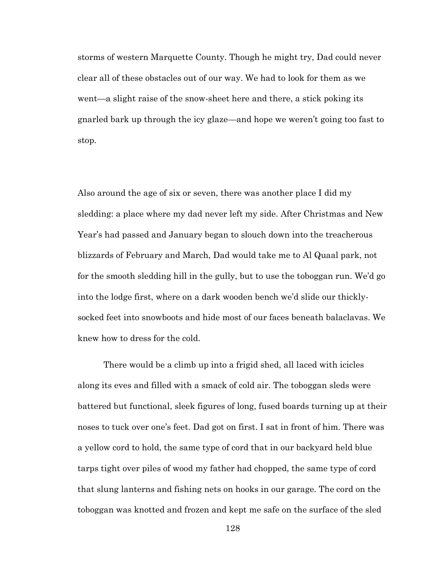storms of western Marquette County. Though he might try, Dad could never clear all of these obstacles out of our way. We had to look for them as we went—a slight raise of the snow-sheet here and there, a stick poking its gnarled bark up through the icy glaze—and hope we weren't going too fast to stop.

Also around the age of six or seven, there was another place I did my sledding: a place where my dad never left my side. After Christmas and New Year's had passed and January began to slouch down into the treacherous blizzards of February and March, Dad would take me to Al Quaal park, not for the smooth sledding hill in the gully, but to use the toboggan run. We'd go into the lodge first, where on a dark wooden bench we'd slide our thicklysocked feet into snowboots and hide most of our faces beneath balaclavas. We knew how to dress for the cold.

There would be a climb up into a frigid shed, all laced with icicles along its eves and filled with a smack of cold air. The toboggan sleds were battered but functional, sleek figures of long, fused boards turning up at their noses to tuck over one's feet. Dad got on first. I sat in front of him. There was a yellow cord to hold, the same type of cord that in our backyard held blue tarps tight over piles of wood my father had chopped, the same type of cord that slung lanterns and fishing nets on hooks in our garage. The cord on the toboggan was knotted and frozen and kept me safe on the surface of the sled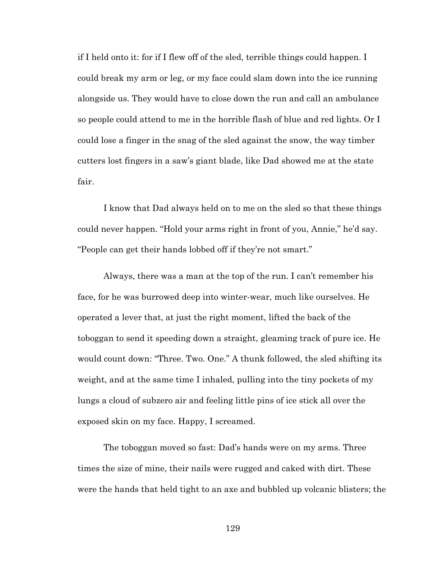if I held onto it: for if I flew off of the sled, terrible things could happen. I could break my arm or leg, or my face could slam down into the ice running alongside us. They would have to close down the run and call an ambulance so people could attend to me in the horrible flash of blue and red lights. Or I could lose a finger in the snag of the sled against the snow, the way timber cutters lost fingers in a saw's giant blade, like Dad showed me at the state fair.

I know that Dad always held on to me on the sled so that these things could never happen. "Hold your arms right in front of you, Annie," he'd say. "People can get their hands lobbed off if they're not smart."

Always, there was a man at the top of the run. I can't remember his face, for he was burrowed deep into winter-wear, much like ourselves. He operated a lever that, at just the right moment, lifted the back of the toboggan to send it speeding down a straight, gleaming track of pure ice. He would count down: "Three. Two. One." A thunk followed, the sled shifting its weight, and at the same time I inhaled, pulling into the tiny pockets of my lungs a cloud of subzero air and feeling little pins of ice stick all over the exposed skin on my face. Happy, I screamed.

The toboggan moved so fast: Dad's hands were on my arms. Three times the size of mine, their nails were rugged and caked with dirt. These were the hands that held tight to an axe and bubbled up volcanic blisters; the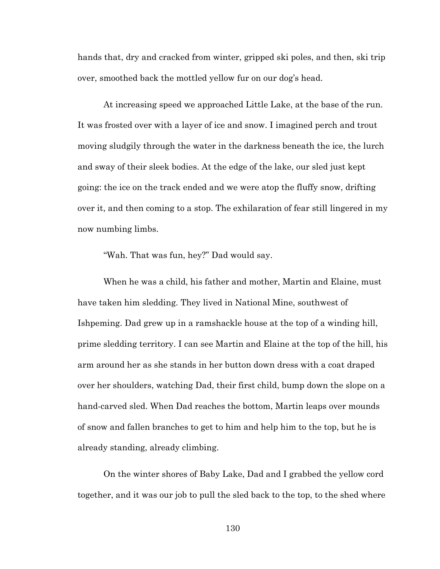hands that, dry and cracked from winter, gripped ski poles, and then, ski trip over, smoothed back the mottled yellow fur on our dog's head.

At increasing speed we approached Little Lake, at the base of the run. It was frosted over with a layer of ice and snow. I imagined perch and trout moving sludgily through the water in the darkness beneath the ice, the lurch and sway of their sleek bodies. At the edge of the lake, our sled just kept going: the ice on the track ended and we were atop the fluffy snow, drifting over it, and then coming to a stop. The exhilaration of fear still lingered in my now numbing limbs.

"Wah. That was fun, hey?" Dad would say.

When he was a child, his father and mother, Martin and Elaine, must have taken him sledding. They lived in National Mine, southwest of Ishpeming. Dad grew up in a ramshackle house at the top of a winding hill, prime sledding territory. I can see Martin and Elaine at the top of the hill, his arm around her as she stands in her button down dress with a coat draped over her shoulders, watching Dad, their first child, bump down the slope on a hand-carved sled. When Dad reaches the bottom, Martin leaps over mounds of snow and fallen branches to get to him and help him to the top, but he is already standing, already climbing.

On the winter shores of Baby Lake, Dad and I grabbed the yellow cord together, and it was our job to pull the sled back to the top, to the shed where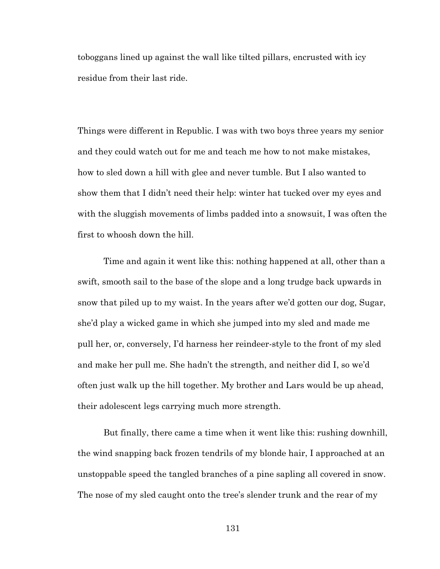toboggans lined up against the wall like tilted pillars, encrusted with icy residue from their last ride.

Things were different in Republic. I was with two boys three years my senior and they could watch out for me and teach me how to not make mistakes, how to sled down a hill with glee and never tumble. But I also wanted to show them that I didn't need their help: winter hat tucked over my eyes and with the sluggish movements of limbs padded into a snowsuit, I was often the first to whoosh down the hill.

Time and again it went like this: nothing happened at all, other than a swift, smooth sail to the base of the slope and a long trudge back upwards in snow that piled up to my waist. In the years after we'd gotten our dog, Sugar, she'd play a wicked game in which she jumped into my sled and made me pull her, or, conversely, I'd harness her reindeer-style to the front of my sled and make her pull me. She hadn't the strength, and neither did I, so we'd often just walk up the hill together. My brother and Lars would be up ahead, their adolescent legs carrying much more strength.

But finally, there came a time when it went like this: rushing downhill, the wind snapping back frozen tendrils of my blonde hair, I approached at an unstoppable speed the tangled branches of a pine sapling all covered in snow. The nose of my sled caught onto the tree's slender trunk and the rear of my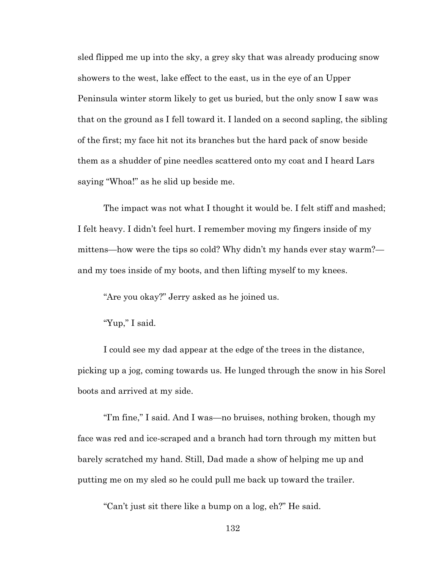sled flipped me up into the sky, a grey sky that was already producing snow showers to the west, lake effect to the east, us in the eye of an Upper Peninsula winter storm likely to get us buried, but the only snow I saw was that on the ground as I fell toward it. I landed on a second sapling, the sibling of the first; my face hit not its branches but the hard pack of snow beside them as a shudder of pine needles scattered onto my coat and I heard Lars saying "Whoa!" as he slid up beside me.

The impact was not what I thought it would be. I felt stiff and mashed; I felt heavy. I didn't feel hurt. I remember moving my fingers inside of my mittens—how were the tips so cold? Why didn't my hands ever stay warm? and my toes inside of my boots, and then lifting myself to my knees.

"Are you okay?" Jerry asked as he joined us.

"Yup," I said.

I could see my dad appear at the edge of the trees in the distance, picking up a jog, coming towards us. He lunged through the snow in his Sorel boots and arrived at my side.

"I'm fine," I said. And I was—no bruises, nothing broken, though my face was red and ice-scraped and a branch had torn through my mitten but barely scratched my hand. Still, Dad made a show of helping me up and putting me on my sled so he could pull me back up toward the trailer.

"Can't just sit there like a bump on a log, eh?" He said.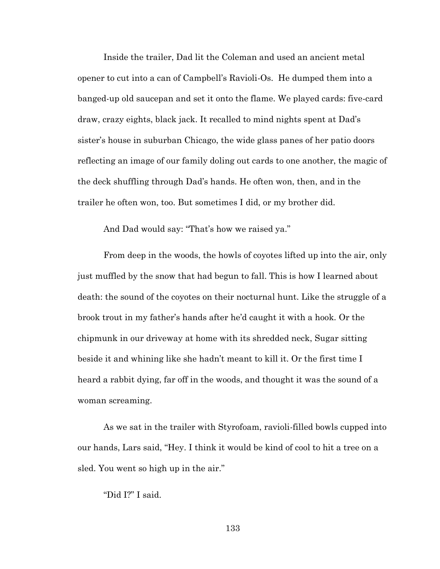Inside the trailer, Dad lit the Coleman and used an ancient metal opener to cut into a can of Campbell's Ravioli-Os. He dumped them into a banged-up old saucepan and set it onto the flame. We played cards: five-card draw, crazy eights, black jack. It recalled to mind nights spent at Dad's sister's house in suburban Chicago, the wide glass panes of her patio doors reflecting an image of our family doling out cards to one another, the magic of the deck shuffling through Dad's hands. He often won, then, and in the trailer he often won, too. But sometimes I did, or my brother did.

And Dad would say: "That's how we raised ya."

From deep in the woods, the howls of coyotes lifted up into the air, only just muffled by the snow that had begun to fall. This is how I learned about death: the sound of the coyotes on their nocturnal hunt. Like the struggle of a brook trout in my father's hands after he'd caught it with a hook. Or the chipmunk in our driveway at home with its shredded neck, Sugar sitting beside it and whining like she hadn't meant to kill it. Or the first time I heard a rabbit dying, far off in the woods, and thought it was the sound of a woman screaming.

As we sat in the trailer with Styrofoam, ravioli-filled bowls cupped into our hands, Lars said, "Hey. I think it would be kind of cool to hit a tree on a sled. You went so high up in the air."

"Did I?" I said.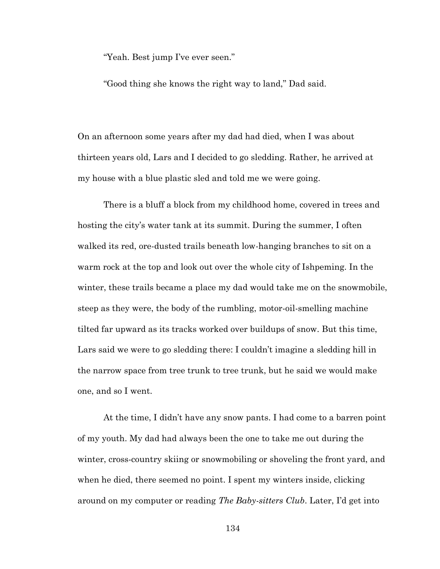"Yeah. Best jump I've ever seen."

"Good thing she knows the right way to land," Dad said.

On an afternoon some years after my dad had died, when I was about thirteen years old, Lars and I decided to go sledding. Rather, he arrived at my house with a blue plastic sled and told me we were going.

There is a bluff a block from my childhood home, covered in trees and hosting the city's water tank at its summit. During the summer, I often walked its red, ore-dusted trails beneath low-hanging branches to sit on a warm rock at the top and look out over the whole city of Ishpeming. In the winter, these trails became a place my dad would take me on the snowmobile, steep as they were, the body of the rumbling, motor-oil-smelling machine tilted far upward as its tracks worked over buildups of snow. But this time, Lars said we were to go sledding there: I couldn't imagine a sledding hill in the narrow space from tree trunk to tree trunk, but he said we would make one, and so I went.

At the time, I didn't have any snow pants. I had come to a barren point of my youth. My dad had always been the one to take me out during the winter, cross-country skiing or snowmobiling or shoveling the front yard, and when he died, there seemed no point. I spent my winters inside, clicking around on my computer or reading *The Baby-sitters Club*. Later, I'd get into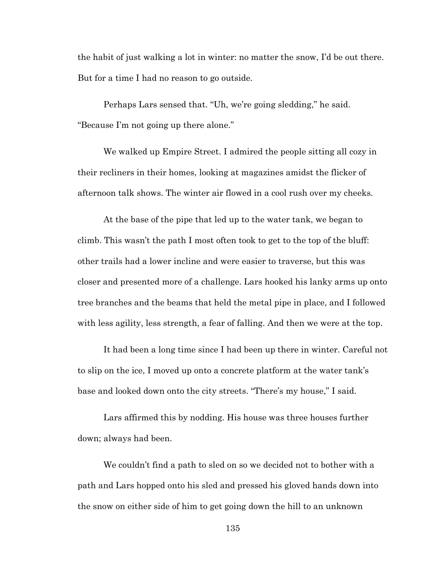the habit of just walking a lot in winter: no matter the snow, I'd be out there. But for a time I had no reason to go outside.

Perhaps Lars sensed that. "Uh, we're going sledding," he said. "Because I'm not going up there alone."

We walked up Empire Street. I admired the people sitting all cozy in their recliners in their homes, looking at magazines amidst the flicker of afternoon talk shows. The winter air flowed in a cool rush over my cheeks.

At the base of the pipe that led up to the water tank, we began to climb. This wasn't the path I most often took to get to the top of the bluff: other trails had a lower incline and were easier to traverse, but this was closer and presented more of a challenge. Lars hooked his lanky arms up onto tree branches and the beams that held the metal pipe in place, and I followed with less agility, less strength, a fear of falling. And then we were at the top.

It had been a long time since I had been up there in winter. Careful not to slip on the ice, I moved up onto a concrete platform at the water tank's base and looked down onto the city streets. "There's my house," I said.

Lars affirmed this by nodding. His house was three houses further down; always had been.

We couldn't find a path to sled on so we decided not to bother with a path and Lars hopped onto his sled and pressed his gloved hands down into the snow on either side of him to get going down the hill to an unknown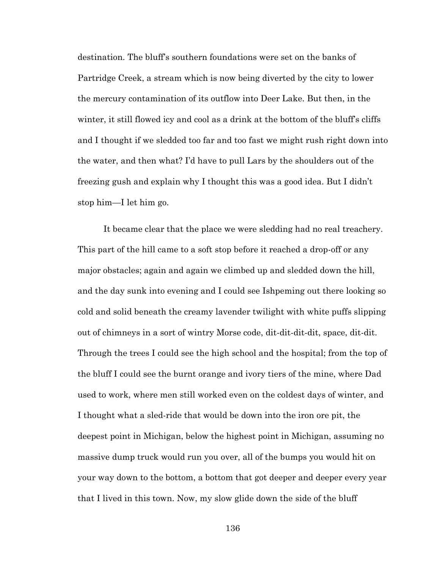destination. The bluff's southern foundations were set on the banks of Partridge Creek, a stream which is now being diverted by the city to lower the mercury contamination of its outflow into Deer Lake. But then, in the winter, it still flowed icy and cool as a drink at the bottom of the bluff's cliffs and I thought if we sledded too far and too fast we might rush right down into the water, and then what? I'd have to pull Lars by the shoulders out of the freezing gush and explain why I thought this was a good idea. But I didn't stop him—I let him go.

It became clear that the place we were sledding had no real treachery. This part of the hill came to a soft stop before it reached a drop-off or any major obstacles; again and again we climbed up and sledded down the hill, and the day sunk into evening and I could see Ishpeming out there looking so cold and solid beneath the creamy lavender twilight with white puffs slipping out of chimneys in a sort of wintry Morse code, dit-dit-dit-dit, space, dit-dit. Through the trees I could see the high school and the hospital; from the top of the bluff I could see the burnt orange and ivory tiers of the mine, where Dad used to work, where men still worked even on the coldest days of winter, and I thought what a sled-ride that would be down into the iron ore pit, the deepest point in Michigan, below the highest point in Michigan, assuming no massive dump truck would run you over, all of the bumps you would hit on your way down to the bottom, a bottom that got deeper and deeper every year that I lived in this town. Now, my slow glide down the side of the bluff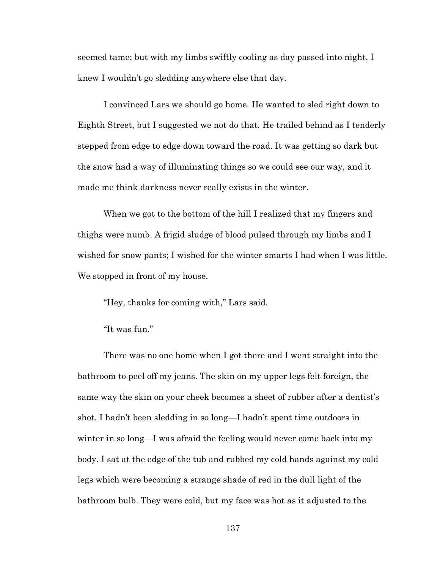seemed tame; but with my limbs swiftly cooling as day passed into night, I knew I wouldn't go sledding anywhere else that day.

I convinced Lars we should go home. He wanted to sled right down to Eighth Street, but I suggested we not do that. He trailed behind as I tenderly stepped from edge to edge down toward the road. It was getting so dark but the snow had a way of illuminating things so we could see our way, and it made me think darkness never really exists in the winter.

When we got to the bottom of the hill I realized that my fingers and thighs were numb. A frigid sludge of blood pulsed through my limbs and I wished for snow pants; I wished for the winter smarts I had when I was little. We stopped in front of my house.

"Hey, thanks for coming with," Lars said.

"It was fun."

There was no one home when I got there and I went straight into the bathroom to peel off my jeans. The skin on my upper legs felt foreign, the same way the skin on your cheek becomes a sheet of rubber after a dentist's shot. I hadn't been sledding in so long—I hadn't spent time outdoors in winter in so long—I was afraid the feeling would never come back into my body. I sat at the edge of the tub and rubbed my cold hands against my cold legs which were becoming a strange shade of red in the dull light of the bathroom bulb. They were cold, but my face was hot as it adjusted to the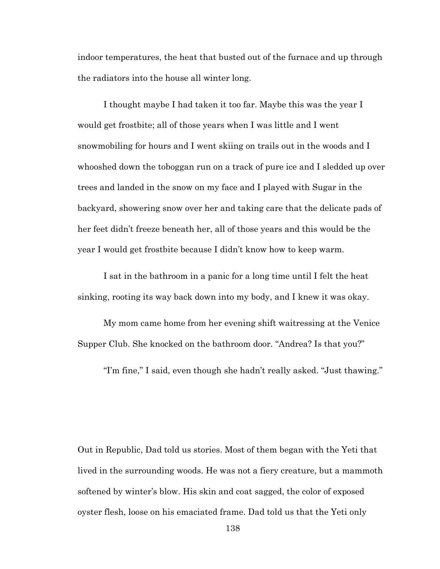indoor temperatures, the heat that busted out of the furnace and up through the radiators into the house all winter long.

I thought maybe I had taken it too far. Maybe this was the year I would get frostbite; all of those years when I was little and I went snowmobiling for hours and I went skiing on trails out in the woods and I whooshed down the toboggan run on a track of pure ice and I sledded up over trees and landed in the snow on my face and I played with Sugar in the backyard, showering snow over her and taking care that the delicate pads of her feet didn't freeze beneath her, all of those years and this would be the year I would get frostbite because I didn't know how to keep warm.

I sat in the bathroom in a panic for a long time until I felt the heat sinking, rooting its way back down into my body, and I knew it was okay.

My mom came home from her evening shift waitressing at the Venice Supper Club. She knocked on the bathroom door. "Andrea? Is that you?"

"I'm fine," I said, even though she hadn't really asked. "Just thawing."

Out in Republic, Dad told us stories. Most of them began with the Yeti that lived in the surrounding woods. He was not a fiery creature, but a mammoth softened by winter's blow. His skin and coat sagged, the color of exposed oyster flesh, loose on his emaciated frame. Dad told us that the Yeti only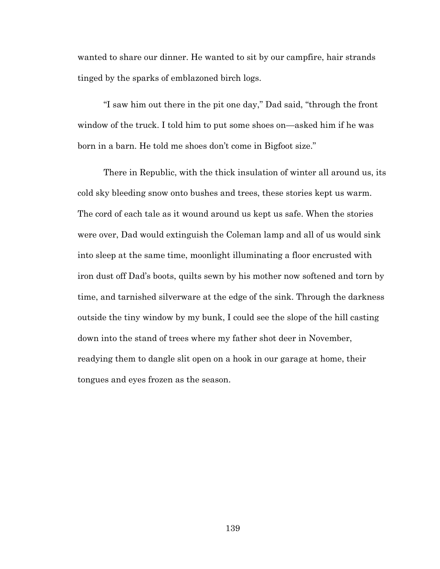wanted to share our dinner. He wanted to sit by our campfire, hair strands tinged by the sparks of emblazoned birch logs.

"I saw him out there in the pit one day," Dad said, "through the front window of the truck. I told him to put some shoes on—asked him if he was born in a barn. He told me shoes don't come in Bigfoot size."

There in Republic, with the thick insulation of winter all around us, its cold sky bleeding snow onto bushes and trees, these stories kept us warm. The cord of each tale as it wound around us kept us safe. When the stories were over, Dad would extinguish the Coleman lamp and all of us would sink into sleep at the same time, moonlight illuminating a floor encrusted with iron dust off Dad's boots, quilts sewn by his mother now softened and torn by time, and tarnished silverware at the edge of the sink. Through the darkness outside the tiny window by my bunk, I could see the slope of the hill casting down into the stand of trees where my father shot deer in November, readying them to dangle slit open on a hook in our garage at home, their tongues and eyes frozen as the season.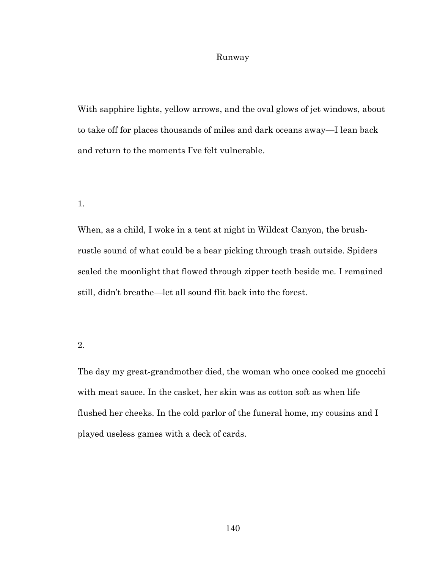# Runway

With sapphire lights, yellow arrows, and the oval glows of jet windows, about to take off for places thousands of miles and dark oceans away—I lean back and return to the moments I've felt vulnerable.

### 1.

When, as a child, I woke in a tent at night in Wildcat Canyon, the brushrustle sound of what could be a bear picking through trash outside. Spiders scaled the moonlight that flowed through zipper teeth beside me. I remained still, didn't breathe—let all sound flit back into the forest.

# 2.

The day my great-grandmother died, the woman who once cooked me gnocchi with meat sauce. In the casket, her skin was as cotton soft as when life flushed her cheeks. In the cold parlor of the funeral home, my cousins and I played useless games with a deck of cards.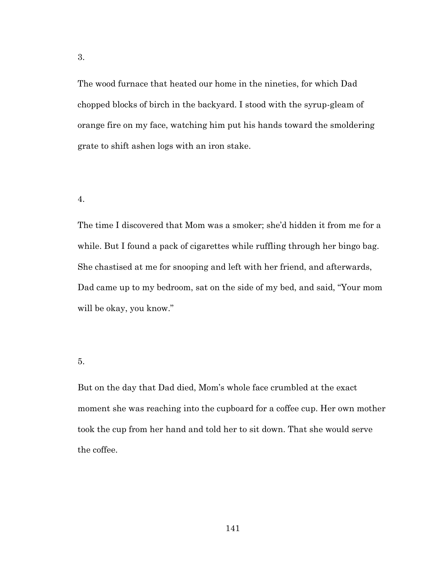The wood furnace that heated our home in the nineties, for which Dad chopped blocks of birch in the backyard. I stood with the syrup-gleam of orange fire on my face, watching him put his hands toward the smoldering grate to shift ashen logs with an iron stake.

#### 4.

The time I discovered that Mom was a smoker; she'd hidden it from me for a while. But I found a pack of cigarettes while ruffling through her bingo bag. She chastised at me for snooping and left with her friend, and afterwards, Dad came up to my bedroom, sat on the side of my bed, and said, "Your mom will be okay, you know."

# 5.

But on the day that Dad died, Mom's whole face crumbled at the exact moment she was reaching into the cupboard for a coffee cup. Her own mother took the cup from her hand and told her to sit down. That she would serve the coffee.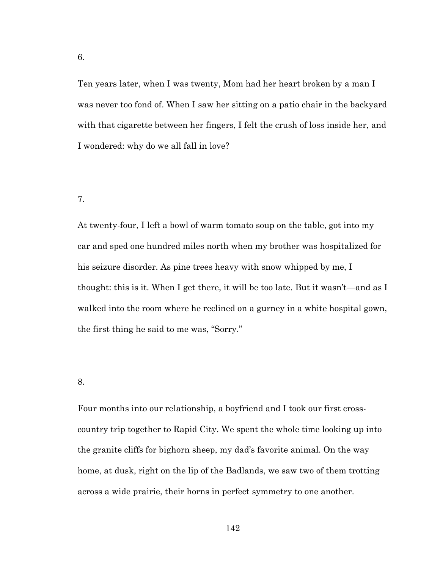Ten years later, when I was twenty, Mom had her heart broken by a man I was never too fond of. When I saw her sitting on a patio chair in the backyard with that cigarette between her fingers, I felt the crush of loss inside her, and I wondered: why do we all fall in love?

### 7.

At twenty-four, I left a bowl of warm tomato soup on the table, got into my car and sped one hundred miles north when my brother was hospitalized for his seizure disorder. As pine trees heavy with snow whipped by me, I thought: this is it. When I get there, it will be too late. But it wasn't—and as I walked into the room where he reclined on a gurney in a white hospital gown, the first thing he said to me was, "Sorry."

#### 8.

Four months into our relationship, a boyfriend and I took our first crosscountry trip together to Rapid City. We spent the whole time looking up into the granite cliffs for bighorn sheep, my dad's favorite animal. On the way home, at dusk, right on the lip of the Badlands, we saw two of them trotting across a wide prairie, their horns in perfect symmetry to one another.

6.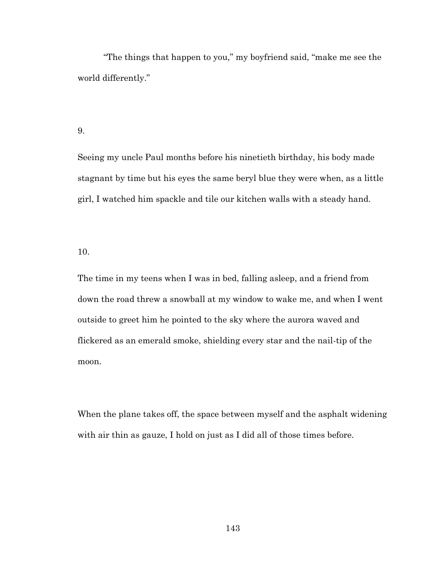"The things that happen to you," my boyfriend said, "make me see the world differently."

# 9.

Seeing my uncle Paul months before his ninetieth birthday, his body made stagnant by time but his eyes the same beryl blue they were when, as a little girl, I watched him spackle and tile our kitchen walls with a steady hand.

#### 10.

The time in my teens when I was in bed, falling asleep, and a friend from down the road threw a snowball at my window to wake me, and when I went outside to greet him he pointed to the sky where the aurora waved and flickered as an emerald smoke, shielding every star and the nail-tip of the moon.

When the plane takes off, the space between myself and the asphalt widening with air thin as gauze, I hold on just as I did all of those times before.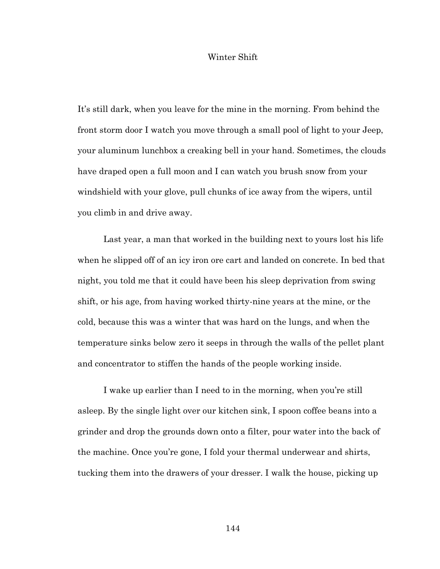### Winter Shift

It's still dark, when you leave for the mine in the morning. From behind the front storm door I watch you move through a small pool of light to your Jeep, your aluminum lunchbox a creaking bell in your hand. Sometimes, the clouds have draped open a full moon and I can watch you brush snow from your windshield with your glove, pull chunks of ice away from the wipers, until you climb in and drive away.

Last year, a man that worked in the building next to yours lost his life when he slipped off of an icy iron ore cart and landed on concrete. In bed that night, you told me that it could have been his sleep deprivation from swing shift, or his age, from having worked thirty-nine years at the mine, or the cold, because this was a winter that was hard on the lungs, and when the temperature sinks below zero it seeps in through the walls of the pellet plant and concentrator to stiffen the hands of the people working inside.

I wake up earlier than I need to in the morning, when you're still asleep. By the single light over our kitchen sink, I spoon coffee beans into a grinder and drop the grounds down onto a filter, pour water into the back of the machine. Once you're gone, I fold your thermal underwear and shirts, tucking them into the drawers of your dresser. I walk the house, picking up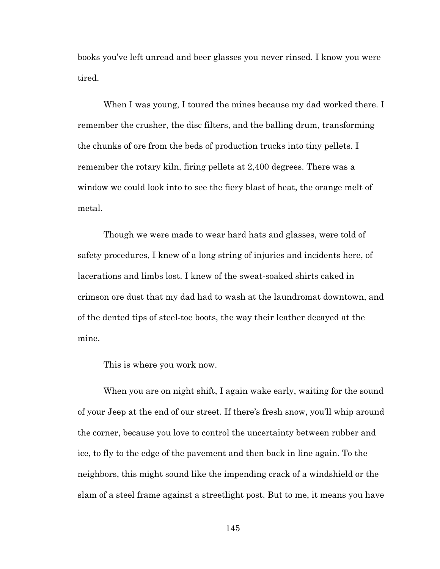books you've left unread and beer glasses you never rinsed. I know you were tired.

When I was young, I toured the mines because my dad worked there. I remember the crusher, the disc filters, and the balling drum, transforming the chunks of ore from the beds of production trucks into tiny pellets. I remember the rotary kiln, firing pellets at 2,400 degrees. There was a window we could look into to see the fiery blast of heat, the orange melt of metal.

Though we were made to wear hard hats and glasses, were told of safety procedures, I knew of a long string of injuries and incidents here, of lacerations and limbs lost. I knew of the sweat-soaked shirts caked in crimson ore dust that my dad had to wash at the laundromat downtown, and of the dented tips of steel-toe boots, the way their leather decayed at the mine.

This is where you work now.

When you are on night shift, I again wake early, waiting for the sound of your Jeep at the end of our street. If there's fresh snow, you'll whip around the corner, because you love to control the uncertainty between rubber and ice, to fly to the edge of the pavement and then back in line again. To the neighbors, this might sound like the impending crack of a windshield or the slam of a steel frame against a streetlight post. But to me, it means you have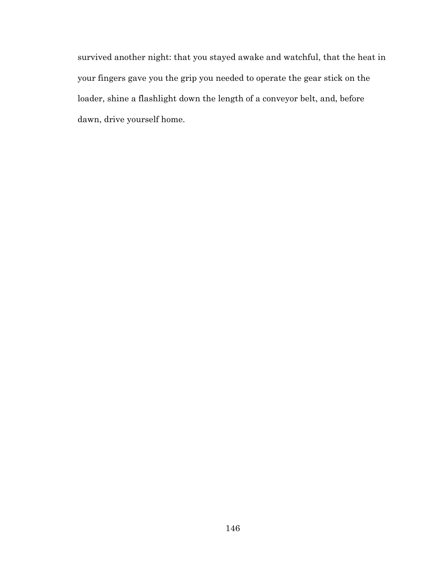survived another night: that you stayed awake and watchful, that the heat in your fingers gave you the grip you needed to operate the gear stick on the loader, shine a flashlight down the length of a conveyor belt, and, before dawn, drive yourself home.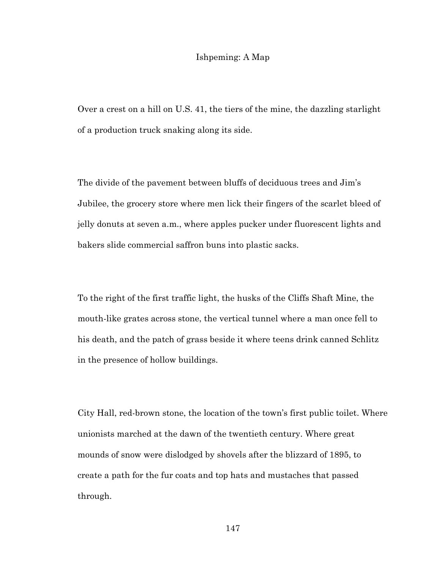# Ishpeming: A Map

Over a crest on a hill on U.S. 41, the tiers of the mine, the dazzling starlight of a production truck snaking along its side.

The divide of the pavement between bluffs of deciduous trees and Jim's Jubilee, the grocery store where men lick their fingers of the scarlet bleed of jelly donuts at seven a.m., where apples pucker under fluorescent lights and bakers slide commercial saffron buns into plastic sacks.

To the right of the first traffic light, the husks of the Cliffs Shaft Mine, the mouth-like grates across stone, the vertical tunnel where a man once fell to his death, and the patch of grass beside it where teens drink canned Schlitz in the presence of hollow buildings.

City Hall, red-brown stone, the location of the town's first public toilet. Where unionists marched at the dawn of the twentieth century. Where great mounds of snow were dislodged by shovels after the blizzard of 1895, to create a path for the fur coats and top hats and mustaches that passed through.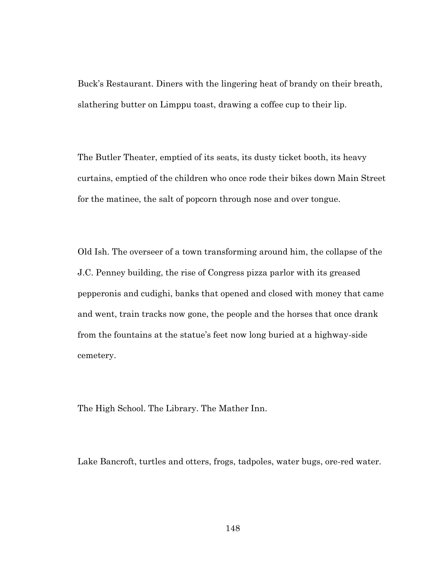Buck's Restaurant. Diners with the lingering heat of brandy on their breath, slathering butter on Limppu toast, drawing a coffee cup to their lip.

The Butler Theater, emptied of its seats, its dusty ticket booth, its heavy curtains, emptied of the children who once rode their bikes down Main Street for the matinee, the salt of popcorn through nose and over tongue.

Old Ish. The overseer of a town transforming around him, the collapse of the J.C. Penney building, the rise of Congress pizza parlor with its greased pepperonis and cudighi, banks that opened and closed with money that came and went, train tracks now gone, the people and the horses that once drank from the fountains at the statue's feet now long buried at a highway-side cemetery.

The High School. The Library. The Mather Inn.

Lake Bancroft, turtles and otters, frogs, tadpoles, water bugs, ore-red water.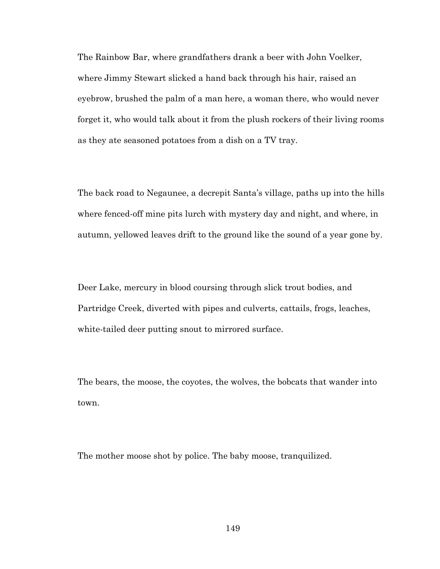The Rainbow Bar, where grandfathers drank a beer with John Voelker, where Jimmy Stewart slicked a hand back through his hair, raised an eyebrow, brushed the palm of a man here, a woman there, who would never forget it, who would talk about it from the plush rockers of their living rooms as they ate seasoned potatoes from a dish on a TV tray.

The back road to Negaunee, a decrepit Santa's village, paths up into the hills where fenced-off mine pits lurch with mystery day and night, and where, in autumn, yellowed leaves drift to the ground like the sound of a year gone by.

Deer Lake, mercury in blood coursing through slick trout bodies, and Partridge Creek, diverted with pipes and culverts, cattails, frogs, leaches, white-tailed deer putting snout to mirrored surface.

The bears, the moose, the coyotes, the wolves, the bobcats that wander into town.

The mother moose shot by police. The baby moose, tranquilized.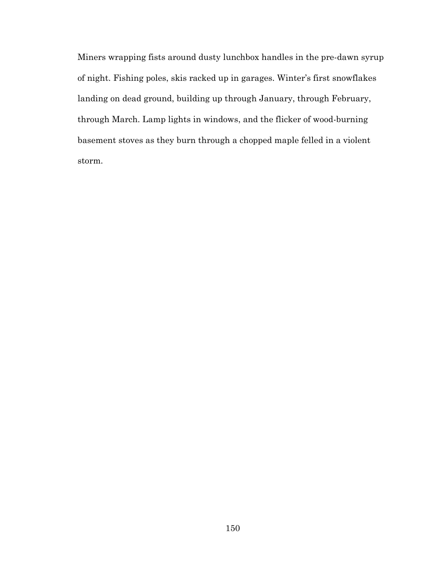Miners wrapping fists around dusty lunchbox handles in the pre-dawn syrup of night. Fishing poles, skis racked up in garages. Winter's first snowflakes landing on dead ground, building up through January, through February, through March. Lamp lights in windows, and the flicker of wood-burning basement stoves as they burn through a chopped maple felled in a violent storm.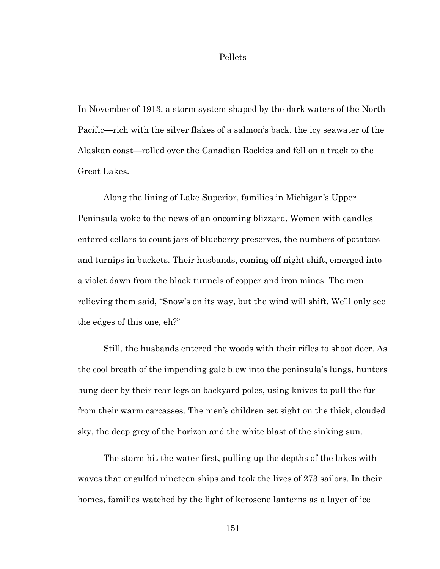#### Pellets

In November of 1913, a storm system shaped by the dark waters of the North Pacific—rich with the silver flakes of a salmon's back, the icy seawater of the Alaskan coast—rolled over the Canadian Rockies and fell on a track to the Great Lakes.

Along the lining of Lake Superior, families in Michigan's Upper Peninsula woke to the news of an oncoming blizzard. Women with candles entered cellars to count jars of blueberry preserves, the numbers of potatoes and turnips in buckets. Their husbands, coming off night shift, emerged into a violet dawn from the black tunnels of copper and iron mines. The men relieving them said, "Snow's on its way, but the wind will shift. We'll only see the edges of this one, eh?"

Still, the husbands entered the woods with their rifles to shoot deer. As the cool breath of the impending gale blew into the peninsula's lungs, hunters hung deer by their rear legs on backyard poles, using knives to pull the fur from their warm carcasses. The men's children set sight on the thick, clouded sky, the deep grey of the horizon and the white blast of the sinking sun.

The storm hit the water first, pulling up the depths of the lakes with waves that engulfed nineteen ships and took the lives of 273 sailors. In their homes, families watched by the light of kerosene lanterns as a layer of ice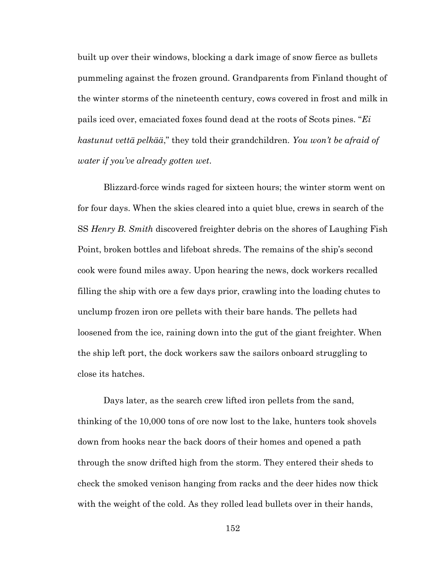built up over their windows, blocking a dark image of snow fierce as bullets pummeling against the frozen ground. Grandparents from Finland thought of the winter storms of the nineteenth century, cows covered in frost and milk in pails iced over, emaciated foxes found dead at the roots of Scots pines. "*Ei kastunut vettä pelkää*," they told their grandchildren. *You won't be afraid of water if you've already gotten wet*.

Blizzard-force winds raged for sixteen hours; the winter storm went on for four days. When the skies cleared into a quiet blue, crews in search of the SS *Henry B. Smith* discovered freighter debris on the shores of Laughing Fish Point, broken bottles and lifeboat shreds. The remains of the ship's second cook were found miles away. Upon hearing the news, dock workers recalled filling the ship with ore a few days prior, crawling into the loading chutes to unclump frozen iron ore pellets with their bare hands. The pellets had loosened from the ice, raining down into the gut of the giant freighter. When the ship left port, the dock workers saw the sailors onboard struggling to close its hatches.

Days later, as the search crew lifted iron pellets from the sand, thinking of the 10,000 tons of ore now lost to the lake, hunters took shovels down from hooks near the back doors of their homes and opened a path through the snow drifted high from the storm. They entered their sheds to check the smoked venison hanging from racks and the deer hides now thick with the weight of the cold. As they rolled lead bullets over in their hands,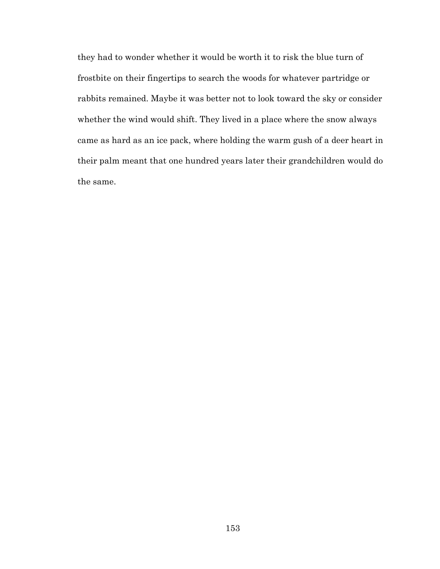they had to wonder whether it would be worth it to risk the blue turn of frostbite on their fingertips to search the woods for whatever partridge or rabbits remained. Maybe it was better not to look toward the sky or consider whether the wind would shift. They lived in a place where the snow always came as hard as an ice pack, where holding the warm gush of a deer heart in their palm meant that one hundred years later their grandchildren would do the same.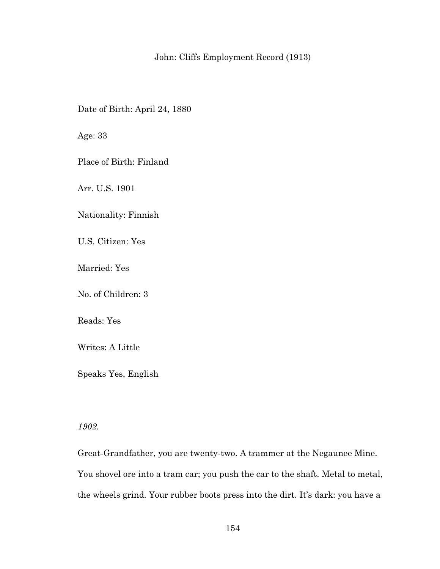# John: Cliffs Employment Record (1913)

Date of Birth: April 24, 1880

Age: 33

Place of Birth: Finland

Arr. U.S. 1901

Nationality: Finnish

U.S. Citizen: Yes

Married: Yes

No. of Children: 3

Reads: Yes

Writes: A Little

Speaks Yes, English

*1902.* 

Great-Grandfather, you are twenty-two. A trammer at the Negaunee Mine. You shovel ore into a tram car; you push the car to the shaft. Metal to metal, the wheels grind. Your rubber boots press into the dirt. It's dark: you have a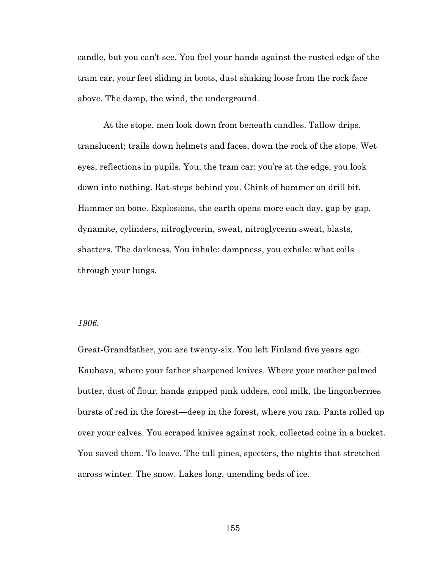candle, but you can't see. You feel your hands against the rusted edge of the tram car, your feet sliding in boots, dust shaking loose from the rock face above. The damp, the wind, the underground.

At the stope, men look down from beneath candles. Tallow drips, translucent; trails down helmets and faces, down the rock of the stope. Wet eyes, reflections in pupils. You, the tram car: you're at the edge, you look down into nothing. Rat-steps behind you. Chink of hammer on drill bit. Hammer on bone. Explosions, the earth opens more each day, gap by gap, dynamite, cylinders, nitroglycerin, sweat, nitroglycerin sweat, blasts, shatters. The darkness. You inhale: dampness, you exhale: what coils through your lungs.

# *1906.*

Great-Grandfather, you are twenty-six. You left Finland five years ago. Kauhava, where your father sharpened knives. Where your mother palmed butter, dust of flour, hands gripped pink udders, cool milk, the lingonberries bursts of red in the forest—deep in the forest, where you ran. Pants rolled up over your calves. You scraped knives against rock, collected coins in a bucket. You saved them. To leave. The tall pines, specters, the nights that stretched across winter. The snow. Lakes long, unending beds of ice.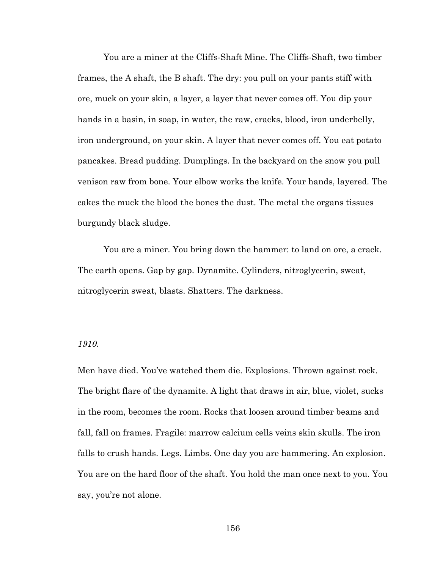You are a miner at the Cliffs-Shaft Mine. The Cliffs-Shaft, two timber frames, the A shaft, the B shaft. The dry: you pull on your pants stiff with ore, muck on your skin, a layer, a layer that never comes off. You dip your hands in a basin, in soap, in water, the raw, cracks, blood, iron underbelly, iron underground, on your skin. A layer that never comes off. You eat potato pancakes. Bread pudding. Dumplings. In the backyard on the snow you pull venison raw from bone. Your elbow works the knife. Your hands, layered. The cakes the muck the blood the bones the dust. The metal the organs tissues burgundy black sludge.

You are a miner. You bring down the hammer: to land on ore, a crack. The earth opens. Gap by gap. Dynamite. Cylinders, nitroglycerin, sweat, nitroglycerin sweat, blasts. Shatters. The darkness.

# *1910.*

Men have died. You've watched them die. Explosions. Thrown against rock. The bright flare of the dynamite. A light that draws in air, blue, violet, sucks in the room, becomes the room. Rocks that loosen around timber beams and fall, fall on frames. Fragile: marrow calcium cells veins skin skulls. The iron falls to crush hands. Legs. Limbs. One day you are hammering. An explosion. You are on the hard floor of the shaft. You hold the man once next to you. You say, you're not alone.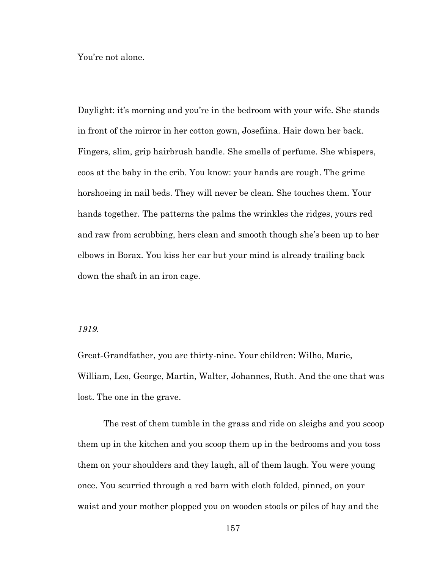You're not alone.

Daylight: it's morning and you're in the bedroom with your wife. She stands in front of the mirror in her cotton gown, Josefiina. Hair down her back. Fingers, slim, grip hairbrush handle. She smells of perfume. She whispers, coos at the baby in the crib. You know: your hands are rough. The grime horshoeing in nail beds. They will never be clean. She touches them. Your hands together. The patterns the palms the wrinkles the ridges, yours red and raw from scrubbing, hers clean and smooth though she's been up to her elbows in Borax. You kiss her ear but your mind is already trailing back down the shaft in an iron cage.

## *1919.*

Great-Grandfather, you are thirty-nine. Your children: Wilho, Marie, William, Leo, George, Martin, Walter, Johannes, Ruth. And the one that was lost. The one in the grave.

The rest of them tumble in the grass and ride on sleighs and you scoop them up in the kitchen and you scoop them up in the bedrooms and you toss them on your shoulders and they laugh, all of them laugh. You were young once. You scurried through a red barn with cloth folded, pinned, on your waist and your mother plopped you on wooden stools or piles of hay and the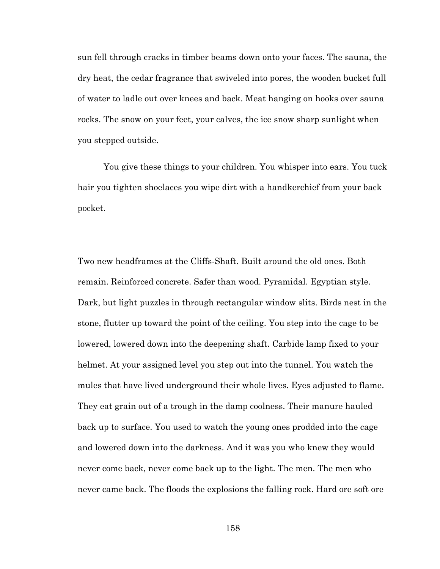sun fell through cracks in timber beams down onto your faces. The sauna, the dry heat, the cedar fragrance that swiveled into pores, the wooden bucket full of water to ladle out over knees and back. Meat hanging on hooks over sauna rocks. The snow on your feet, your calves, the ice snow sharp sunlight when you stepped outside.

You give these things to your children. You whisper into ears. You tuck hair you tighten shoelaces you wipe dirt with a handkerchief from your back pocket.

Two new headframes at the Cliffs-Shaft. Built around the old ones. Both remain. Reinforced concrete. Safer than wood. Pyramidal. Egyptian style. Dark, but light puzzles in through rectangular window slits. Birds nest in the stone, flutter up toward the point of the ceiling. You step into the cage to be lowered, lowered down into the deepening shaft. Carbide lamp fixed to your helmet. At your assigned level you step out into the tunnel. You watch the mules that have lived underground their whole lives. Eyes adjusted to flame. They eat grain out of a trough in the damp coolness. Their manure hauled back up to surface. You used to watch the young ones prodded into the cage and lowered down into the darkness. And it was you who knew they would never come back, never come back up to the light. The men. The men who never came back. The floods the explosions the falling rock. Hard ore soft ore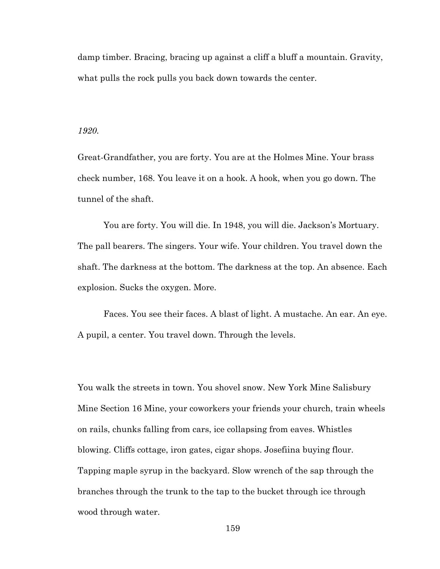damp timber. Bracing, bracing up against a cliff a bluff a mountain. Gravity, what pulls the rock pulls you back down towards the center.

#### *1920.*

Great-Grandfather, you are forty. You are at the Holmes Mine. Your brass check number, 168. You leave it on a hook. A hook, when you go down. The tunnel of the shaft.

You are forty. You will die. In 1948, you will die. Jackson's Mortuary. The pall bearers. The singers. Your wife. Your children. You travel down the shaft. The darkness at the bottom. The darkness at the top. An absence. Each explosion. Sucks the oxygen. More.

Faces. You see their faces. A blast of light. A mustache. An ear. An eye. A pupil, a center. You travel down. Through the levels.

You walk the streets in town. You shovel snow. New York Mine Salisbury Mine Section 16 Mine, your coworkers your friends your church, train wheels on rails, chunks falling from cars, ice collapsing from eaves. Whistles blowing. Cliffs cottage, iron gates, cigar shops. Josefiina buying flour. Tapping maple syrup in the backyard. Slow wrench of the sap through the branches through the trunk to the tap to the bucket through ice through wood through water.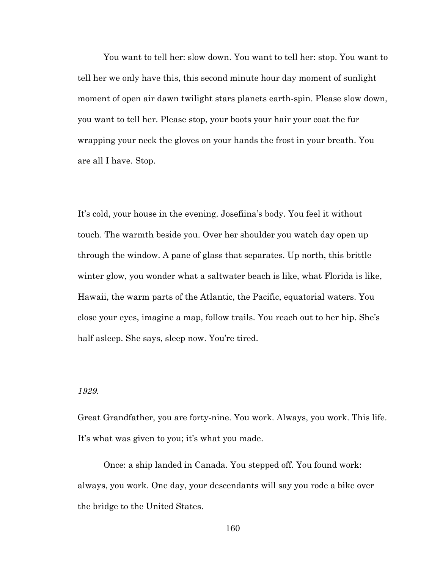You want to tell her: slow down. You want to tell her: stop. You want to tell her we only have this, this second minute hour day moment of sunlight moment of open air dawn twilight stars planets earth-spin. Please slow down, you want to tell her. Please stop, your boots your hair your coat the fur wrapping your neck the gloves on your hands the frost in your breath. You are all I have. Stop.

It's cold, your house in the evening. Josefiina's body. You feel it without touch. The warmth beside you. Over her shoulder you watch day open up through the window. A pane of glass that separates. Up north, this brittle winter glow, you wonder what a saltwater beach is like, what Florida is like, Hawaii, the warm parts of the Atlantic, the Pacific, equatorial waters. You close your eyes, imagine a map, follow trails. You reach out to her hip. She's half asleep. She says, sleep now. You're tired.

## *1929.*

Great Grandfather, you are forty-nine. You work. Always, you work. This life. It's what was given to you; it's what you made.

Once: a ship landed in Canada. You stepped off. You found work: always, you work. One day, your descendants will say you rode a bike over the bridge to the United States.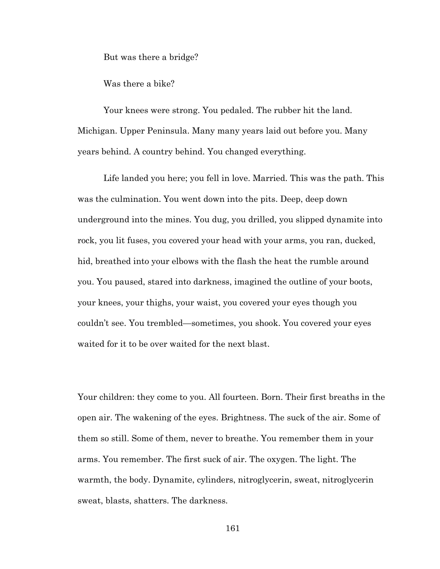But was there a bridge?

Was there a bike?

Your knees were strong. You pedaled. The rubber hit the land. Michigan. Upper Peninsula. Many many years laid out before you. Many years behind. A country behind. You changed everything.

Life landed you here; you fell in love. Married. This was the path. This was the culmination. You went down into the pits. Deep, deep down underground into the mines. You dug, you drilled, you slipped dynamite into rock, you lit fuses, you covered your head with your arms, you ran, ducked, hid, breathed into your elbows with the flash the heat the rumble around you. You paused, stared into darkness, imagined the outline of your boots, your knees, your thighs, your waist, you covered your eyes though you couldn't see. You trembled—sometimes, you shook. You covered your eyes waited for it to be over waited for the next blast.

Your children: they come to you. All fourteen. Born. Their first breaths in the open air. The wakening of the eyes. Brightness. The suck of the air. Some of them so still. Some of them, never to breathe. You remember them in your arms. You remember. The first suck of air. The oxygen. The light. The warmth, the body. Dynamite, cylinders, nitroglycerin, sweat, nitroglycerin sweat, blasts, shatters. The darkness.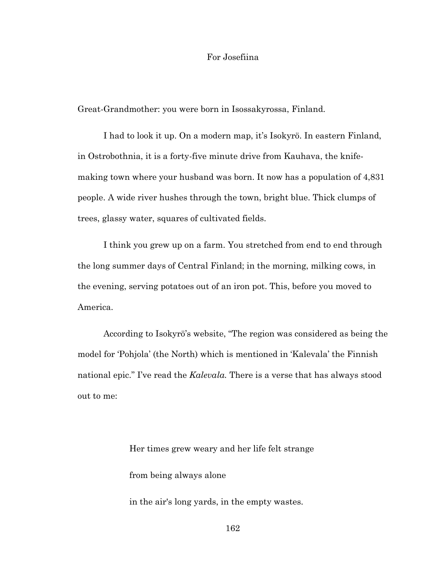# For Josefiina

Great-Grandmother: you were born in Isossakyrossa, Finland.

I had to look it up. On a modern map, it's Isokyrö. In eastern Finland, in Ostrobothnia, it is a forty-five minute drive from Kauhava, the knifemaking town where your husband was born. It now has a population of 4,831 people. A wide river hushes through the town, bright blue. Thick clumps of trees, glassy water, squares of cultivated fields.

I think you grew up on a farm. You stretched from end to end through the long summer days of Central Finland; in the morning, milking cows, in the evening, serving potatoes out of an iron pot. This, before you moved to America.

According to Isokyrö's website, "The region was considered as being the model for 'Pohjola' (the North) which is mentioned in 'Kalevala' the Finnish national epic." I've read the *Kalevala.* There is a verse that has always stood out to me:

> Her times grew weary and her life felt strange from being always alone

in the air's long yards, in the empty wastes.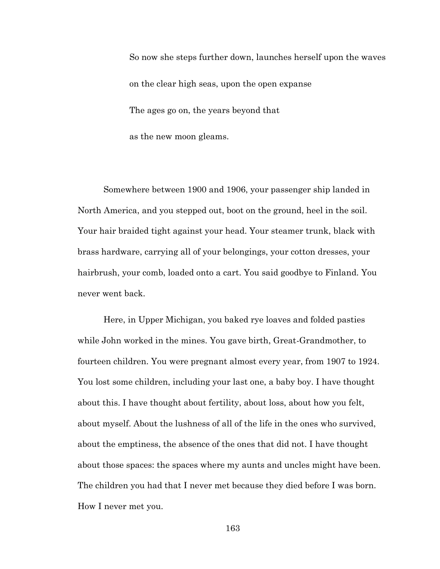So now she steps further down, launches herself upon the waves on the clear high seas, upon the open expanse The ages go on, the years beyond that as the new moon gleams.

Somewhere between 1900 and 1906, your passenger ship landed in North America, and you stepped out, boot on the ground, heel in the soil. Your hair braided tight against your head. Your steamer trunk, black with brass hardware, carrying all of your belongings, your cotton dresses, your hairbrush, your comb, loaded onto a cart. You said goodbye to Finland. You never went back.

Here, in Upper Michigan, you baked rye loaves and folded pasties while John worked in the mines. You gave birth, Great-Grandmother, to fourteen children. You were pregnant almost every year, from 1907 to 1924. You lost some children, including your last one, a baby boy. I have thought about this. I have thought about fertility, about loss, about how you felt, about myself. About the lushness of all of the life in the ones who survived, about the emptiness, the absence of the ones that did not. I have thought about those spaces: the spaces where my aunts and uncles might have been. The children you had that I never met because they died before I was born. How I never met you.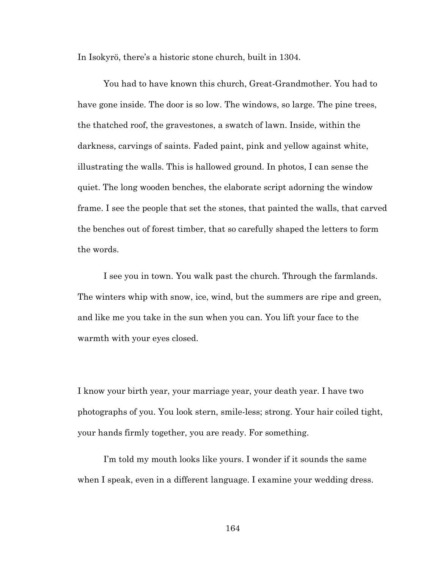In Isokyrö, there's a historic stone church, built in 1304.

You had to have known this church, Great-Grandmother. You had to have gone inside. The door is so low. The windows, so large. The pine trees, the thatched roof, the gravestones, a swatch of lawn. Inside, within the darkness, carvings of saints. Faded paint, pink and yellow against white, illustrating the walls. This is hallowed ground. In photos, I can sense the quiet. The long wooden benches, the elaborate script adorning the window frame. I see the people that set the stones, that painted the walls, that carved the benches out of forest timber, that so carefully shaped the letters to form the words.

I see you in town. You walk past the church. Through the farmlands. The winters whip with snow, ice, wind, but the summers are ripe and green, and like me you take in the sun when you can. You lift your face to the warmth with your eyes closed.

I know your birth year, your marriage year, your death year. I have two photographs of you. You look stern, smile-less; strong. Your hair coiled tight, your hands firmly together, you are ready. For something.

I'm told my mouth looks like yours. I wonder if it sounds the same when I speak, even in a different language. I examine your wedding dress.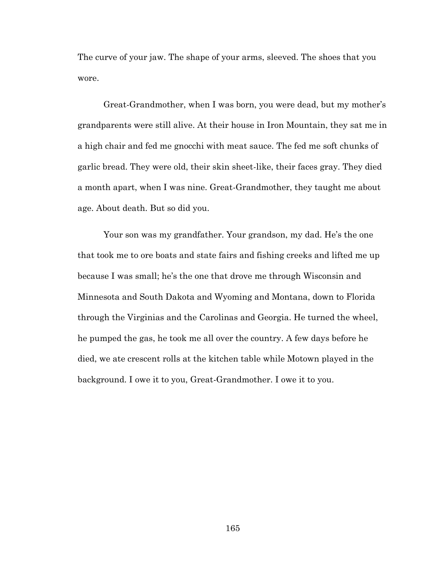The curve of your jaw. The shape of your arms, sleeved. The shoes that you wore.

Great-Grandmother, when I was born, you were dead, but my mother's grandparents were still alive. At their house in Iron Mountain, they sat me in a high chair and fed me gnocchi with meat sauce. The fed me soft chunks of garlic bread. They were old, their skin sheet-like, their faces gray. They died a month apart, when I was nine. Great-Grandmother, they taught me about age. About death. But so did you.

Your son was my grandfather. Your grandson, my dad. He's the one that took me to ore boats and state fairs and fishing creeks and lifted me up because I was small; he's the one that drove me through Wisconsin and Minnesota and South Dakota and Wyoming and Montana, down to Florida through the Virginias and the Carolinas and Georgia. He turned the wheel, he pumped the gas, he took me all over the country. A few days before he died, we ate crescent rolls at the kitchen table while Motown played in the background. I owe it to you, Great-Grandmother. I owe it to you.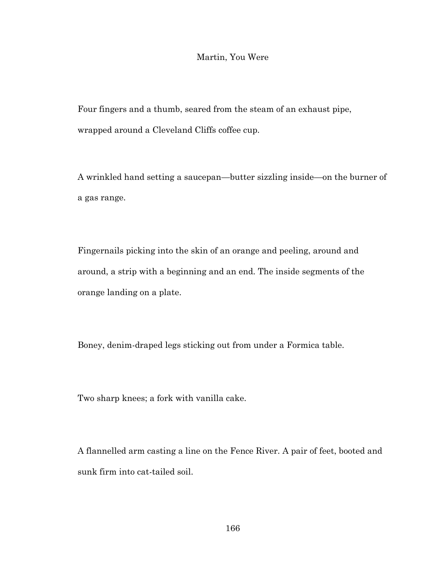# Martin, You Were

Four fingers and a thumb, seared from the steam of an exhaust pipe, wrapped around a Cleveland Cliffs coffee cup.

A wrinkled hand setting a saucepan—butter sizzling inside—on the burner of a gas range.

Fingernails picking into the skin of an orange and peeling, around and around, a strip with a beginning and an end. The inside segments of the orange landing on a plate.

Boney, denim-draped legs sticking out from under a Formica table.

Two sharp knees; a fork with vanilla cake.

A flannelled arm casting a line on the Fence River. A pair of feet, booted and sunk firm into cat-tailed soil.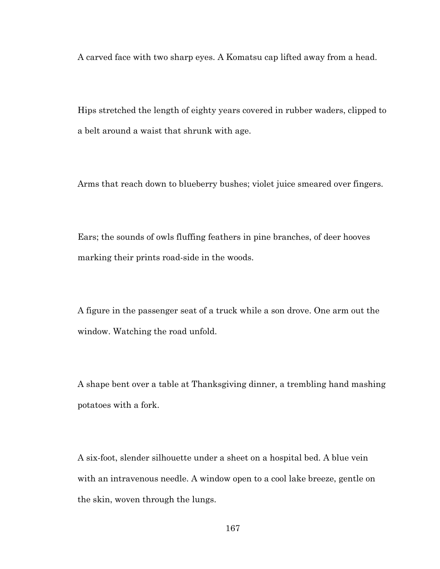A carved face with two sharp eyes. A Komatsu cap lifted away from a head.

Hips stretched the length of eighty years covered in rubber waders, clipped to a belt around a waist that shrunk with age.

Arms that reach down to blueberry bushes; violet juice smeared over fingers.

Ears; the sounds of owls fluffing feathers in pine branches, of deer hooves marking their prints road-side in the woods.

A figure in the passenger seat of a truck while a son drove. One arm out the window. Watching the road unfold.

A shape bent over a table at Thanksgiving dinner, a trembling hand mashing potatoes with a fork.

A six-foot, slender silhouette under a sheet on a hospital bed. A blue vein with an intravenous needle. A window open to a cool lake breeze, gentle on the skin, woven through the lungs.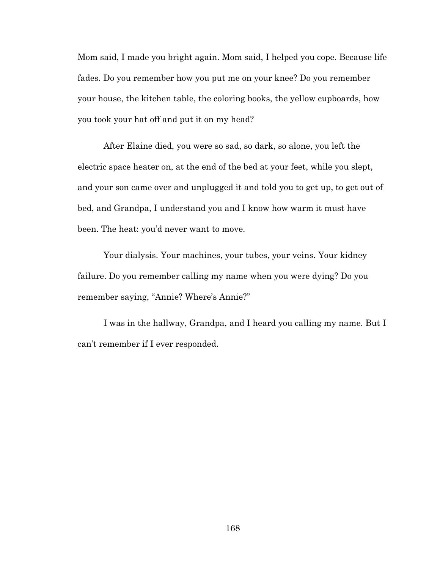Mom said, I made you bright again. Mom said, I helped you cope. Because life fades. Do you remember how you put me on your knee? Do you remember your house, the kitchen table, the coloring books, the yellow cupboards, how you took your hat off and put it on my head?

After Elaine died, you were so sad, so dark, so alone, you left the electric space heater on, at the end of the bed at your feet, while you slept, and your son came over and unplugged it and told you to get up, to get out of bed, and Grandpa, I understand you and I know how warm it must have been. The heat: you'd never want to move.

Your dialysis. Your machines, your tubes, your veins. Your kidney failure. Do you remember calling my name when you were dying? Do you remember saying, "Annie? Where's Annie?"

I was in the hallway, Grandpa, and I heard you calling my name. But I can't remember if I ever responded.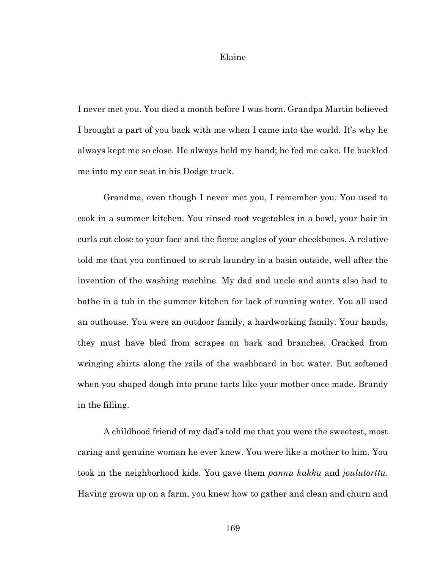#### Elaine

I never met you. You died a month before I was born. Grandpa Martin believed I brought a part of you back with me when I came into the world. It's why he always kept me so close. He always held my hand; he fed me cake. He buckled me into my car seat in his Dodge truck.

Grandma, even though I never met you, I remember you. You used to cook in a summer kitchen. You rinsed root vegetables in a bowl, your hair in curls cut close to your face and the fierce angles of your cheekbones. A relative told me that you continued to scrub laundry in a basin outside, well after the invention of the washing machine. My dad and uncle and aunts also had to bathe in a tub in the summer kitchen for lack of running water. You all used an outhouse. You were an outdoor family, a hardworking family. Your hands, they must have bled from scrapes on bark and branches. Cracked from wringing shirts along the rails of the washboard in hot water. But softened when you shaped dough into prune tarts like your mother once made. Brandy in the filling.

A childhood friend of my dad's told me that you were the sweetest, most caring and genuine woman he ever knew. You were like a mother to him. You took in the neighborhood kids. You gave them *pannu kakku* and *joulutorttu*. Having grown up on a farm, you knew how to gather and clean and churn and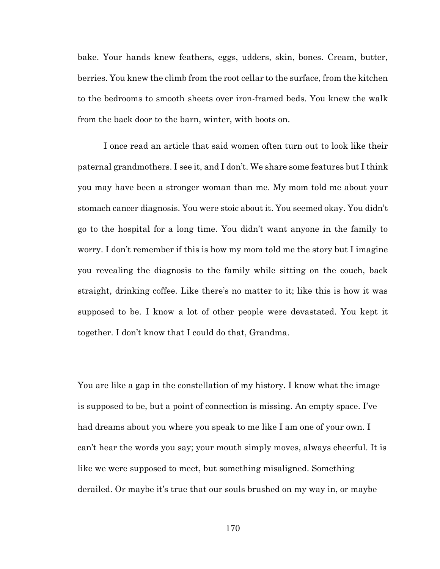bake. Your hands knew feathers, eggs, udders, skin, bones. Cream, butter, berries. You knew the climb from the root cellar to the surface, from the kitchen to the bedrooms to smooth sheets over iron-framed beds. You knew the walk from the back door to the barn, winter, with boots on.

I once read an article that said women often turn out to look like their paternal grandmothers. I see it, and I don't. We share some features but I think you may have been a stronger woman than me. My mom told me about your stomach cancer diagnosis. You were stoic about it. You seemed okay. You didn't go to the hospital for a long time. You didn't want anyone in the family to worry. I don't remember if this is how my mom told me the story but I imagine you revealing the diagnosis to the family while sitting on the couch, back straight, drinking coffee. Like there's no matter to it; like this is how it was supposed to be. I know a lot of other people were devastated. You kept it together. I don't know that I could do that, Grandma.

You are like a gap in the constellation of my history. I know what the image is supposed to be, but a point of connection is missing. An empty space. I've had dreams about you where you speak to me like I am one of your own. I can't hear the words you say; your mouth simply moves, always cheerful. It is like we were supposed to meet, but something misaligned. Something derailed. Or maybe it's true that our souls brushed on my way in, or maybe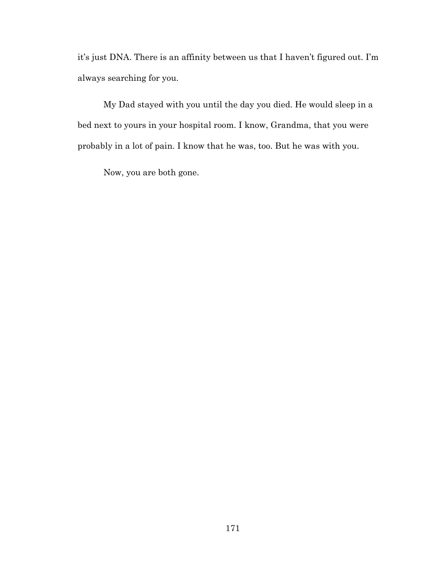it's just DNA. There is an affinity between us that I haven't figured out. I'm always searching for you.

My Dad stayed with you until the day you died. He would sleep in a bed next to yours in your hospital room. I know, Grandma, that you were probably in a lot of pain. I know that he was, too. But he was with you.

Now, you are both gone.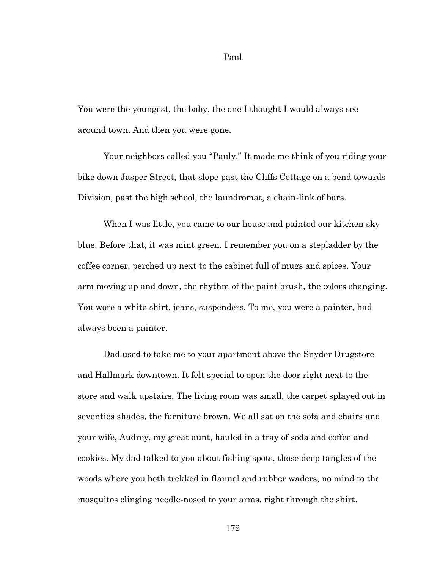Paul

You were the youngest, the baby, the one I thought I would always see around town. And then you were gone.

Your neighbors called you "Pauly." It made me think of you riding your bike down Jasper Street, that slope past the Cliffs Cottage on a bend towards Division, past the high school, the laundromat, a chain-link of bars.

When I was little, you came to our house and painted our kitchen sky blue. Before that, it was mint green. I remember you on a stepladder by the coffee corner, perched up next to the cabinet full of mugs and spices. Your arm moving up and down, the rhythm of the paint brush, the colors changing. You wore a white shirt, jeans, suspenders. To me, you were a painter, had always been a painter.

Dad used to take me to your apartment above the Snyder Drugstore and Hallmark downtown. It felt special to open the door right next to the store and walk upstairs. The living room was small, the carpet splayed out in seventies shades, the furniture brown. We all sat on the sofa and chairs and your wife, Audrey, my great aunt, hauled in a tray of soda and coffee and cookies. My dad talked to you about fishing spots, those deep tangles of the woods where you both trekked in flannel and rubber waders, no mind to the mosquitos clinging needle-nosed to your arms, right through the shirt.

172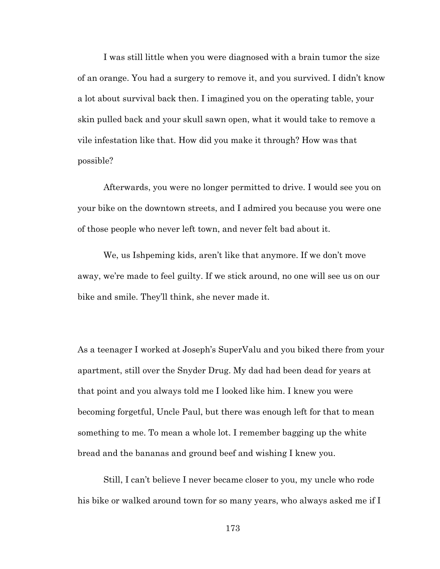I was still little when you were diagnosed with a brain tumor the size of an orange. You had a surgery to remove it, and you survived. I didn't know a lot about survival back then. I imagined you on the operating table, your skin pulled back and your skull sawn open, what it would take to remove a vile infestation like that. How did you make it through? How was that possible?

Afterwards, you were no longer permitted to drive. I would see you on your bike on the downtown streets, and I admired you because you were one of those people who never left town, and never felt bad about it.

We, us Ishpeming kids, aren't like that anymore. If we don't move away, we're made to feel guilty. If we stick around, no one will see us on our bike and smile. They'll think, she never made it.

As a teenager I worked at Joseph's SuperValu and you biked there from your apartment, still over the Snyder Drug. My dad had been dead for years at that point and you always told me I looked like him. I knew you were becoming forgetful, Uncle Paul, but there was enough left for that to mean something to me. To mean a whole lot. I remember bagging up the white bread and the bananas and ground beef and wishing I knew you.

Still, I can't believe I never became closer to you, my uncle who rode his bike or walked around town for so many years, who always asked me if I

173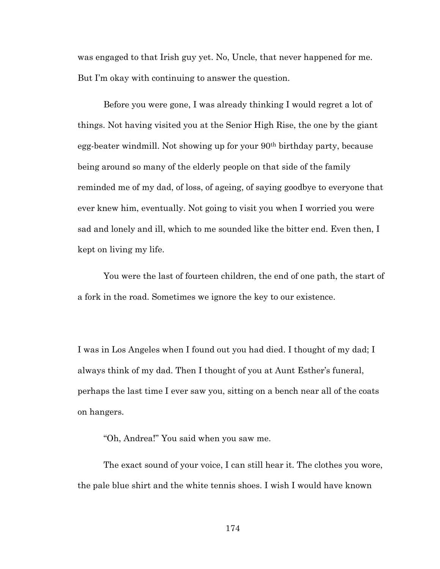was engaged to that Irish guy yet. No, Uncle, that never happened for me. But I'm okay with continuing to answer the question.

Before you were gone, I was already thinking I would regret a lot of things. Not having visited you at the Senior High Rise, the one by the giant egg-beater windmill. Not showing up for your 90th birthday party, because being around so many of the elderly people on that side of the family reminded me of my dad, of loss, of ageing, of saying goodbye to everyone that ever knew him, eventually. Not going to visit you when I worried you were sad and lonely and ill, which to me sounded like the bitter end. Even then, I kept on living my life.

You were the last of fourteen children, the end of one path, the start of a fork in the road. Sometimes we ignore the key to our existence.

I was in Los Angeles when I found out you had died. I thought of my dad; I always think of my dad. Then I thought of you at Aunt Esther's funeral, perhaps the last time I ever saw you, sitting on a bench near all of the coats on hangers.

"Oh, Andrea!" You said when you saw me.

The exact sound of your voice, I can still hear it. The clothes you wore, the pale blue shirt and the white tennis shoes. I wish I would have known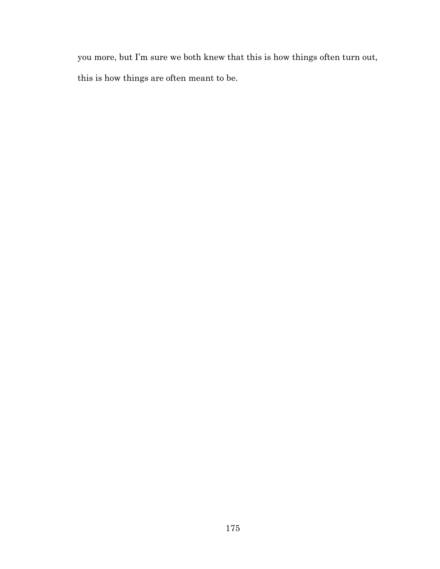you more, but I'm sure we both knew that this is how things often turn out, this is how things are often meant to be.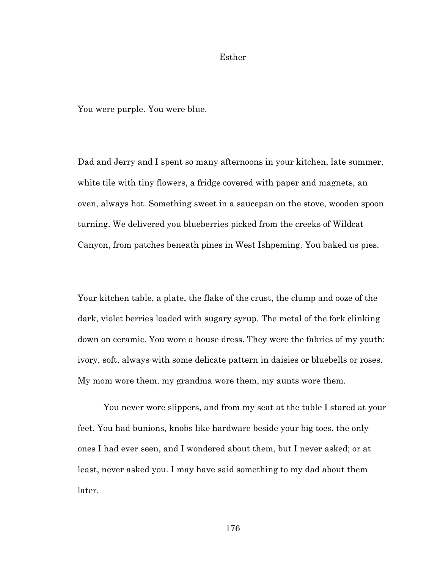## Esther

You were purple. You were blue.

Dad and Jerry and I spent so many afternoons in your kitchen, late summer, white tile with tiny flowers, a fridge covered with paper and magnets, an oven, always hot. Something sweet in a saucepan on the stove, wooden spoon turning. We delivered you blueberries picked from the creeks of Wildcat Canyon, from patches beneath pines in West Ishpeming. You baked us pies.

Your kitchen table, a plate, the flake of the crust, the clump and ooze of the dark, violet berries loaded with sugary syrup. The metal of the fork clinking down on ceramic. You wore a house dress. They were the fabrics of my youth: ivory, soft, always with some delicate pattern in daisies or bluebells or roses. My mom wore them, my grandma wore them, my aunts wore them.

You never wore slippers, and from my seat at the table I stared at your feet. You had bunions, knobs like hardware beside your big toes, the only ones I had ever seen, and I wondered about them, but I never asked; or at least, never asked you. I may have said something to my dad about them later.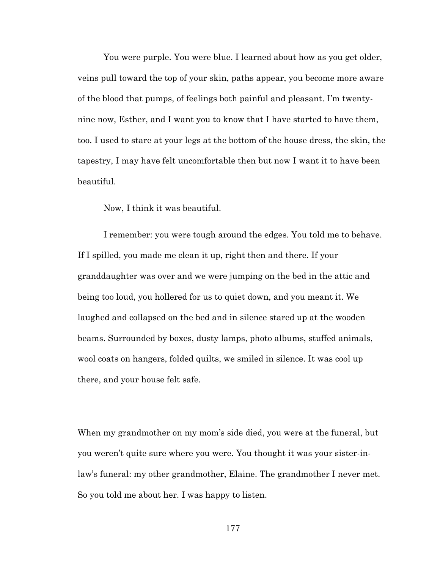You were purple. You were blue. I learned about how as you get older, veins pull toward the top of your skin, paths appear, you become more aware of the blood that pumps, of feelings both painful and pleasant. I'm twentynine now, Esther, and I want you to know that I have started to have them, too. I used to stare at your legs at the bottom of the house dress, the skin, the tapestry, I may have felt uncomfortable then but now I want it to have been beautiful.

Now, I think it was beautiful.

I remember: you were tough around the edges. You told me to behave. If I spilled, you made me clean it up, right then and there. If your granddaughter was over and we were jumping on the bed in the attic and being too loud, you hollered for us to quiet down, and you meant it. We laughed and collapsed on the bed and in silence stared up at the wooden beams. Surrounded by boxes, dusty lamps, photo albums, stuffed animals, wool coats on hangers, folded quilts, we smiled in silence. It was cool up there, and your house felt safe.

When my grandmother on my mom's side died, you were at the funeral, but you weren't quite sure where you were. You thought it was your sister-inlaw's funeral: my other grandmother, Elaine. The grandmother I never met. So you told me about her. I was happy to listen.

177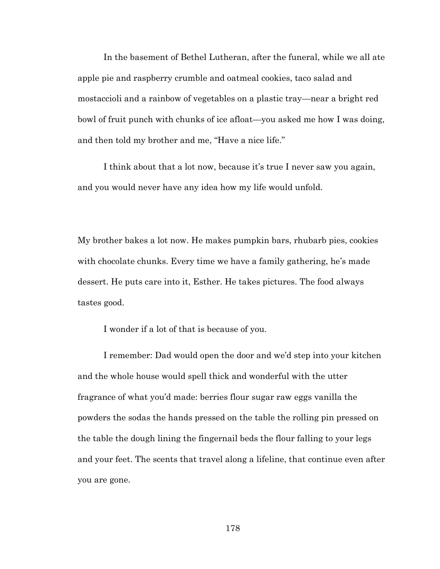In the basement of Bethel Lutheran, after the funeral, while we all ate apple pie and raspberry crumble and oatmeal cookies, taco salad and mostaccioli and a rainbow of vegetables on a plastic tray—near a bright red bowl of fruit punch with chunks of ice afloat—you asked me how I was doing, and then told my brother and me, "Have a nice life."

I think about that a lot now, because it's true I never saw you again, and you would never have any idea how my life would unfold.

My brother bakes a lot now. He makes pumpkin bars, rhubarb pies, cookies with chocolate chunks. Every time we have a family gathering, he's made dessert. He puts care into it, Esther. He takes pictures. The food always tastes good.

I wonder if a lot of that is because of you.

I remember: Dad would open the door and we'd step into your kitchen and the whole house would spell thick and wonderful with the utter fragrance of what you'd made: berries flour sugar raw eggs vanilla the powders the sodas the hands pressed on the table the rolling pin pressed on the table the dough lining the fingernail beds the flour falling to your legs and your feet. The scents that travel along a lifeline, that continue even after you are gone.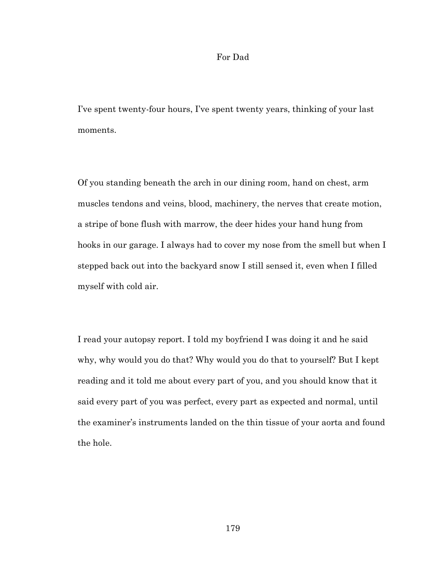## For Dad

I've spent twenty-four hours, I've spent twenty years, thinking of your last moments.

Of you standing beneath the arch in our dining room, hand on chest, arm muscles tendons and veins, blood, machinery, the nerves that create motion, a stripe of bone flush with marrow, the deer hides your hand hung from hooks in our garage. I always had to cover my nose from the smell but when I stepped back out into the backyard snow I still sensed it, even when I filled myself with cold air.

I read your autopsy report. I told my boyfriend I was doing it and he said why, why would you do that? Why would you do that to yourself? But I kept reading and it told me about every part of you, and you should know that it said every part of you was perfect, every part as expected and normal, until the examiner's instruments landed on the thin tissue of your aorta and found the hole.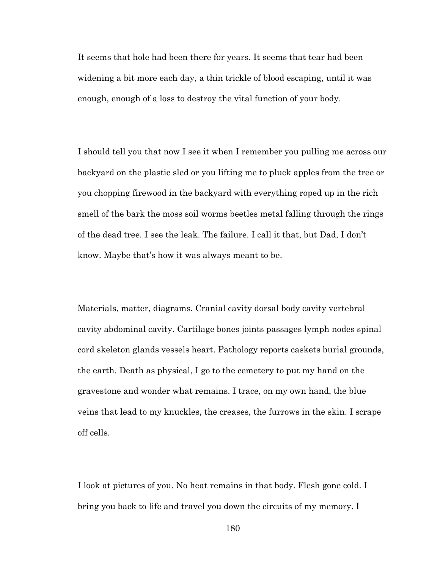It seems that hole had been there for years. It seems that tear had been widening a bit more each day, a thin trickle of blood escaping, until it was enough, enough of a loss to destroy the vital function of your body.

I should tell you that now I see it when I remember you pulling me across our backyard on the plastic sled or you lifting me to pluck apples from the tree or you chopping firewood in the backyard with everything roped up in the rich smell of the bark the moss soil worms beetles metal falling through the rings of the dead tree. I see the leak. The failure. I call it that, but Dad, I don't know. Maybe that's how it was always meant to be.

Materials, matter, diagrams. Cranial cavity dorsal body cavity vertebral cavity abdominal cavity. Cartilage bones joints passages lymph nodes spinal cord skeleton glands vessels heart. Pathology reports caskets burial grounds, the earth. Death as physical, I go to the cemetery to put my hand on the gravestone and wonder what remains. I trace, on my own hand, the blue veins that lead to my knuckles, the creases, the furrows in the skin. I scrape off cells.

I look at pictures of you. No heat remains in that body. Flesh gone cold. I bring you back to life and travel you down the circuits of my memory. I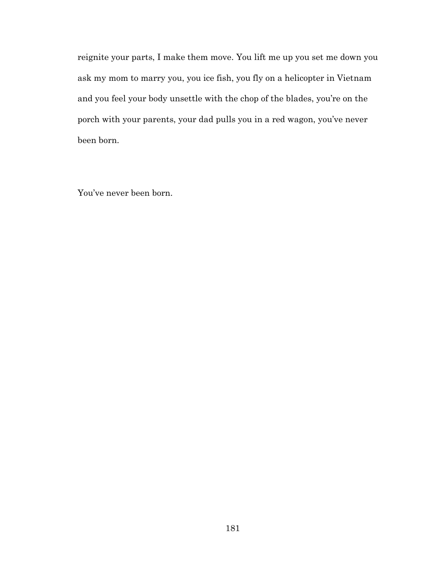reignite your parts, I make them move. You lift me up you set me down you ask my mom to marry you, you ice fish, you fly on a helicopter in Vietnam and you feel your body unsettle with the chop of the blades, you're on the porch with your parents, your dad pulls you in a red wagon, you've never been born.

You've never been born.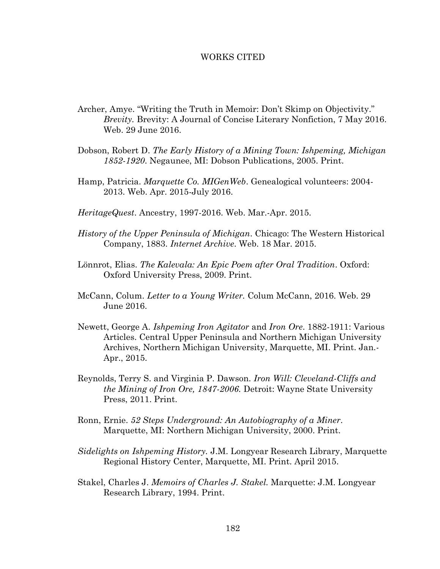## WORKS CITED

- Archer, Amye. "Writing the Truth in Memoir: Don't Skimp on Objectivity." *Brevity.* Brevity: A Journal of Concise Literary Nonfiction, 7 May 2016. Web. 29 June 2016.
- Dobson, Robert D. *The Early History of a Mining Town: Ishpeming, Michigan 1852-1920*. Negaunee, MI: Dobson Publications, 2005. Print.
- Hamp, Patricia. *Marquette Co. MIGenWeb*. Genealogical volunteers: 2004- 2013. Web. Apr. 2015-July 2016.
- *HeritageQuest*. Ancestry, 1997-2016. Web. Mar.-Apr. 2015.
- *History of the Upper Peninsula of Michigan*. Chicago: The Western Historical Company, 1883. *Internet Archive*. Web. 18 Mar. 2015.
- Lönnrot, Elias. *The Kalevala: An Epic Poem after Oral Tradition*. Oxford: Oxford University Press, 2009. Print.
- McCann, Colum. *Letter to a Young Writer.* Colum McCann, 2016. Web. 29 June 2016.
- Newett, George A. *Ishpeming Iron Agitator* and *Iron Ore*. 1882-1911: Various Articles. Central Upper Peninsula and Northern Michigan University Archives, Northern Michigan University, Marquette, MI. Print. Jan.- Apr., 2015.
- Reynolds, Terry S. and Virginia P. Dawson. *Iron Will: Cleveland-Cliffs and the Mining of Iron Ore, 1847-2006.* Detroit: Wayne State University Press, 2011. Print.
- Ronn, Ernie. *52 Steps Underground: An Autobiography of a Miner*. Marquette, MI: Northern Michigan University, 2000. Print.
- *Sidelights on Ishpeming History.* J.M. Longyear Research Library, Marquette Regional History Center, Marquette, MI. Print. April 2015.
- Stakel, Charles J. *Memoirs of Charles J. Stakel.* Marquette: J.M. Longyear Research Library, 1994. Print.